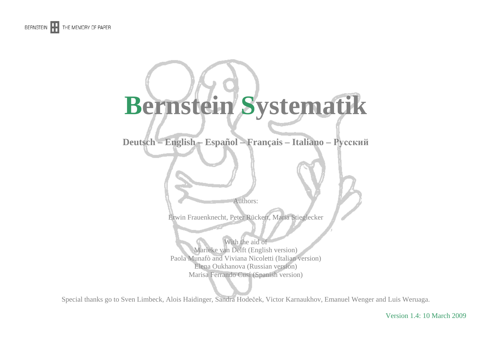

# **Bernstein Systematik**

**Deutsch – English – Español – Français – Italiano – Русский**

Authors:

Erwin Frauenknecht, Peter Rückert, Maria Stieglecker

With the aid of Marieke van Delft (English version) Paola Munafò and Viviana Nicoletti (Italian version) Elena Oukhanova (Russian version) Marisa Ferrando Cusí (Spanish version)

Special thanks go to Sven Limbeck, Alois Haidinger, Sandra Hodeček, Victor Karnaukhov, Emanuel Wenger and Luis Weruaga.

Version 1.4: 10 March 2009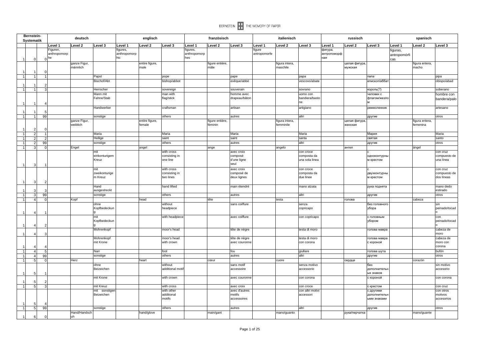| Level 3<br>Level 1<br>Level 2<br>Level 3<br>Level 1<br>Level 2<br>Level '<br>Level <sub>2</sub><br>Level 3<br>evel 1<br>Level 2<br>Level 3<br>Level 1<br>Level 2<br>Level 3<br>Level 1<br>Level 2<br>Level 3<br>Figuren,<br>figures,<br>figures,<br>фигура,<br>figure<br>figuras,<br>anthropomorp<br>anthropomorp<br>antropomorfe<br>anthropomorp<br>антропоморф<br>antropomórfi<br>hic<br>hes<br>ная<br>he<br>cas<br>$\Omega$<br>ganze Figur,<br>entire figure,<br>figure entière,<br>figura intera,<br>целая фигура,<br>figura entera,<br>männlich<br>male<br>mâle<br>maschile<br>мужская<br>macho<br>1<br>1<br>Papst<br>pope<br>pape<br>papa<br>папа<br>pipa<br>Bischof/Abt<br>bishop/abbot<br>evêque/abbé<br>vescovo/abate<br>епископ/абба<br>1<br>Herrscher<br>sovereign<br>souverain<br>sovrano<br>король(?)<br>11<br>3<br>Mann mit<br>man with<br>homme avec<br>uomo con<br>неловек с<br>Fahne/Stab<br>flag/stick<br>drapeau/bâton<br>bandiera/basto<br>флагом/жезл<br>ne<br>$\overline{1}$<br>Handwerker<br>artigiano<br>craftsman<br>artisan<br>ремесленник<br>99<br>sonstige<br>others<br>autres<br>altri<br>1<br>1<br>другие<br>otros<br>ganze Figur,<br>entire figure,<br>figure entière,<br>figura intera,<br>целая фигура.<br>figura entera,<br>weiblich<br>female<br>féminin<br>femminile<br>женская<br>femenina<br>2<br>Maria<br>Maria<br>Maria<br>Maria<br>1<br>$\overline{2}$<br>Мария<br>Maria<br>Heilige<br>saint<br>saint<br>$\overline{2}$<br>santa<br>святая<br>santo<br>$\overline{1}$<br>sonstige<br>others<br>autres<br>altri<br>otros<br>99<br>другие<br>$\overline{2}$<br>$\mathbf{1}$<br>$\overline{1}$<br>$\overline{3}$<br>Engel<br>angel<br>angelo<br>ангел<br>ángel<br>ange<br>mit<br>with cross<br>avec croix<br>con croce<br>con cruz<br>einkonturigem<br>consisting in<br>composta da<br>composé<br>одноконтурнь<br>Kreuz<br>one line<br>d'une ligne<br>una sola linea<br>м крестом<br>seul<br>$\overline{1}$<br>3<br>mit<br>with cross<br>avec croix<br>con croce<br>consisting in<br>composta da<br>zweikonturige<br>composé de<br>двухконтурнь<br>m Kreuz<br>two lines<br>deux lignes<br>due linee<br>м крестом<br>3<br>Hand<br>hand lifted<br>main étendré<br>mano alzata<br>рука поднята<br>estirado<br>ausgestreckt<br>3<br>$\vert$ 1<br>3 <sup>1</sup><br>99<br>sonstige<br>others<br>autres<br>altri<br>otros<br>другие<br>Kopf<br>head<br>tête<br>testa<br>голова<br>cabeza<br>$\overline{1}$<br>$\overline{4}$<br>$\Omega$<br>sans coiffure<br>ohne<br>without<br>без головногс<br>senza<br>sin<br>Kopfbedeckun<br>убора<br>headpiece<br>copricapo<br>mit<br>with headpiece<br>avec coiffure<br>con copricapo<br>с головным<br>con<br>Kopfbedeckun<br>убором<br>$\overline{1}$<br>Mohrenkopf<br>cabeza de<br>moor's head<br>tête de nègre<br>testa di moro<br>голова мавра<br>moro<br>Mohrenkopf<br>moor's head<br>tête de nègre<br>testa di moro<br>голова мавра<br>with crown<br>mit Krone<br>avec couronne<br>con corona<br>с короной<br>corona<br>Narr<br>fool<br>fou<br>giullare<br>голова шута<br>bufón<br>$\mathbf{1}$<br>4<br>others<br>99<br>autres<br>altri<br>1<br>$\overline{4}$<br>sonstige<br>другие<br>otros<br>$\overline{1}$<br>5<br>Herz<br>heart<br>corazón<br>cœur<br>cuore<br>сердце<br>$\Omega$<br>ohne<br>without<br>sans motif<br>senza motivo<br>без<br>sin motivo<br>additional motif<br>Beizeichen<br>accessorio<br>accessoire<br>дополнителы<br>ых знаков<br>5<br>mit Krone<br>with crown<br>con corona<br>с короной<br>avec couronne<br>5<br>mit Kreuz<br>with cross<br>1<br>5 <sup>1</sup><br>avec croix<br>con croce<br>с крестом<br>con cruz<br>mit sonstiger<br>with other<br>avec d'autres<br>con altri motivi<br>con otros<br>с другими<br>Beizeichen<br>additional<br>motifs<br>accessori<br>дополнитель<br>motivos<br>motifs<br>accessoires<br>ыми знаками<br>5<br>$\overline{1}$<br>5 <sub>1</sub><br>99<br>altri<br>sonstige<br>others<br>autres<br>другие<br>otros<br>Hand/Handsch<br>hand/glove<br>main/gant<br>mano/guanto<br>рука/перчатка<br>mano/guante<br>6 | Bernstein-<br>Systematik |  | deutsch |  | englisch |  | französisch |  | italienisch |  | russisch |  | spanisch |                                        |
|---------------------------------------------------------------------------------------------------------------------------------------------------------------------------------------------------------------------------------------------------------------------------------------------------------------------------------------------------------------------------------------------------------------------------------------------------------------------------------------------------------------------------------------------------------------------------------------------------------------------------------------------------------------------------------------------------------------------------------------------------------------------------------------------------------------------------------------------------------------------------------------------------------------------------------------------------------------------------------------------------------------------------------------------------------------------------------------------------------------------------------------------------------------------------------------------------------------------------------------------------------------------------------------------------------------------------------------------------------------------------------------------------------------------------------------------------------------------------------------------------------------------------------------------------------------------------------------------------------------------------------------------------------------------------------------------------------------------------------------------------------------------------------------------------------------------------------------------------------------------------------------------------------------------------------------------------------------------------------------------------------------------------------------------------------------------------------------------------------------------------------------------------------------------------------------------------------------------------------------------------------------------------------------------------------------------------------------------------------------------------------------------------------------------------------------------------------------------------------------------------------------------------------------------------------------------------------------------------------------------------------------------------------------------------------------------------------------------------------------------------------------------------------------------------------------------------------------------------------------------------------------------------------------------------------------------------------------------------------------------------------------------------------------------------------------------------------------------------------------------------------------------------------------------------------------------------------------------------------------------------------------------------------------------------------------------------------------------------------------------------------------------------------------------------------------------------------------------------------------------------------------------------------------------------------------------------------------------------------------------------------------------------------------------------------------------------------------------------------------------------------------------------------------------------------------------------------------------------------------------------------------------------------------------------------------------------------------------------------------------------------------------------------------------------------|--------------------------|--|---------|--|----------|--|-------------|--|-------------|--|----------|--|----------|----------------------------------------|
|                                                                                                                                                                                                                                                                                                                                                                                                                                                                                                                                                                                                                                                                                                                                                                                                                                                                                                                                                                                                                                                                                                                                                                                                                                                                                                                                                                                                                                                                                                                                                                                                                                                                                                                                                                                                                                                                                                                                                                                                                                                                                                                                                                                                                                                                                                                                                                                                                                                                                                                                                                                                                                                                                                                                                                                                                                                                                                                                                                                                                                                                                                                                                                                                                                                                                                                                                                                                                                                                                                                                                                                                                                                                                                                                                                                                                                                                                                                                                                                                                                                         |                          |  |         |  |          |  |             |  |             |  |          |  |          |                                        |
|                                                                                                                                                                                                                                                                                                                                                                                                                                                                                                                                                                                                                                                                                                                                                                                                                                                                                                                                                                                                                                                                                                                                                                                                                                                                                                                                                                                                                                                                                                                                                                                                                                                                                                                                                                                                                                                                                                                                                                                                                                                                                                                                                                                                                                                                                                                                                                                                                                                                                                                                                                                                                                                                                                                                                                                                                                                                                                                                                                                                                                                                                                                                                                                                                                                                                                                                                                                                                                                                                                                                                                                                                                                                                                                                                                                                                                                                                                                                                                                                                                                         |                          |  |         |  |          |  |             |  |             |  |          |  |          |                                        |
|                                                                                                                                                                                                                                                                                                                                                                                                                                                                                                                                                                                                                                                                                                                                                                                                                                                                                                                                                                                                                                                                                                                                                                                                                                                                                                                                                                                                                                                                                                                                                                                                                                                                                                                                                                                                                                                                                                                                                                                                                                                                                                                                                                                                                                                                                                                                                                                                                                                                                                                                                                                                                                                                                                                                                                                                                                                                                                                                                                                                                                                                                                                                                                                                                                                                                                                                                                                                                                                                                                                                                                                                                                                                                                                                                                                                                                                                                                                                                                                                                                                         |                          |  |         |  |          |  |             |  |             |  |          |  |          |                                        |
|                                                                                                                                                                                                                                                                                                                                                                                                                                                                                                                                                                                                                                                                                                                                                                                                                                                                                                                                                                                                                                                                                                                                                                                                                                                                                                                                                                                                                                                                                                                                                                                                                                                                                                                                                                                                                                                                                                                                                                                                                                                                                                                                                                                                                                                                                                                                                                                                                                                                                                                                                                                                                                                                                                                                                                                                                                                                                                                                                                                                                                                                                                                                                                                                                                                                                                                                                                                                                                                                                                                                                                                                                                                                                                                                                                                                                                                                                                                                                                                                                                                         |                          |  |         |  |          |  |             |  |             |  |          |  |          |                                        |
|                                                                                                                                                                                                                                                                                                                                                                                                                                                                                                                                                                                                                                                                                                                                                                                                                                                                                                                                                                                                                                                                                                                                                                                                                                                                                                                                                                                                                                                                                                                                                                                                                                                                                                                                                                                                                                                                                                                                                                                                                                                                                                                                                                                                                                                                                                                                                                                                                                                                                                                                                                                                                                                                                                                                                                                                                                                                                                                                                                                                                                                                                                                                                                                                                                                                                                                                                                                                                                                                                                                                                                                                                                                                                                                                                                                                                                                                                                                                                                                                                                                         |                          |  |         |  |          |  |             |  |             |  |          |  |          | obispo/abad                            |
|                                                                                                                                                                                                                                                                                                                                                                                                                                                                                                                                                                                                                                                                                                                                                                                                                                                                                                                                                                                                                                                                                                                                                                                                                                                                                                                                                                                                                                                                                                                                                                                                                                                                                                                                                                                                                                                                                                                                                                                                                                                                                                                                                                                                                                                                                                                                                                                                                                                                                                                                                                                                                                                                                                                                                                                                                                                                                                                                                                                                                                                                                                                                                                                                                                                                                                                                                                                                                                                                                                                                                                                                                                                                                                                                                                                                                                                                                                                                                                                                                                                         |                          |  |         |  |          |  |             |  |             |  |          |  |          | soberano                               |
|                                                                                                                                                                                                                                                                                                                                                                                                                                                                                                                                                                                                                                                                                                                                                                                                                                                                                                                                                                                                                                                                                                                                                                                                                                                                                                                                                                                                                                                                                                                                                                                                                                                                                                                                                                                                                                                                                                                                                                                                                                                                                                                                                                                                                                                                                                                                                                                                                                                                                                                                                                                                                                                                                                                                                                                                                                                                                                                                                                                                                                                                                                                                                                                                                                                                                                                                                                                                                                                                                                                                                                                                                                                                                                                                                                                                                                                                                                                                                                                                                                                         |                          |  |         |  |          |  |             |  |             |  |          |  |          | hombre con<br>bandera/palo             |
|                                                                                                                                                                                                                                                                                                                                                                                                                                                                                                                                                                                                                                                                                                                                                                                                                                                                                                                                                                                                                                                                                                                                                                                                                                                                                                                                                                                                                                                                                                                                                                                                                                                                                                                                                                                                                                                                                                                                                                                                                                                                                                                                                                                                                                                                                                                                                                                                                                                                                                                                                                                                                                                                                                                                                                                                                                                                                                                                                                                                                                                                                                                                                                                                                                                                                                                                                                                                                                                                                                                                                                                                                                                                                                                                                                                                                                                                                                                                                                                                                                                         |                          |  |         |  |          |  |             |  |             |  |          |  |          | artesano                               |
|                                                                                                                                                                                                                                                                                                                                                                                                                                                                                                                                                                                                                                                                                                                                                                                                                                                                                                                                                                                                                                                                                                                                                                                                                                                                                                                                                                                                                                                                                                                                                                                                                                                                                                                                                                                                                                                                                                                                                                                                                                                                                                                                                                                                                                                                                                                                                                                                                                                                                                                                                                                                                                                                                                                                                                                                                                                                                                                                                                                                                                                                                                                                                                                                                                                                                                                                                                                                                                                                                                                                                                                                                                                                                                                                                                                                                                                                                                                                                                                                                                                         |                          |  |         |  |          |  |             |  |             |  |          |  |          |                                        |
|                                                                                                                                                                                                                                                                                                                                                                                                                                                                                                                                                                                                                                                                                                                                                                                                                                                                                                                                                                                                                                                                                                                                                                                                                                                                                                                                                                                                                                                                                                                                                                                                                                                                                                                                                                                                                                                                                                                                                                                                                                                                                                                                                                                                                                                                                                                                                                                                                                                                                                                                                                                                                                                                                                                                                                                                                                                                                                                                                                                                                                                                                                                                                                                                                                                                                                                                                                                                                                                                                                                                                                                                                                                                                                                                                                                                                                                                                                                                                                                                                                                         |                          |  |         |  |          |  |             |  |             |  |          |  |          |                                        |
|                                                                                                                                                                                                                                                                                                                                                                                                                                                                                                                                                                                                                                                                                                                                                                                                                                                                                                                                                                                                                                                                                                                                                                                                                                                                                                                                                                                                                                                                                                                                                                                                                                                                                                                                                                                                                                                                                                                                                                                                                                                                                                                                                                                                                                                                                                                                                                                                                                                                                                                                                                                                                                                                                                                                                                                                                                                                                                                                                                                                                                                                                                                                                                                                                                                                                                                                                                                                                                                                                                                                                                                                                                                                                                                                                                                                                                                                                                                                                                                                                                                         |                          |  |         |  |          |  |             |  |             |  |          |  |          |                                        |
|                                                                                                                                                                                                                                                                                                                                                                                                                                                                                                                                                                                                                                                                                                                                                                                                                                                                                                                                                                                                                                                                                                                                                                                                                                                                                                                                                                                                                                                                                                                                                                                                                                                                                                                                                                                                                                                                                                                                                                                                                                                                                                                                                                                                                                                                                                                                                                                                                                                                                                                                                                                                                                                                                                                                                                                                                                                                                                                                                                                                                                                                                                                                                                                                                                                                                                                                                                                                                                                                                                                                                                                                                                                                                                                                                                                                                                                                                                                                                                                                                                                         |                          |  |         |  |          |  |             |  |             |  |          |  |          |                                        |
|                                                                                                                                                                                                                                                                                                                                                                                                                                                                                                                                                                                                                                                                                                                                                                                                                                                                                                                                                                                                                                                                                                                                                                                                                                                                                                                                                                                                                                                                                                                                                                                                                                                                                                                                                                                                                                                                                                                                                                                                                                                                                                                                                                                                                                                                                                                                                                                                                                                                                                                                                                                                                                                                                                                                                                                                                                                                                                                                                                                                                                                                                                                                                                                                                                                                                                                                                                                                                                                                                                                                                                                                                                                                                                                                                                                                                                                                                                                                                                                                                                                         |                          |  |         |  |          |  |             |  |             |  |          |  |          |                                        |
|                                                                                                                                                                                                                                                                                                                                                                                                                                                                                                                                                                                                                                                                                                                                                                                                                                                                                                                                                                                                                                                                                                                                                                                                                                                                                                                                                                                                                                                                                                                                                                                                                                                                                                                                                                                                                                                                                                                                                                                                                                                                                                                                                                                                                                                                                                                                                                                                                                                                                                                                                                                                                                                                                                                                                                                                                                                                                                                                                                                                                                                                                                                                                                                                                                                                                                                                                                                                                                                                                                                                                                                                                                                                                                                                                                                                                                                                                                                                                                                                                                                         |                          |  |         |  |          |  |             |  |             |  |          |  |          |                                        |
|                                                                                                                                                                                                                                                                                                                                                                                                                                                                                                                                                                                                                                                                                                                                                                                                                                                                                                                                                                                                                                                                                                                                                                                                                                                                                                                                                                                                                                                                                                                                                                                                                                                                                                                                                                                                                                                                                                                                                                                                                                                                                                                                                                                                                                                                                                                                                                                                                                                                                                                                                                                                                                                                                                                                                                                                                                                                                                                                                                                                                                                                                                                                                                                                                                                                                                                                                                                                                                                                                                                                                                                                                                                                                                                                                                                                                                                                                                                                                                                                                                                         |                          |  |         |  |          |  |             |  |             |  |          |  |          | compuesto de<br>una línea              |
|                                                                                                                                                                                                                                                                                                                                                                                                                                                                                                                                                                                                                                                                                                                                                                                                                                                                                                                                                                                                                                                                                                                                                                                                                                                                                                                                                                                                                                                                                                                                                                                                                                                                                                                                                                                                                                                                                                                                                                                                                                                                                                                                                                                                                                                                                                                                                                                                                                                                                                                                                                                                                                                                                                                                                                                                                                                                                                                                                                                                                                                                                                                                                                                                                                                                                                                                                                                                                                                                                                                                                                                                                                                                                                                                                                                                                                                                                                                                                                                                                                                         |                          |  |         |  |          |  |             |  |             |  |          |  |          | con cruz<br>compuesto de<br>dos líneas |
|                                                                                                                                                                                                                                                                                                                                                                                                                                                                                                                                                                                                                                                                                                                                                                                                                                                                                                                                                                                                                                                                                                                                                                                                                                                                                                                                                                                                                                                                                                                                                                                                                                                                                                                                                                                                                                                                                                                                                                                                                                                                                                                                                                                                                                                                                                                                                                                                                                                                                                                                                                                                                                                                                                                                                                                                                                                                                                                                                                                                                                                                                                                                                                                                                                                                                                                                                                                                                                                                                                                                                                                                                                                                                                                                                                                                                                                                                                                                                                                                                                                         |                          |  |         |  |          |  |             |  |             |  |          |  |          | mano dedo                              |
|                                                                                                                                                                                                                                                                                                                                                                                                                                                                                                                                                                                                                                                                                                                                                                                                                                                                                                                                                                                                                                                                                                                                                                                                                                                                                                                                                                                                                                                                                                                                                                                                                                                                                                                                                                                                                                                                                                                                                                                                                                                                                                                                                                                                                                                                                                                                                                                                                                                                                                                                                                                                                                                                                                                                                                                                                                                                                                                                                                                                                                                                                                                                                                                                                                                                                                                                                                                                                                                                                                                                                                                                                                                                                                                                                                                                                                                                                                                                                                                                                                                         |                          |  |         |  |          |  |             |  |             |  |          |  |          |                                        |
|                                                                                                                                                                                                                                                                                                                                                                                                                                                                                                                                                                                                                                                                                                                                                                                                                                                                                                                                                                                                                                                                                                                                                                                                                                                                                                                                                                                                                                                                                                                                                                                                                                                                                                                                                                                                                                                                                                                                                                                                                                                                                                                                                                                                                                                                                                                                                                                                                                                                                                                                                                                                                                                                                                                                                                                                                                                                                                                                                                                                                                                                                                                                                                                                                                                                                                                                                                                                                                                                                                                                                                                                                                                                                                                                                                                                                                                                                                                                                                                                                                                         |                          |  |         |  |          |  |             |  |             |  |          |  |          |                                        |
|                                                                                                                                                                                                                                                                                                                                                                                                                                                                                                                                                                                                                                                                                                                                                                                                                                                                                                                                                                                                                                                                                                                                                                                                                                                                                                                                                                                                                                                                                                                                                                                                                                                                                                                                                                                                                                                                                                                                                                                                                                                                                                                                                                                                                                                                                                                                                                                                                                                                                                                                                                                                                                                                                                                                                                                                                                                                                                                                                                                                                                                                                                                                                                                                                                                                                                                                                                                                                                                                                                                                                                                                                                                                                                                                                                                                                                                                                                                                                                                                                                                         |                          |  |         |  |          |  |             |  |             |  |          |  |          | peinado/tocad                          |
|                                                                                                                                                                                                                                                                                                                                                                                                                                                                                                                                                                                                                                                                                                                                                                                                                                                                                                                                                                                                                                                                                                                                                                                                                                                                                                                                                                                                                                                                                                                                                                                                                                                                                                                                                                                                                                                                                                                                                                                                                                                                                                                                                                                                                                                                                                                                                                                                                                                                                                                                                                                                                                                                                                                                                                                                                                                                                                                                                                                                                                                                                                                                                                                                                                                                                                                                                                                                                                                                                                                                                                                                                                                                                                                                                                                                                                                                                                                                                                                                                                                         |                          |  |         |  |          |  |             |  |             |  |          |  |          | peinado/tocad                          |
|                                                                                                                                                                                                                                                                                                                                                                                                                                                                                                                                                                                                                                                                                                                                                                                                                                                                                                                                                                                                                                                                                                                                                                                                                                                                                                                                                                                                                                                                                                                                                                                                                                                                                                                                                                                                                                                                                                                                                                                                                                                                                                                                                                                                                                                                                                                                                                                                                                                                                                                                                                                                                                                                                                                                                                                                                                                                                                                                                                                                                                                                                                                                                                                                                                                                                                                                                                                                                                                                                                                                                                                                                                                                                                                                                                                                                                                                                                                                                                                                                                                         |                          |  |         |  |          |  |             |  |             |  |          |  |          |                                        |
|                                                                                                                                                                                                                                                                                                                                                                                                                                                                                                                                                                                                                                                                                                                                                                                                                                                                                                                                                                                                                                                                                                                                                                                                                                                                                                                                                                                                                                                                                                                                                                                                                                                                                                                                                                                                                                                                                                                                                                                                                                                                                                                                                                                                                                                                                                                                                                                                                                                                                                                                                                                                                                                                                                                                                                                                                                                                                                                                                                                                                                                                                                                                                                                                                                                                                                                                                                                                                                                                                                                                                                                                                                                                                                                                                                                                                                                                                                                                                                                                                                                         |                          |  |         |  |          |  |             |  |             |  |          |  |          | cabeza de<br>moro con                  |
|                                                                                                                                                                                                                                                                                                                                                                                                                                                                                                                                                                                                                                                                                                                                                                                                                                                                                                                                                                                                                                                                                                                                                                                                                                                                                                                                                                                                                                                                                                                                                                                                                                                                                                                                                                                                                                                                                                                                                                                                                                                                                                                                                                                                                                                                                                                                                                                                                                                                                                                                                                                                                                                                                                                                                                                                                                                                                                                                                                                                                                                                                                                                                                                                                                                                                                                                                                                                                                                                                                                                                                                                                                                                                                                                                                                                                                                                                                                                                                                                                                                         |                          |  |         |  |          |  |             |  |             |  |          |  |          |                                        |
|                                                                                                                                                                                                                                                                                                                                                                                                                                                                                                                                                                                                                                                                                                                                                                                                                                                                                                                                                                                                                                                                                                                                                                                                                                                                                                                                                                                                                                                                                                                                                                                                                                                                                                                                                                                                                                                                                                                                                                                                                                                                                                                                                                                                                                                                                                                                                                                                                                                                                                                                                                                                                                                                                                                                                                                                                                                                                                                                                                                                                                                                                                                                                                                                                                                                                                                                                                                                                                                                                                                                                                                                                                                                                                                                                                                                                                                                                                                                                                                                                                                         |                          |  |         |  |          |  |             |  |             |  |          |  |          |                                        |
|                                                                                                                                                                                                                                                                                                                                                                                                                                                                                                                                                                                                                                                                                                                                                                                                                                                                                                                                                                                                                                                                                                                                                                                                                                                                                                                                                                                                                                                                                                                                                                                                                                                                                                                                                                                                                                                                                                                                                                                                                                                                                                                                                                                                                                                                                                                                                                                                                                                                                                                                                                                                                                                                                                                                                                                                                                                                                                                                                                                                                                                                                                                                                                                                                                                                                                                                                                                                                                                                                                                                                                                                                                                                                                                                                                                                                                                                                                                                                                                                                                                         |                          |  |         |  |          |  |             |  |             |  |          |  |          |                                        |
|                                                                                                                                                                                                                                                                                                                                                                                                                                                                                                                                                                                                                                                                                                                                                                                                                                                                                                                                                                                                                                                                                                                                                                                                                                                                                                                                                                                                                                                                                                                                                                                                                                                                                                                                                                                                                                                                                                                                                                                                                                                                                                                                                                                                                                                                                                                                                                                                                                                                                                                                                                                                                                                                                                                                                                                                                                                                                                                                                                                                                                                                                                                                                                                                                                                                                                                                                                                                                                                                                                                                                                                                                                                                                                                                                                                                                                                                                                                                                                                                                                                         |                          |  |         |  |          |  |             |  |             |  |          |  |          | accesorio                              |
|                                                                                                                                                                                                                                                                                                                                                                                                                                                                                                                                                                                                                                                                                                                                                                                                                                                                                                                                                                                                                                                                                                                                                                                                                                                                                                                                                                                                                                                                                                                                                                                                                                                                                                                                                                                                                                                                                                                                                                                                                                                                                                                                                                                                                                                                                                                                                                                                                                                                                                                                                                                                                                                                                                                                                                                                                                                                                                                                                                                                                                                                                                                                                                                                                                                                                                                                                                                                                                                                                                                                                                                                                                                                                                                                                                                                                                                                                                                                                                                                                                                         |                          |  |         |  |          |  |             |  |             |  |          |  |          | con corona                             |
|                                                                                                                                                                                                                                                                                                                                                                                                                                                                                                                                                                                                                                                                                                                                                                                                                                                                                                                                                                                                                                                                                                                                                                                                                                                                                                                                                                                                                                                                                                                                                                                                                                                                                                                                                                                                                                                                                                                                                                                                                                                                                                                                                                                                                                                                                                                                                                                                                                                                                                                                                                                                                                                                                                                                                                                                                                                                                                                                                                                                                                                                                                                                                                                                                                                                                                                                                                                                                                                                                                                                                                                                                                                                                                                                                                                                                                                                                                                                                                                                                                                         |                          |  |         |  |          |  |             |  |             |  |          |  |          |                                        |
|                                                                                                                                                                                                                                                                                                                                                                                                                                                                                                                                                                                                                                                                                                                                                                                                                                                                                                                                                                                                                                                                                                                                                                                                                                                                                                                                                                                                                                                                                                                                                                                                                                                                                                                                                                                                                                                                                                                                                                                                                                                                                                                                                                                                                                                                                                                                                                                                                                                                                                                                                                                                                                                                                                                                                                                                                                                                                                                                                                                                                                                                                                                                                                                                                                                                                                                                                                                                                                                                                                                                                                                                                                                                                                                                                                                                                                                                                                                                                                                                                                                         |                          |  |         |  |          |  |             |  |             |  |          |  |          | accesorios                             |
|                                                                                                                                                                                                                                                                                                                                                                                                                                                                                                                                                                                                                                                                                                                                                                                                                                                                                                                                                                                                                                                                                                                                                                                                                                                                                                                                                                                                                                                                                                                                                                                                                                                                                                                                                                                                                                                                                                                                                                                                                                                                                                                                                                                                                                                                                                                                                                                                                                                                                                                                                                                                                                                                                                                                                                                                                                                                                                                                                                                                                                                                                                                                                                                                                                                                                                                                                                                                                                                                                                                                                                                                                                                                                                                                                                                                                                                                                                                                                                                                                                                         |                          |  |         |  |          |  |             |  |             |  |          |  |          |                                        |
|                                                                                                                                                                                                                                                                                                                                                                                                                                                                                                                                                                                                                                                                                                                                                                                                                                                                                                                                                                                                                                                                                                                                                                                                                                                                                                                                                                                                                                                                                                                                                                                                                                                                                                                                                                                                                                                                                                                                                                                                                                                                                                                                                                                                                                                                                                                                                                                                                                                                                                                                                                                                                                                                                                                                                                                                                                                                                                                                                                                                                                                                                                                                                                                                                                                                                                                                                                                                                                                                                                                                                                                                                                                                                                                                                                                                                                                                                                                                                                                                                                                         |                          |  | uh      |  |          |  |             |  |             |  |          |  |          |                                        |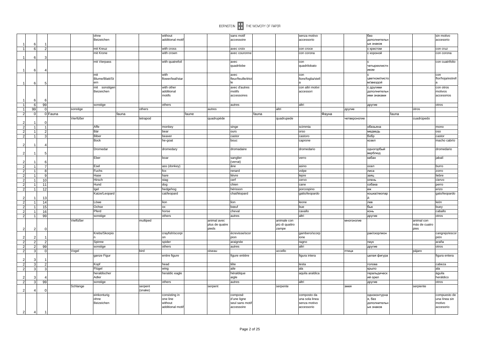|                                  |    |                      | ohne               |       |          | without             |        |                | sans motif                    |       |                         | senza motivo               |       |              | без                       |       |                       | sin motivo              |
|----------------------------------|----|----------------------|--------------------|-------|----------|---------------------|--------|----------------|-------------------------------|-------|-------------------------|----------------------------|-------|--------------|---------------------------|-------|-----------------------|-------------------------|
|                                  |    |                      | Beizeichen         |       |          | additional motif    |        |                | accessoire                    |       |                         | accessorio                 |       |              | дополнительн              |       |                       | accesorio               |
| 6                                |    |                      |                    |       |          |                     |        |                |                               |       |                         |                            |       |              | ых знаков                 |       |                       |                         |
| 6                                |    |                      | mit Kreuz          |       |          | with cross          |        |                | avec croix                    |       |                         | con croce                  |       |              | с крестом                 |       |                       | con cruz                |
| 6                                |    |                      | mit Krone          |       |          | with crown          |        |                | avec couronne                 |       |                         | con corona                 |       |              | с короной                 |       |                       | con corona              |
|                                  |    |                      | mit Vierpass       |       |          | with quatrefoil     |        |                | avec                          |       |                         | con                        |       |              |                           |       |                       | con cuatrifolio         |
|                                  |    |                      |                    |       |          |                     |        |                | quadrilobe                    |       |                         | quadrilobato               |       |              | четырехлистн              |       |                       |                         |
| 6                                |    |                      |                    |       |          |                     |        |                |                               |       |                         |                            |       |              | иком                      |       |                       |                         |
|                                  |    |                      | mit                |       |          | with                |        |                | avec                          |       |                         | con                        |       |              |                           |       |                       | con                     |
|                                  |    |                      | Blume/Blatt/St     |       |          | flower/leaf/star    |        |                | fleur/feuille/éto             |       |                         | fiore/foglia/stell         |       |              | цветком/листс             |       |                       | flor/hoja/estrell       |
| 6<br>$\mathbf 1$                 |    |                      | ern                |       |          |                     |        |                |                               |       |                         |                            |       |              | м/звездой                 |       |                       |                         |
|                                  |    |                      | mit<br>sonstiger   |       |          | with other          |        |                | avec d'autres                 |       |                         | con altri motivi           |       |              | р другими                 |       |                       | con otros               |
|                                  |    |                      | Beizeichen         |       |          | additional          |        |                | motifs                        |       |                         | accessori                  |       |              | дополнительн              |       |                       | motivos                 |
|                                  |    |                      |                    |       |          | motifs              |        |                | accessoires                   |       |                         |                            |       |              | ими знаками               |       |                       | accesorios              |
| 6                                |    |                      |                    |       |          |                     |        |                |                               |       |                         |                            |       |              |                           |       |                       |                         |
| 1<br>6                           | 99 |                      | sonstige           |       |          | others              |        |                | autres                        |       |                         | altri                      |       |              | другие                    |       |                       | otros                   |
| 99<br>1                          |    | sonstige             |                    |       | others   |                     | autres |                |                               |       | altri                   |                            |       | другие       |                           |       | otros                 |                         |
| $\overline{2}$<br>$\mathbf 0$    |    | 0 Fauna<br>Vierfüßer |                    | fauna |          |                     | faune  |                |                               | fauna |                         |                            | Фауна |              |                           | fauna |                       |                         |
| $\overline{2}$                   |    |                      |                    |       | tetrapod |                     |        | quadrupède     |                               |       | quadrupede              |                            |       | четвероногие |                           |       | cuadrúpedo            |                         |
| $\overline{2}$                   |    |                      | Affe               |       |          | monkey              |        |                | singe                         |       |                         | scimmia                    |       |              | обезьяна                  |       |                       | mono                    |
| $\overline{2}$                   |    |                      | Bär                |       |          | bear                |        |                | ours                          |       |                         | orso                       |       |              | медведь                   |       |                       | oso                     |
| 2                                |    |                      | <b>Biber</b>       |       |          | beaver              |        |                | castor                        |       |                         | castoro                    |       |              | бобр                      |       |                       | castor                  |
|                                  |    |                      | <b>Bock</b>        |       |          | he-goat             |        |                | bouc                          |       |                         | caprone                    |       |              | козел                     |       |                       | macho cabrío            |
| $\overline{2}$                   |    |                      |                    |       |          |                     |        |                |                               |       |                         |                            |       |              |                           |       |                       |                         |
|                                  |    |                      | Dromedar           |       |          | dromedary           |        |                | dromadaire                    |       |                         | dromedario                 |       |              | одногорбый                |       |                       | dromedario              |
| $\overline{2}$                   |    |                      |                    |       |          |                     |        |                |                               |       |                         |                            |       |              | верблюд                   |       |                       |                         |
|                                  |    |                      | Eber               |       |          | boar                |        |                | sanglier                      |       |                         | verro                      |       |              | кабан                     |       |                       | jabalí                  |
| $\overline{2}$                   |    |                      |                    |       |          |                     |        |                | (verrat)                      |       |                         |                            |       |              |                           |       |                       |                         |
| 2 <sup>1</sup>                   |    |                      | Esel               |       |          | ass (donkey)        |        |                | âne                           |       |                         | asino                      |       |              | осел                      |       |                       | burro                   |
| $\overline{2}$                   |    |                      | Fuchs              |       |          | fox                 |        |                | renard                        |       |                         | volpe                      |       |              | лиса                      |       |                       | zorro                   |
| 2 <sup>1</sup>                   |    |                      | Hase               |       |          | hare                |        |                | lièvre                        |       |                         | lepre                      |       |              | заяц                      |       |                       | liebre                  |
| $\overline{2}$                   | 10 |                      | Hirsch             |       |          | stag                |        |                | cerf                          |       |                         | cervo                      |       |              | олень                     |       |                       | ciervo                  |
| $\overline{2}$<br>$\mathbf{1}$   | 11 |                      | Hund               |       |          | dog                 |        |                | chien                         |       |                         | cane                       |       |              | собака                    |       |                       | perro                   |
| 2<br>$\mathbf{1}$                | 12 |                      | Igel               |       |          | hedgehog            |        |                | hérisson                      |       |                         | porcospino                 |       |              | еж                        |       |                       | erizo                   |
|                                  |    |                      | Katze/Leopard      |       |          | cat/leopard         |        |                | chat/léopard                  |       |                         | gatto/leopardo             |       |              | кошка/леопар              |       |                       | gato/leopardo           |
| $\overline{2}$                   | 13 |                      |                    |       |          |                     |        |                |                               |       |                         |                            |       |              |                           |       |                       |                         |
| $\overline{2}$                   | 14 |                      | Löwe               |       |          | lion                |        |                | lion                          |       |                         | leone                      |       |              | лев                       |       |                       | león                    |
| $\overline{2}$                   | 15 |                      | Ochse              |       |          | ox                  |        |                | bœuf                          |       |                         | bue                        |       |              | бык                       |       |                       | buey                    |
| 2                                | 16 |                      | Pferd              |       |          | horse               |        |                | cheval                        |       |                         | cavallo                    |       |              | КОНЬ                      |       |                       | caballo                 |
| 2 <sup>1</sup><br>1              | 99 |                      | sonstige           |       |          | others              |        |                | autres                        |       |                         | altri                      |       |              | другие                    |       |                       | otros                   |
|                                  |    | Vielfüßer            |                    |       | multiped |                     |        | animal avec    |                               |       | animale con             |                            |       | многоногие   |                           |       | animal con            |                         |
|                                  |    |                      |                    |       |          |                     | pieds  | plus de quatre |                               |       | più di quattro<br>zampe |                            |       |              |                           |       | más de cuatro<br>pies |                         |
| $\overline{2}$<br>2              |    |                      | Krebs/Skorpio      |       |          | crayfish/scorpi     |        |                | écrevisse/scor                |       |                         | gambero/scorp              |       |              | рак/скорпион              |       |                       | cangrejo/escor          |
| $\mathcal{P}$<br>$\overline{2}$  |    |                      |                    |       |          | on                  |        |                | pion                          |       |                         | ione                       |       |              |                           |       |                       | pión                    |
| 2 <sup>1</sup><br>$\overline{2}$ |    |                      | Spinne             |       |          | spider              |        |                | araignée                      |       |                         | ragno                      |       |              | паук                      |       |                       | araña                   |
| $\overline{2}$<br>$\overline{2}$ | 99 |                      | sonstige           |       |          | others              |        |                | autres                        |       |                         | altri                      |       |              | другие                    |       |                       | otros                   |
| 2 <sup>1</sup><br>$\mathbf{3}$   |    | Vogel                |                    |       | bird     |                     | oiseau |                |                               |       | uccello                 |                            |       | птица        |                           |       | pájaro                |                         |
|                                  |    |                      | ganze Figur        |       |          | entire figure       |        |                | figure entière                |       |                         | figura intera              |       |              | целая фигура              |       |                       | figura entera           |
| 2<br>3                           |    |                      |                    |       |          |                     |        |                |                               |       |                         |                            |       |              |                           |       |                       |                         |
| 2<br>3                           |    |                      | Kopf               |       |          | head                |        |                | tête                          |       |                         | testa                      |       |              | голова                    |       |                       | cabeza                  |
| $\overline{2}$<br>3              |    |                      | Flügel             |       |          | wing                |        |                | aile                          |       |                         | ala                        |       |              | крыло                     |       |                       | ala                     |
|                                  |    |                      | heraldischer       |       |          | heraldic eagle      |        |                | héraldique                    |       |                         | aquila araldica            |       |              | геральдическ              |       |                       | águila                  |
| 3                                |    |                      | Adler              |       |          |                     |        |                | aigle                         |       |                         |                            |       |              | ий орел                   |       |                       | heráldico               |
| $\overline{2}$<br>$\overline{3}$ | 99 |                      | sonstige           |       |          | others              |        |                | autres                        |       |                         | altri                      |       |              | другие                    |       |                       | otros                   |
|                                  |    | Schlange             |                    |       | serpent  |                     |        | serpent        |                               |       | serpente                |                            |       | змея         |                           |       | serpiente             |                         |
| 2 <sup>1</sup><br>4              |    |                      |                    |       | (snake)  |                     |        |                |                               |       |                         |                            |       |              |                           |       |                       |                         |
|                                  |    |                      | einkonturig        |       |          | consisting in       |        |                | composé                       |       |                         | composto da                |       |              | одноконтурна              |       |                       | compuesto de            |
|                                  |    |                      | ohne<br>Beizeichen |       |          | one line<br>without |        |                | d'une ligne                   |       |                         | una sola linea             |       |              | я, без                    |       |                       | una línea sin<br>motivo |
|                                  |    |                      |                    |       |          | additional moti     |        |                | seul sans motif<br>accessoire |       |                         | senza motivo<br>accessorio |       |              | дополнительн<br>ых знаков |       |                       | accesorio               |
| 4                                |    |                      |                    |       |          |                     |        |                |                               |       |                         |                            |       |              |                           |       |                       |                         |
| $\overline{2}$                   |    |                      |                    |       |          |                     |        |                |                               |       |                         |                            |       |              |                           |       |                       |                         |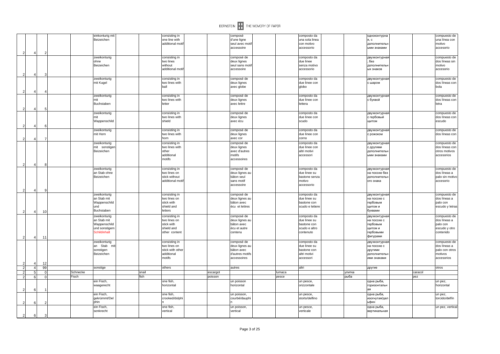

|                |                |    |          | einkonturig mit |       | consisting in    |          | composé         | composto da     | одноконтурна  |         | compuesto de     |
|----------------|----------------|----|----------|-----------------|-------|------------------|----------|-----------------|-----------------|---------------|---------|------------------|
|                |                |    |          | Beizeichen      |       | one line with    |          | d'une ligne     | una sola linea  | я, с          |         | una línea con    |
|                |                |    |          |                 |       | additional motil |          | seul avec mot   | con motivo      | дополнительн  |         | motivo           |
|                |                |    |          |                 |       |                  |          | accessoire      | accessorio      | ыми знаками   |         | accesorio        |
| 2              | $\overline{4}$ |    |          |                 |       |                  |          |                 |                 |               |         |                  |
|                |                |    |          | zweikonturig    |       | consisting in    |          | composé de      | composto da     | двухконтурная |         | compuesto de     |
|                |                |    |          | ohne            |       | two lines        |          | deux lignes     | due linee       | без           |         | dos líneas sin   |
|                |                |    |          | Beizeichen      |       | without          |          | seul sans mot   | senza motivo    | дополнителы   |         | motivo           |
|                |                |    |          |                 |       | additional moti  |          | accessoire      | accessorio      | ых знаков     |         | accesorio        |
|                |                |    |          |                 |       |                  |          |                 |                 |               |         |                  |
| 2              | $\Delta$       |    |          |                 |       |                  |          |                 |                 |               |         |                  |
|                |                |    |          | zweikonturig    |       | consisting in    |          | composé de      | composto da     | двухконтурная |         | compuesto de     |
|                |                |    |          | mit Kugel       |       | two lines with   |          | deux lignes     | due linee con   | с шаром       |         | dos líneas con   |
|                |                |    |          |                 |       | ball             |          | avec globe      | qlobo           |               |         | bola             |
| 2              | $\Delta$       |    |          |                 |       |                  |          |                 |                 |               |         |                  |
|                |                |    |          | zweikonturig    |       | consisting in    |          | composé de      | composto da     | двухконтурная |         | compuesto de     |
|                |                |    |          | mit             |       | two lines with   |          | deux lignes     | due linee con   | с буквой      |         | dos líneas con   |
|                |                |    |          | Buchstaben      |       | letter           |          | avec lettre     | lettera         |               |         | letra            |
| 2              | $\overline{4}$ |    |          |                 |       |                  |          |                 |                 |               |         |                  |
|                |                |    |          | zweikonturig    |       | consisting in    |          | composé de      | composto da     | двухконтурная |         | compuesto de     |
|                |                |    |          | mit             |       | two lines with   |          | deux lignes     | due linee con   | с гербовый    |         | dos líneas con   |
|                |                |    |          |                 |       | shield           |          |                 |                 |               |         | escudo           |
|                |                |    |          | Wappenschild    |       |                  |          | avec écu        | scudo           | щитом         |         |                  |
| $\overline{2}$ | $\overline{4}$ |    |          |                 |       |                  |          |                 |                 |               |         |                  |
|                |                |    |          | zweikonturig    |       | consisting in    |          | composé de      | composto da     | двухконтурная |         | compuesto de     |
|                |                |    |          | mit Horn        |       | two lines with   |          | deux lignes     | due linee con   | с рожоком     |         | dos líneas con   |
| $\overline{2}$ | $\overline{4}$ |    |          |                 |       | horn             |          | avec cor        | corno           |               |         |                  |
|                |                |    |          | zweikonturig    |       | consisting in    |          | composé de      | composto da     | двухконтурная |         | compuesto de     |
|                |                |    |          | mit sonstigen   |       | two lines with   |          | deux lignes     | due linee con   | с другими     |         | dos líneas con   |
|                |                |    |          | Beizeichen      |       | other            |          | avec d'autres   | altri motivi    | дополнительн  |         | otros motivos    |
|                |                |    |          |                 |       | additional       |          | motifs          | accessori       | ыми знаками   |         | accesorios       |
|                |                |    |          |                 |       | motifs           |          | accessoires     |                 |               |         |                  |
|                |                |    |          |                 |       |                  |          |                 |                 |               |         |                  |
| $\overline{2}$ | $\overline{4}$ |    |          |                 |       |                  |          |                 |                 |               |         |                  |
|                |                |    |          | zweikonturig    |       | consisting in    |          | composé de      | composto da     | двухконтурная |         | compuesto de     |
|                |                |    |          | an Stab ohne    |       | two lines on     |          | deux lignes au  | due linee su    | на посохе без |         | dos líneas a     |
|                |                |    |          | Beizeichen      |       | stick without    |          | bâton seul      | bastone senza   | дополнительн  |         | palo sin motivo  |
|                |                |    |          |                 |       | additional motil |          | sans motif      | motivo          | ого знака     |         | accesorio        |
|                |                |    |          |                 |       |                  |          | accessoire      | accessorio      |               |         |                  |
| $\overline{2}$ | $\overline{4}$ | q  |          |                 |       |                  |          |                 |                 |               |         |                  |
|                |                |    |          | zweikonturig    |       | consisting in    |          | composé de      | composto da     | двухконтурная |         | compuesto de     |
|                |                |    |          | an Stab mit     |       | two lines on     |          | deux lignes au  | due linee su    | на посохе с   |         | dos líneas a     |
|                |                |    |          | Wappenschild    |       | stick with       |          | bâton avec      | bastone con     | гербовым      |         | palo con         |
|                |                |    |          | und             |       | shield and       |          | écu et lettres  | scudo e lettere | щитом и       |         | escudo y letras  |
|                |                |    |          | Buchstaben      |       | letters          |          |                 |                 | буквами       |         |                  |
| 2              | $\overline{4}$ | 10 |          |                 |       |                  |          |                 |                 |               |         |                  |
|                |                |    |          | zweikonturig    |       | consisting in    |          | composé de      | composto da     | двухконтурная |         | compuesto de     |
|                |                |    |          | an Stab mit     |       | two lines on     |          | deux lignes au  | due linee su    | на посохе с   |         | dos líneas a     |
|                |                |    |          | Wappenschild    |       | stick with       |          | bâton avec      | bastone con     | гербовым      |         | palo con         |
|                |                |    |          | und sonstigem   |       | shield and       |          | écu et autre    | scudo e altro   | щитом и       |         | escudo y otro    |
|                |                |    |          | Schildinhalt    |       | other content    |          | contenu         | contenuto       | гербовыми     |         | contenido        |
| $\overline{2}$ | $\overline{4}$ | 11 |          |                 |       |                  |          |                 |                 | фигурами      |         |                  |
|                |                |    |          | zweikonturig    |       | consisting in    |          | composé de      | composto da     | двухконтурная |         | compuesto de     |
|                |                |    |          | an Stab mit     |       | two lines on     |          | deux lignes au  | due linee su    | на посохе с   |         | dos líneas a     |
|                |                |    |          | sonstigen       |       | stick with other |          | bâton avec      | bastone con     | другими       |         | palo con otros   |
|                |                |    |          | Beizeichen      |       | additional       |          | d'autres motifs | altri motivi    | дополнительн  |         | motivos          |
|                |                |    |          |                 |       | motifs           |          | accessoires     | accessori       | ими знаками   |         | accesorios       |
|                |                |    |          |                 |       |                  |          |                 |                 |               |         |                  |
| $\overline{2}$ | $\overline{4}$ | 12 |          |                 |       |                  |          |                 |                 |               |         |                  |
| $\overline{c}$ | $\overline{a}$ | 99 |          | sonstige        |       | others           |          | autres          | altri           | другие        |         | otros            |
| $\overline{2}$ | 5              |    | Schnecke |                 | snail |                  | escargot |                 | lumaca          | улитка        | caracol |                  |
| $\overline{2}$ | 6              |    | Fisch    |                 | fish  |                  | poisson  |                 | pesce           | рыба          | pez     |                  |
|                |                |    |          | ein Fisch,      |       | one fish,        |          | un poisson      | un pesce,       | одна рыба,    |         | un pez,          |
|                |                |    |          | waagerecht      |       | horizontal       |          | horizontal      | orizzontale     | горизонтальн  |         | horizontal       |
| 2              | 6              |    |          |                 |       |                  |          |                 |                 | ag            |         |                  |
|                |                |    |          | ein Fisch,      |       | one fish,        |          | un poisson.     | un pesce,       | одна рыба,    |         | un pez,          |
|                |                |    |          | gekrümmt/Del    |       | crooked/dolphi   |          | courbé/dauphi   | storto/delfino  | изогнутая/дел |         | torcido/delfín   |
|                |                |    |          | phin            |       |                  |          |                 |                 | ьфин          |         |                  |
| -2             | -6             |    |          |                 |       |                  |          |                 |                 |               |         |                  |
|                |                |    |          | ein Fisch,      |       | one fish         |          | un poisson,     | un pesce,       | одна рыба,    |         | un pez, vertical |
|                |                |    |          | senkrecht       |       | vertical         |          | vertical        | verticale       | вертикальная  |         |                  |
| $\overline{2}$ | 6              |    |          |                 |       |                  |          |                 |                 |               |         |                  |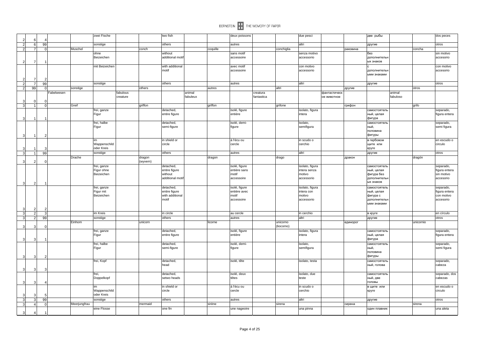|                         |                |               |           |              | zwei Fische    |          |          | two fish                 |          |          | deux poissons |            |            | due pesci       |              |          | две рыбы                    |           | dos peces           |
|-------------------------|----------------|---------------|-----------|--------------|----------------|----------|----------|--------------------------|----------|----------|---------------|------------|------------|-----------------|--------------|----------|-----------------------------|-----------|---------------------|
| $\overline{2}$          | 6              |               |           |              |                |          |          |                          |          |          |               |            |            |                 |              |          |                             |           |                     |
| $\overline{2}$          | 6              | 99            |           |              | sonstige       |          |          | others                   |          |          | autres        |            |            | altri           |              |          | другие                      |           | otros               |
| $\overline{2}$          | $\overline{7}$ | $\Omega$      |           | Muschel      |                |          | conch    |                          |          | coquille |               |            | conchiglia |                 |              | раковина |                             | concha    |                     |
|                         |                |               |           |              | ohne           |          |          | without                  |          |          | sans motif    |            |            | senza motivo    |              |          | без                         |           | sin motivo          |
|                         |                |               |           |              | Beizeichen     |          |          | additional motif         |          |          | accessoire    |            |            | accessorio      |              |          | дополнительн<br>ых знаков   |           | accesorio           |
| $\overline{2}$          | $\overline{7}$ |               |           |              |                |          |          |                          |          |          |               |            |            |                 |              |          |                             |           |                     |
|                         |                |               |           |              | mit Beizeicher |          |          | with additional<br>motif |          |          | avec motif    |            |            | con motivo      |              |          |                             |           | con motivo          |
|                         |                |               |           |              |                |          |          |                          |          |          | accessoire    |            |            | accessorio      |              |          | дополнительн<br>ыми знаками |           | accesorio           |
| $\overline{2}$          | 7              |               |           |              |                |          |          |                          |          |          |               |            |            |                 |              |          |                             |           |                     |
| $\overline{2}$          | $\overline{7}$ | 99            |           |              | sonstige       |          |          | others                   |          |          | autres        |            |            | altri           |              |          | другие                      |           | otros               |
| $\overline{2}$          | 99             | $\Omega$      |           |              |                |          | others   |                          |          | autres   |               |            | altri      |                 |              |          |                             | otros     |                     |
|                         |                |               | abelwesen | sonstige     |                | fabulous |          |                          | animal   |          |               | creatura   |            |                 | фантастическ | другие   |                             | animal    |                     |
|                         |                |               |           |              |                | creature |          |                          | fabuleux |          |               | fantastica |            |                 | ое животное  |          |                             | fabuloso  |                     |
| 3                       | $\sqrt{ }$     |               |           |              |                |          |          |                          |          |          |               |            |            |                 |              |          |                             |           |                     |
| 3                       | 1              |               |           | Greif        |                |          | griffon  |                          |          | griffon  |               |            | grifone    |                 |              | грифон   |                             | grifo     |                     |
|                         |                |               |           |              | frei, ganze    |          |          | detached,                |          |          | isolé, figure |            |            | isolato, figura |              |          | самостоятель                |           | separado,           |
|                         |                |               |           |              | Figur          |          |          | entire figure            |          |          | entière       |            |            | intera          |              |          | ный, целая                  |           | figura entera       |
| $\mathbf{3}$            | -1             |               |           |              |                |          |          |                          |          |          |               |            |            |                 |              |          | фигура                      |           |                     |
|                         |                |               |           |              | frei, halbe    |          |          | detached,                |          |          | isolé, demi-  |            |            | isolato,        |              |          | самостоятель                |           | separado,           |
|                         |                |               |           |              | Figur          |          |          | semi-figure              |          |          | figure        |            |            | semifigura      |              |          | ный,                        |           | semi figura         |
|                         |                |               |           |              |                |          |          |                          |          |          |               |            |            |                 |              |          | половина                    |           |                     |
| $\mathbf{3}$            | $\overline{1}$ |               |           |              |                |          |          |                          |          |          |               |            |            |                 |              |          | фигуры                      |           |                     |
|                         |                |               |           |              | im             |          |          | in shield or             |          |          | á l'écu ou    |            |            | in scudo o      |              |          | в гербовом                  |           | en escudo o         |
|                         |                |               |           |              | Wappenschild   |          |          | circle                   |          |          | cercle        |            |            | cerchio         |              |          | щите или                    |           | circulo             |
| 3                       | -1             |               |           |              | oder Kreis     |          |          |                          |          |          |               |            |            |                 |              |          | круге                       |           |                     |
| $\overline{3}$          | $\mathbf{1}$   | 99            |           |              | sonstige       |          |          | others                   |          |          | autres        |            |            | altri           |              |          | другие                      |           | otros               |
|                         |                |               |           | Drache       |                |          | dragon   |                          |          | dragon   |               |            | drago      |                 |              | дракон   |                             | dragón    |                     |
| 3                       | $\mathcal{P}$  | $\Omega$      |           |              |                |          | (wyvern) |                          |          |          |               |            |            |                 |              |          |                             |           |                     |
|                         |                |               |           |              | frei, ganze    |          |          | detached,                |          |          | isolé, figure |            |            | isolato, figura |              |          | самостоятель                |           | separado,           |
|                         |                |               |           |              | Figur ohne     |          |          | entire figure            |          |          | entière sans  |            |            | intera senza    |              |          | ный, целая                  |           | figura entera       |
|                         |                |               |           |              | Beizeichen     |          |          | without                  |          |          | motif         |            |            | motivo          |              |          | фигура без                  |           | sin motivo          |
|                         |                |               |           |              |                |          |          | additional motif         |          |          | accessoire    |            |            | accessorio      |              |          | дополнительн                |           | accesorio           |
| 3                       | 2              |               |           |              |                |          |          |                          |          |          |               |            |            |                 |              |          | ых знаков                   |           |                     |
|                         |                |               |           |              | frei, ganze    |          |          | detached,                |          |          | isolé, figure |            |            | isolato, figura |              |          | самостоятель                |           | separado,           |
|                         |                |               |           |              | Figur mit      |          |          | entire figure            |          |          | entière avec  |            |            | intera con      |              |          | ный, целая                  |           | figura entera       |
|                         |                |               |           |              | Beizeichen     |          |          | with additional          |          |          | motif         |            |            | motivo          |              |          | фигура с                    |           | con motivo          |
|                         |                |               |           |              |                |          |          | motif                    |          |          | accessoire    |            |            | accessorio      |              |          | дополнительн                |           | accesorio           |
|                         |                |               |           |              |                |          |          |                          |          |          |               |            |            |                 |              |          | ыми знаками                 |           |                     |
| $\vert$ 3               | $\overline{2}$ |               |           |              |                |          |          |                          |          |          |               |            |            |                 |              |          |                             |           |                     |
| $\overline{\mathbf{3}}$ | $\overline{2}$ |               |           |              | im Kreis       |          |          | in circle                |          |          | au cercle     |            |            | in cerchio      |              |          | в круге                     |           | en círculo          |
| دی                      | $\overline{2}$ | 99            |           |              | sonstige       |          |          | others                   |          |          | autres        |            |            | altri           |              |          | другие                      |           | otros               |
|                         |                |               |           | Einhorn      |                |          | unicorn  |                          |          | licorne  |               |            | unicorno   |                 |              | единорог |                             | unicornio |                     |
| 3                       | Э              | $\Omega$      |           |              |                |          |          |                          |          |          |               |            | (liocorno) |                 |              |          |                             |           |                     |
|                         |                |               |           |              | frei, ganze    |          |          | detached,                |          |          | isolé, figure |            |            | isolato, figura |              |          | самостоятель                |           | separado,           |
|                         |                |               |           |              | Figur          |          |          | entire figure            |          |          | entière       |            |            | intera          |              |          | ный, целая                  |           | figura entera       |
| $\overline{3}$          | Э              |               |           |              |                |          |          |                          |          |          |               |            |            |                 |              |          | фигура                      |           |                     |
|                         |                |               |           |              | frei, halbe    |          |          | detached,                |          |          | isolé, demi-  |            |            | isolato,        |              |          | самостоятель                |           | separado,           |
|                         |                |               |           |              | Figur          |          |          | semi-figure              |          |          | figure        |            |            | semifigura      |              |          | ный,<br>половина            |           | semi figura         |
|                         |                |               |           |              |                |          |          |                          |          |          |               |            |            |                 |              |          | фигуры                      |           |                     |
| $\mathbf{3}$            | 3              |               |           |              |                |          |          |                          |          |          |               |            |            |                 |              |          |                             |           |                     |
|                         |                |               |           |              | frei, Kopf     |          |          | detached,<br>head        |          |          | isolé, tête   |            |            | isolato, testa  |              |          | самостоятель<br>ный, голова |           | separado,<br>cabeza |
|                         | 3              | $\mathcal{R}$ |           |              |                |          |          |                          |          |          |               |            |            |                 |              |          |                             |           |                     |
| 3                       |                |               |           |              | frei,          |          |          | detached,                |          |          | isolé, deux   |            |            | isolato, due    |              |          | самостоятель                |           | separado, dos       |
|                         |                |               |           |              | Doppelkopf     |          |          | setwo heads              |          |          | têtes         |            |            | teste           |              |          | ный, две                    |           | cabezas             |
| $\mathbf{3}$            | 3              |               |           |              |                |          |          |                          |          |          |               |            |            |                 |              |          | головы                      |           |                     |
|                         |                |               |           |              | im             |          |          | in shield or             |          |          | á l'écu ou    |            |            | in scudo o      |              |          | в щите или                  |           | en escudo o         |
|                         |                |               |           |              | Wappenschild   |          |          | circle                   |          |          | cercle        |            |            | cerchio         |              |          | круге                       |           | circulo             |
|                         | s              |               |           |              | oder Kreis     |          |          |                          |          |          |               |            |            |                 |              |          |                             |           |                     |
| $\overline{\mathbf{3}}$ | $\mathbf{3}$   | 99            |           |              | sonstige       |          |          | others                   |          |          | autres        |            |            | altri           |              |          | другие                      |           | otros               |
| $\overline{\mathbf{3}}$ | $\overline{4}$ | $\Omega$      |           | Meerjungfrau |                |          | mermaid  |                          |          | sirène   |               |            | sirena     |                 |              | сирена   |                             | sirena    |                     |
|                         |                |               |           |              | eine Flosse    |          |          | one fin                  |          |          | une nageoire  |            |            | una pinna       |              |          | один плавник                |           | una aleta           |
| $\mathcal{R}$           | Δ              |               |           |              |                |          |          |                          |          |          |               |            |            |                 |              |          |                             |           |                     |
|                         |                |               |           |              |                |          |          |                          |          |          |               |            |            |                 |              |          |                             |           |                     |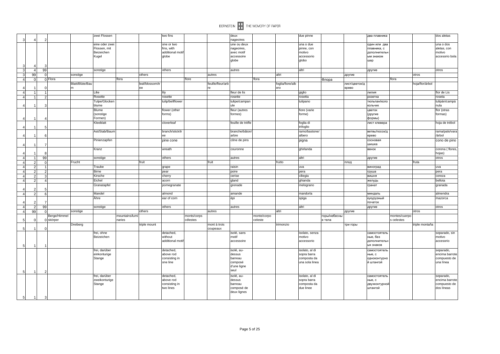|                  |                                  |                |                           |                                 |                                |                          |                       |                             |                         |                          | BERNSTEIN <b>THE MEMORY OF PAPER</b> |                        |                         |                               |                        |                        |                                       |                             |                 |                                |
|------------------|----------------------------------|----------------|---------------------------|---------------------------------|--------------------------------|--------------------------|-----------------------|-----------------------------|-------------------------|--------------------------|--------------------------------------|------------------------|-------------------------|-------------------------------|------------------------|------------------------|---------------------------------------|-----------------------------|-----------------|--------------------------------|
| $\mathbf{3}$     | $\Delta$                         | 2              |                           |                                 | zwei Flossen                   |                          |                       | two fins                    |                         |                          | deux<br>nageoires                    |                        |                         | due pinne                     |                        |                        | два плавника                          |                             |                 | dos aletas                     |
|                  |                                  |                |                           |                                 | eine oder zwei<br>Flossen, mit |                          |                       | one or two<br>fins, with    |                         |                          | une ou deux<br>nageoires,            |                        |                         | una o due<br>pinne, con       |                        |                        | один или два<br>плавника, с           |                             |                 | una o dos<br>aletas, con       |
|                  |                                  |                |                           |                                 | Beizeichen                     |                          |                       | additional motif            |                         |                          | avec motif                           |                        |                         | motivo                        |                        |                        | дополнительн                          |                             |                 | motivo                         |
|                  |                                  |                |                           |                                 | Kugel                          |                          |                       | globe                       |                         |                          | accessoire                           |                        |                         | accessorio                    |                        |                        | ым знаком                             |                             |                 | accesorio bola                 |
| $\overline{3}$   |                                  |                |                           |                                 |                                |                          |                       |                             |                         |                          | globe                                |                        |                         | qlobo                         |                        | шар                    |                                       |                             |                 |                                |
| $\overline{3}$   | 4                                | 99             |                           |                                 | sonstige                       |                          |                       | others                      |                         |                          | autres                               |                        |                         | altri                         |                        | другие                 |                                       |                             |                 | otros                          |
| $\overline{3}$   | 99                               |                |                           | sonstige                        |                                |                          | others                |                             |                         | autres                   |                                      |                        | altri                   |                               |                        | другие                 |                                       |                             | otros           |                                |
| $\overline{4}$   | $\overline{0}$                   |                | 0 Flora                   |                                 |                                | flora                    |                       |                             | flore                   |                          |                                      | flora                  |                         |                               | Флора                  |                        |                                       | flora                       |                 |                                |
|                  |                                  |                |                           | Blatt/Blüte/Bau<br><sub>m</sub> |                                |                          | leaf/blossom/tr<br>ee |                             |                         | feuille/fleur/arb<br>re  |                                      |                        | foglia/fiore/alb<br>ero |                               |                        | лист/цветок/д<br>ерево |                                       |                             | hoja/flor/árbol |                                |
| $\overline{4}$   | -1                               |                |                           |                                 | Lilie                          |                          |                       | lily                        |                         |                          | fleur de lis                         |                        |                         | giglio                        |                        | лилия                  |                                       |                             |                 | flor de Lis                    |
|                  |                                  |                |                           |                                 | Rosette                        |                          |                       | rosette                     |                         |                          | rosette                              |                        |                         | rosetta                       |                        | розетка                |                                       |                             |                 | roseta                         |
|                  |                                  |                |                           |                                 | Tulpe/Glocken                  |                          |                       | tulip/bellflower            |                         |                          | tulipe/campan                        |                        |                         | tulipano                      |                        |                        | тюльпан/коло                          |                             |                 | tulipán/campá                  |
|                  |                                  | з              |                           |                                 | blume                          |                          |                       |                             |                         |                          | ule                                  |                        |                         |                               |                        | кольчик                |                                       |                             |                 | nula                           |
|                  |                                  |                |                           |                                 | <b>Blume</b>                   |                          |                       | flower (other               |                         |                          | fleur (autres                        |                        |                         | fiore (varie                  |                        | цветок                 |                                       |                             |                 | flor (otras                    |
|                  |                                  |                |                           |                                 | (sonstige<br>Formen)           |                          |                       | forms)                      |                         |                          | formes)                              |                        |                         | forme)                        |                        | (другие<br>формы)      |                                       |                             |                 | formas)                        |
|                  |                                  | 5              |                           |                                 | Kleeblatt                      |                          |                       | cloverleat                  |                         |                          | feuille de trèfle                    |                        |                         | foglia di<br>trifoglio        |                        |                        | лист клевера                          |                             |                 | hoja de trébol                 |
|                  |                                  |                |                           |                                 | Ast/Stab/Baum                  |                          |                       | branch/stick/tr<br>ee       |                         |                          | branche/bâton,<br>arbre              |                        |                         | ramo/bastone<br>albero        |                        | ерево                  | ветвь/посох/д                         |                             |                 | rama/palo/vara<br>/árbol       |
|                  |                                  | -7             |                           |                                 | Pinienzapfen                   |                          |                       | pine cone                   |                         |                          | cône de pins                         |                        |                         | pigna                         |                        | шишка                  | сосновая                              |                             |                 | cono de pino                   |
|                  |                                  |                |                           |                                 | Kranz                          |                          |                       | wreath                      |                         |                          | couronne                             |                        |                         | ghirlanda                     |                        | венок                  |                                       |                             |                 | corona (flores,<br>hojas)      |
| $\left 4\right $ | 11                               | 99             |                           |                                 | sonstige                       |                          |                       | others                      |                         |                          | autres                               |                        |                         | altri                         |                        | другие                 |                                       |                             |                 | otros                          |
| $\overline{4}$   | $\overline{2}$                   |                |                           | Frucht                          |                                |                          | fruit                 |                             |                         | fruit                    |                                      |                        | frutto                  |                               |                        | плод                   |                                       |                             | fruta           |                                |
| $\overline{4}$   | 2                                |                |                           |                                 | Traube                         |                          |                       | grape                       |                         |                          | raisin                               |                        |                         | uva                           |                        |                        | виноград                              |                             |                 | uva                            |
| $\Delta$         | 2                                |                |                           |                                 | <b>Birne</b>                   |                          |                       | pear                        |                         |                          | poire                                |                        |                         | pera                          |                        | груша                  |                                       |                             |                 | pera                           |
| $\overline{4}$   | $\overline{2}$                   |                |                           |                                 | Kirsche                        |                          |                       | cherry                      |                         |                          | cerise                               |                        |                         | ciliegia                      |                        | вишня                  |                                       |                             |                 | cereza                         |
| $\overline{4}$   | 2 <sup>1</sup>                   |                |                           |                                 | Eichel                         |                          |                       | acorn                       |                         |                          | gland                                |                        |                         | qhianda                       |                        | желудь                 |                                       |                             |                 | bellota                        |
|                  |                                  |                |                           |                                 | Granatapfel                    |                          |                       | pomegranate                 |                         |                          | grenade                              |                        |                         | melograno                     |                        | гранат                 |                                       |                             |                 | granada                        |
| $\overline{4}$   | $\overline{2}$<br>$\overline{2}$ | -5             |                           |                                 | Mandel                         |                          |                       | almond                      |                         |                          | amande                               |                        |                         | mandorla                      |                        |                        | миндаль                               |                             |                 | almendra                       |
|                  |                                  |                |                           |                                 | Ähre                           |                          |                       | ear of corn                 |                         |                          |                                      |                        |                         |                               |                        |                        |                                       |                             |                 | mazorca                        |
|                  | $\overline{2}$                   | -7             |                           |                                 |                                |                          |                       |                             |                         |                          | épi                                  |                        |                         | spiga                         |                        | початок                | кукурузный                            |                             |                 |                                |
| $\overline{4}$   | $\overline{2}$                   | 99             |                           |                                 | sonstige                       |                          |                       | others                      |                         |                          | autres                               |                        |                         | altri                         |                        | другие                 |                                       |                             |                 | otros                          |
| $\overline{4}$   | 99                               |                |                           | sonstige                        |                                |                          | others                |                             |                         | autres                   |                                      |                        | altri                   |                               |                        | другие                 |                                       |                             | otros           |                                |
| 5                | $\Omega$                         |                | Berge/Himmel<br>0 skörper |                                 |                                | mountains/lumi<br>naries |                       |                             | monts/corps<br>célestes |                          |                                      | monte/corpo<br>celeste |                         |                               | горы/небесны<br>е тела |                        |                                       | montes/cuerpo<br>s celestes |                 |                                |
| 5 <sub>5</sub>   |                                  |                |                           | Dreiberg                        |                                |                          | triple mount          |                             |                         | mont à trois<br>coupeaux |                                      |                        | trimonzio               |                               |                        | три горы               |                                       |                             | triple montaña  |                                |
|                  |                                  |                |                           |                                 | frei, ohne                     |                          |                       | detached,                   |                         |                          | isolé, sans                          |                        |                         | isolato, senza                |                        |                        | самостоятель                          |                             |                 | separado, sin                  |
| 5 <sub>5</sub>   |                                  |                |                           |                                 | Beizeichen                     |                          |                       | without<br>additional motif |                         |                          | motif<br>accessoire                  |                        |                         | motivo<br>accessorio          |                        |                        | ные, без<br>дополнительн<br>ых знаков |                             |                 | motivo<br>accesorio            |
|                  |                                  |                |                           |                                 | frei, darüber                  |                          |                       | detached,                   |                         |                          | isolé, au-                           |                        |                         | isolato, al di                |                        |                        | самостоятель                          |                             |                 | separado,                      |
|                  |                                  |                |                           |                                 | einkonturige<br>Stange         |                          |                       | above rod<br>consisting in  |                         |                          | dessus<br>barreau                    |                        |                         | sopra barra<br>composta da    |                        | ные, с                 | одноконтурно                          |                             |                 | encima barrote<br>compuesto de |
|                  |                                  |                |                           |                                 |                                |                          |                       | one line                    |                         |                          | composé<br>d'une ligne<br>seul       |                        |                         | una sola linea                |                        |                        | й штангой                             |                             |                 | una línea                      |
| $5 \mid$         | $\overline{1}$                   | $\overline{2}$ |                           |                                 |                                |                          |                       |                             |                         |                          |                                      |                        |                         |                               |                        |                        |                                       |                             |                 |                                |
|                  |                                  |                |                           |                                 | frei, darüber<br>zweikonturige |                          |                       | detached,<br>above rod      |                         |                          | isolé, au-<br>dessus                 |                        |                         | isolato, al di<br>sopra barra |                        | ные, с                 | самостоятель                          |                             |                 | separado,<br>encima barrote    |
|                  |                                  |                |                           |                                 | Stange                         |                          |                       | consisting in               |                         |                          | barreau                              |                        |                         | composta da                   |                        |                        | двухконтурной                         |                             |                 | compuesto de                   |
|                  |                                  |                |                           |                                 |                                |                          |                       | two lines                   |                         |                          | composé de                           |                        |                         | due linee                     |                        | штангой                |                                       |                             |                 | dos líneas                     |
| $\mathbf{E}$     | $\blacksquare$                   | $\mathbf{r}$   |                           |                                 |                                |                          |                       |                             |                         |                          | deux lignes                          |                        |                         |                               |                        |                        |                                       |                             |                 |                                |
|                  |                                  |                |                           |                                 |                                |                          |                       |                             |                         |                          |                                      |                        |                         |                               |                        |                        |                                       |                             |                 |                                |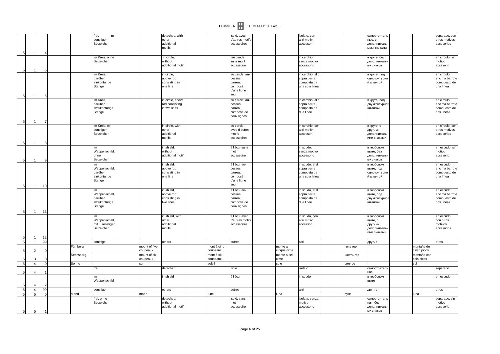

|                                |                |    |           | frei,<br>mit                |               | detached, with           |             | isolé, avec                 |             | isolato, con                    |           | самостоятель                |             | separado, con                    |
|--------------------------------|----------------|----|-----------|-----------------------------|---------------|--------------------------|-------------|-----------------------------|-------------|---------------------------------|-----------|-----------------------------|-------------|----------------------------------|
|                                |                |    |           | sonstigen                   |               | other                    |             | d'autres motifs             |             | altri motivi                    |           | ные, с                      |             | otros motivos                    |
|                                |                |    |           | Beizeichen                  |               | additional<br>motifs     |             | accessoires                 |             | accessori                       |           | дополнительн<br>ыми знаками |             | accesorios                       |
|                                |                |    |           |                             |               |                          |             |                             |             |                                 |           |                             |             |                                  |
| 5                              | -1             |    |           | im Kreis, ohne              |               | in circle,               |             | au cercle,                  |             | in cerchio,                     |           | в круге, без                |             | en círculo, sin                  |
|                                |                |    |           | Beizeichen                  |               | without                  |             | sans motif                  |             | senza motivo                    |           | дополнительн                |             | motivo                           |
|                                |                |    |           |                             |               | additional moti          |             | accessoire                  |             | accessorio                      |           | ых знаков                   |             | accesorio                        |
| 5                              | $\mathbf{1}$   |    |           |                             |               |                          |             |                             |             |                                 |           |                             |             |                                  |
|                                |                |    |           | im Kreis,                   |               | in circle,               |             | au cercle, au-              |             | in cerchio, al di               |           | в круге, под                |             | en círculo,                      |
|                                |                |    |           | darüber                     |               | above rod                |             | dessus                      |             | sopra barra                     |           | одноконтурно                |             | encima barrote                   |
|                                |                |    |           | einkonturige                |               | consisting in            |             | barreau                     |             | composta da                     |           | й штангой                   |             | compuesto de                     |
|                                |                |    |           | Stange                      |               | one line                 |             | composé                     |             | una sola linea                  |           |                             |             | una línea                        |
|                                |                |    |           |                             |               |                          |             | d'une ligne                 |             |                                 |           |                             |             |                                  |
| $\sqrt{5}$                     | $\mathbf 1$    |    |           |                             |               |                          |             | seul                        |             |                                 |           |                             |             |                                  |
|                                |                |    |           | im Kreis.                   |               | in circle, above         |             | au cercle, au-              |             | in cerchio, al di               |           | в круге, под                |             | en círculo,                      |
|                                |                |    |           | darüber                     |               | rod consisting           |             | dessus                      |             | sopra barra                     |           | двухконтурной               |             | encima barrote                   |
|                                |                |    |           | zweikonturige               |               | in two lines             |             | barreau                     |             | composta da                     |           | штангой                     |             | compuesto de                     |
|                                |                |    |           | Stange                      |               |                          |             | composé de                  |             | due linee                       |           |                             |             | dos líneas                       |
|                                |                |    |           |                             |               |                          |             | deux lignes                 |             |                                 |           |                             |             |                                  |
| $\sqrt{5}$                     | 1              |    |           |                             |               |                          |             |                             |             |                                 |           |                             |             |                                  |
|                                |                |    |           | im Kreis, mit<br>sonstigen  |               | in circle, with<br>other |             | au cercle,<br>avec d'autres |             | in cerchio, con<br>altri motivi |           | в круге, с<br>другими       |             | en círculo, con<br>otros motivos |
|                                |                |    |           | Beizeichen                  |               | additional               |             | motifs                      |             | accessori                       |           | дополнительн                |             | accesorios                       |
|                                |                |    |           |                             |               | motifs                   |             | accessoires                 |             |                                 |           | ими знаками                 |             |                                  |
| 5                              | -1             |    |           |                             |               |                          |             |                             |             |                                 |           |                             |             |                                  |
|                                |                |    |           | im                          |               | in shield,               |             | á l'écu, sans               |             | in scudo,                       |           | в гербовом                  |             | en escudo, sin                   |
|                                |                |    |           | Wappenschild                |               | without                  |             | motif                       |             | senza motivo                    |           | щите, без                   |             | motivo                           |
|                                |                |    |           | ohne                        |               | additional moti          |             | accessoire                  |             | accessorio                      |           | дополнительн                |             | accesorio                        |
| 5                              | $\mathbf{1}$   |    |           | Beizeichen                  |               |                          |             |                             |             |                                 |           | ых знаков                   |             |                                  |
|                                |                |    |           | im                          |               | in shield,               |             | á l'écu, au-                |             | in scudo, al di                 |           | в гербовом                  |             | en escudo.                       |
|                                |                |    |           | Wappenschild,               |               | above rod                |             | dessus                      |             | sopra barra                     |           | щите, под                   |             | encima barrote                   |
|                                |                |    |           | darüber                     |               | consisting in            |             | barreau                     |             | composta da                     |           | одноконтурно                |             | compuesto de                     |
|                                |                |    |           | einkonturige                |               | one line                 |             | composé                     |             | una sola linea                  |           | й штангой                   |             | una línea                        |
|                                |                |    |           | Stange                      |               |                          |             | d'une ligne                 |             |                                 |           |                             |             |                                  |
| 5                              | 1              | 10 |           |                             |               |                          |             | seul                        |             |                                 |           |                             |             |                                  |
|                                |                |    |           | im                          |               | in shield,               |             | á l'écu, au-                |             | in scudo, al di                 |           | в гербовом                  |             | en escudo.                       |
|                                |                |    |           | Wappenschild                |               | above rod                |             | dessus                      |             | sopra barra                     |           | щите, под                   |             | encima barrote                   |
|                                |                |    |           | darüber                     |               | consisting in            |             | barreau                     |             | composta da                     |           | двухконтурной               |             | compuesto de                     |
|                                |                |    |           | zweikonturige               |               | two lines                |             | composé de                  |             | due linee                       |           | штангой                     |             | dos líneas                       |
|                                |                |    |           | Stange                      |               |                          |             | deux lignes                 |             |                                 |           |                             |             |                                  |
| $\overline{5}$                 | 11             | 11 |           |                             |               |                          |             |                             |             |                                 |           |                             |             |                                  |
|                                |                |    |           | im                          |               | in shield, with          |             | á l'écu, avec               |             | in scudo, con                   |           | в гербовом                  |             | en escudo.                       |
|                                |                |    |           | Wappenschild,               |               | other                    |             | d'autres motifs             |             | altri motivi                    |           | щите, с                     |             | con otros                        |
|                                |                |    |           | mit sonstigen<br>Beizeichen |               | additional<br>motifs     |             | accessoires                 |             | accessori                       |           | другими<br>дополнительн     |             | motivos                          |
|                                |                |    |           |                             |               |                          |             |                             |             |                                 |           | ими знаками                 |             | accesorios                       |
| 5                              | $\mathbf{1}$   | 12 |           |                             |               |                          |             |                             |             |                                 |           |                             |             |                                  |
| $\overline{\phantom{a}}$       | 1              | 99 |           | sonstige                    |               | others                   |             | autres                      |             | altri                           |           | другие                      |             | otros                            |
|                                |                |    | Fünfberg  |                             | mount of five |                          | mont à cinq |                             | monte a     |                                 | пять гор  |                             | montaña de  |                                  |
| 5                              | $\overline{2}$ |    |           |                             | coupeaux      |                          | coupeaux    |                             | cinque cime |                                 |           |                             | cinco picos |                                  |
|                                |                |    | Sechsberg |                             | mount of six  |                          | mont à six  |                             | monte a sei |                                 | шесть гор |                             | montaña con |                                  |
| -5                             | 3              |    |           |                             | coupeaux      |                          | coupeaux    |                             | cime        |                                 |           |                             | seis picos  |                                  |
| 5                              | 4 <sup>1</sup> |    | Sonne     |                             | sun           |                          | soleil      |                             | sole        |                                 | солнце    |                             | sol         |                                  |
|                                |                |    |           | frei                        |               | detached                 |             | isolé                       |             | isolato                         |           | самостоятель                |             | separado                         |
| 5                              | Δ              |    |           |                             |               |                          |             |                             |             |                                 |           | ное                         |             |                                  |
|                                |                |    |           | im                          |               | in shield                |             | á l'écu                     |             | in scudo                        |           | в гербовом                  |             | en escudo                        |
|                                |                |    |           | Wappenschild                |               |                          |             |                             |             |                                 |           | щите                        |             |                                  |
| 5                              |                |    |           |                             |               |                          |             |                             |             |                                 |           |                             |             |                                  |
| $\mathbf{5}$<br>$\overline{5}$ | 4 <sup>1</sup> | 99 | Mond      | sonstige                    |               | others                   | lune        | autres                      |             | altri                           |           | другие                      |             | otros                            |
|                                | 5 <sub>l</sub> |    |           |                             | moon          |                          |             |                             | luna        |                                 | луна      |                             | luna        |                                  |
|                                |                |    |           | frei, ohne<br>Beizeichen    |               | detached,<br>without     |             | isolé, sans<br>motif        |             | isolata, senza<br>motivo        |           | самостоятель<br>ная, без    |             | separado, sin<br>motivo          |
|                                |                |    |           |                             |               | additional motif         |             | accessoire                  |             | accessorio                      |           | дополнительн                |             | accesorio                        |
| $5\phantom{.0}$                | 5 <sub>l</sub> |    |           |                             |               |                          |             |                             |             |                                 |           | ых знаков                   |             |                                  |
|                                |                |    |           |                             |               |                          |             |                             |             |                                 |           |                             |             |                                  |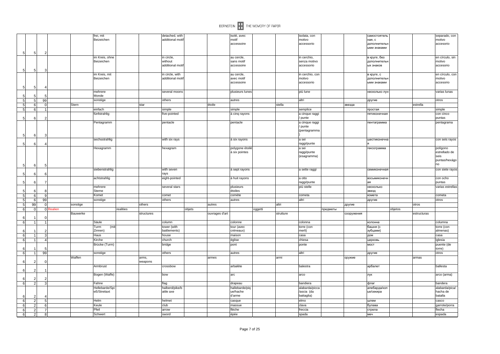|        |                |                |        |          |                              |           |                  |                                     |        |                | BERNSTEIN <b>THE MEMORY OF PAPER</b>   |         |           |                                                    |          |            |                                                       |         |             |                                                          |
|--------|----------------|----------------|--------|----------|------------------------------|-----------|------------------|-------------------------------------|--------|----------------|----------------------------------------|---------|-----------|----------------------------------------------------|----------|------------|-------------------------------------------------------|---------|-------------|----------------------------------------------------------|
|        |                |                |        |          | frei, mit<br>Beizeichen      |           |                  | detached, with<br>additional motil  |        |                | isolé, avec<br>motif<br>accessoire     |         |           | isolata, con<br>motivo<br>accessorio               |          |            | самостоятель<br>ная, с<br>дополнительн<br>ыми знаками |         |             | separado, con<br>motivo<br>accesorio                     |
| 51     | 5              | 2              |        |          | im Kreis, ohne<br>Beizeichen |           |                  | in circle,<br>without               |        |                | au cercle.<br>sans motif               |         |           | in cerchio,<br>senza motivo                        |          |            | в круге, без<br>дополнительн                          |         |             | en círculo, sin<br>motivo                                |
| 5      | 5              | Э              |        |          |                              |           |                  | additional motif                    |        |                | accessoire                             |         |           | accessorio                                         |          |            | ых знаков                                             |         |             | accesorio                                                |
| 5.     | 5              |                |        |          | im Kreis, mit<br>Beizeichen  |           |                  | in circle, with<br>additional motif |        |                | au cercle,<br>avec motif<br>accessoire |         |           | in cerchio, con<br>motivo<br>accessorio            |          |            | в круге, с<br>дополнительн<br>ыми знаками             |         |             | en círculo, con<br>motivo<br>accesorio                   |
|        |                |                |        |          | mehrere<br>Monde             |           |                  | several moons                       |        |                | plusieurs lunes                        |         |           | più lune                                           |          |            | несколько лун                                         |         |             | varias lunas                                             |
|        | 5 <sub>l</sub> | 99             |        |          | sonstige                     |           |                  | others                              |        |                | autres                                 |         |           | altri                                              |          |            | другие                                                |         |             | otros                                                    |
|        | 6              |                |        | Stern    |                              |           | star             |                                     |        | étoile         |                                        |         | stella    |                                                    |          | звезда     |                                                       |         | estrella    |                                                          |
| 5      | 6              |                |        |          | einfach                      |           |                  | simple                              |        |                | simple                                 |         |           | semplice                                           |          |            | простая                                               |         |             | simple                                                   |
|        |                |                |        |          | fünfstrahlig                 |           |                  | five-pointed                        |        |                | à cinq rayons                          |         |           | a cinque raggi                                     |          |            | пятиконечная                                          |         |             | con cinco                                                |
| 5<br>5 | -6<br>6        | З              |        |          | Pentagramm                   |           |                  | pentacle                            |        |                | pentacle                               |         |           | punte<br>a cinque raggi<br>/ punte<br>(pentagramma |          |            | пентаграмма                                           |         |             | puntas<br>pentagrama                                     |
| 5      | -6             |                |        |          | sechsstrahlig                |           |                  | with six rays                       |        |                | à six rayons                           |         |           | a sei<br>raggi/punte                               |          |            | шестиконечна                                          |         |             | con seis rayos                                           |
| 5      | 6              | 5              |        |          | Hexagramm                    |           |                  | hexagram                            |        |                | polygone étoil<br>à six pointes        |         |           | a sei<br>raggi/punte<br>(esagramma)                |          |            | гексограмма                                           |         |             | polígono<br>estrellado de<br>seis<br>puntas/hexágo<br>no |
| 5      | 6              | F              |        |          | siebenstrahlig               |           |                  | with seven<br>rays                  |        |                | à sept rayons                          |         |           | a sette raggi                                      |          |            | семиконечная                                          |         |             | con siete rayos                                          |
|        | -6             | $\overline{7}$ |        |          | achtstrahlig                 |           |                  | eight-pointed                       |        |                | à huit rayons                          |         |           | a otto<br>raggi/punte                              |          |            | восьмиконечн<br>ая                                    |         |             | con ocho<br>puntas                                       |
|        |                |                |        |          | mehrere<br>Sterne            |           |                  | several stars                       |        |                | plusieurs<br>étoiles                   |         |           | più stelle                                         |          |            | несколько<br>звезд                                    |         |             | varias estrellas                                         |
|        | 6              |                |        |          | Komet                        |           |                  | comet                               |        |                | comète                                 |         |           | cometa                                             |          |            | комета                                                |         |             | cometa                                                   |
|        | 6              | 99             |        |          | sonstige                     |           |                  | others                              |        |                | autres                                 |         |           | altri                                              |          |            | другие                                                |         |             | otros                                                    |
|        | 99             |                |        | sonstige |                              |           | others           |                                     |        | autres         |                                        |         | altri     |                                                    |          | другие     |                                                       |         | otros       |                                                          |
| 6      | $\mathbf 0$    | C              | ealien |          |                              | realities |                  |                                     | objets |                |                                        | oggetti |           |                                                    | предметы |            |                                                       | objetos |             |                                                          |
|        |                |                |        | Bauwerke |                              |           | structures       |                                     |        | ouvrages d'art |                                        |         | strutture |                                                    |          | сооружения |                                                       |         | estructuras |                                                          |
| 6      | $\mathbf{1}$   |                |        |          | Säule                        |           |                  | column                              |        |                | colonne                                |         |           | colonna                                            |          |            | колонна                                               |         |             | columna                                                  |
|        |                |                |        |          | Turm<br>(mit                 |           |                  | tower (with                         |        |                | tour (avec                             |         |           | torre (con                                         |          |            | башня (с                                              |         |             | torre (con                                               |
|        |                |                |        |          | Zinnen)                      |           |                  | battlements)                        |        |                | créneaux)                              |         |           | merli)                                             |          |            | зубцами)                                              |         |             | almenas)                                                 |
| 6      | $\overline{1}$ |                |        |          | Haus                         |           |                  | house                               |        |                | maison                                 |         |           | casa                                               |          |            | дом                                                   |         |             | casa                                                     |
| 6      | $\overline{1}$ | $\Delta$       |        |          | Kirche                       |           |                  | church                              |        |                | église                                 |         |           | chiesa                                             |          |            | церковь                                               |         |             | iglesia                                                  |
|        |                |                |        |          | Brücke (Turm)                |           |                  | bridge                              |        |                | pont                                   |         |           | ponte                                              |          |            | <b>MOCT</b>                                           |         |             | puente (de<br>torre)                                     |
| 6      | $\overline{1}$ | 99             |        |          | sonstige                     |           |                  | others                              |        |                | autres                                 |         |           | altri                                              |          |            | другие                                                |         |             | otros                                                    |
| 6      |                |                |        | Waffen   |                              |           | arms,<br>weapons |                                     |        | armes          |                                        |         | armi      |                                                    |          | оружие     |                                                       |         | armas       |                                                          |
|        |                |                |        |          | Armbrust                     |           |                  | crossbow                            |        |                | arbalète                               |         |           | balestra                                           |          |            | арбалет                                               |         |             | ballesta                                                 |
|        |                |                |        |          | Bogen (Waffe)                |           |                  | bow                                 |        |                | arc                                    |         |           | arco                                               |          |            | лук                                                   |         |             | arco (arma)                                              |
| 6      | $\overline{2}$ |                |        |          | Fahne                        |           |                  | flag                                |        |                | drapeau                                |         |           | bandiera                                           |          |            | флаг                                                  |         |             | bandera                                                  |
|        |                |                |        |          | Hellebarde/Spi               |           |                  | halberd/pike/b                      |        |                | hallebarde/piq                         |         |           | alabarda/picca                                     |          |            | алебарда/коп                                          |         |             | alabarda/pica/                                           |
|        |                |                |        |          | eß/Streitaxt                 |           |                  | attle axe                           |        |                | ue/hache<br>d'arme                     |         |           | /ascia (da<br>battaglia)                           |          |            | ье/секира                                             |         |             | hacha de<br>batalla                                      |
| 6      | $\overline{2}$ | -5             |        |          | Helm                         |           |                  | helmet                              |        |                | casque                                 |         |           | elmo                                               |          |            | шлем                                                  |         |             | casco                                                    |
| 61     | $\overline{2}$ | 6              |        |          | Keule                        |           |                  | club                                |        |                | massue                                 |         |           | clava                                              |          |            | булава                                                |         |             | garrote/porra                                            |
| 6      | $\overline{2}$ | 7              |        |          | Pfeil                        |           |                  | arrow                               |        |                | lèche                                  |         |           | freccia                                            |          |            | стрела                                                |         |             | flecha                                                   |

 $6$ 

 $\overline{6}$ 

 $6$ 

 $\overline{2}$  8

Schwert sword épée spada меч espada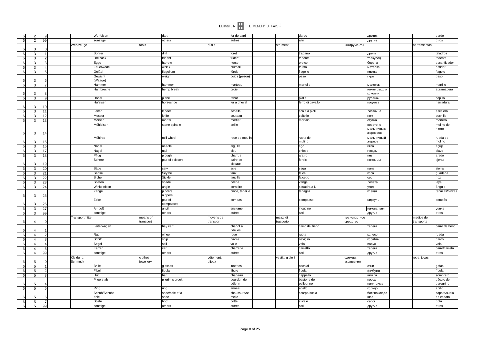| ĥ<br>$\overline{2}$          |                | Wurfeisen       | dart      |                  |           | fer de dard     |                   | dardo            |              | дротик       |              | dardo          |
|------------------------------|----------------|-----------------|-----------|------------------|-----------|-----------------|-------------------|------------------|--------------|--------------|--------------|----------------|
| $\overline{2}$<br>$6 \mid$   | 99             | sonstige        |           | others           |           | autres          |                   | altri            |              | другие       |              | otros          |
|                              |                | Werkzeuge       | tools     |                  | outils    |                 | strumenti         |                  | инструменты  |              | herramientas |                |
| 6<br>3                       |                |                 |           |                  |           |                 |                   |                  |              |              |              |                |
| 6<br>3                       |                | Bohrer          | drill     |                  |           | foret           |                   | trapano          |              | дрель        |              | taladros       |
| 6<br>3                       |                | Dreizack        |           | trident          |           | trident         |                   | tridente         |              | трезубец     |              | tridente       |
|                              |                |                 |           | harrow           |           | herse           |                   |                  |              |              |              | escarificador  |
| 6<br>3                       |                | Egge            |           |                  |           |                 |                   | erpice           |              | борона       |              |                |
| 6<br>3                       |                | Feuerwedel      |           | whisk            |           | plumail         |                   | frusta           |              | метелка      |              | batidor        |
| 6<br>3                       |                | Geißel          |           | flagellum        |           | férule          |                   | flagello         |              | плетка       |              | flagelo        |
|                              |                | Gewicht         |           | weight           |           | poids (peson)   |                   | peso             |              | гиря         |              | peso           |
|                              |                | (Waage)         |           |                  |           |                 |                   |                  |              |              |              |                |
| 6<br>3                       | 7              | Hammer          |           | hammer           |           | marteau         |                   | martello         |              | молоток      |              | martillo       |
|                              |                |                 |           |                  |           |                 |                   |                  |              |              |              |                |
|                              |                | Hanfbreche      |           | hemp break       |           | broie           |                   |                  |              | ножницы для  |              | agramadera     |
| ĥ<br>3                       |                |                 |           |                  |           |                 |                   |                  |              | конопли      |              |                |
| 6<br>$\mathcal{R}$           | $\circ$        | Hobel           |           | plane            |           | rabot           |                   | pialla           |              | рубанок      |              | cepillo        |
|                              |                | Hufeisen        |           | horseshoe        |           | fer à cheval    |                   | ferro di cavallo |              | подкова      |              | herradura      |
|                              | 1 <sub>0</sub> |                 |           |                  |           |                 |                   |                  |              |              |              |                |
| $6 \mid$<br>3                | 11             | Leiter          |           | ladder           |           | échelle         |                   | scala a pioli    |              | лестница     |              | escalera       |
| 6<br>3                       | 12             | Messer          | knife     |                  |           | couteau         |                   | coltello         |              | нож          |              | cuchillo       |
|                              |                |                 |           |                  |           |                 |                   |                  |              |              |              |                |
| $\mathbf{3}$<br>6            | 13             | Mörser          |           | mortar           |           | mortier         |                   | mortaio          |              | ступка       |              | mortero        |
|                              |                | Mühleisen       |           | stone spindle    |           | anille          |                   |                  |              | веретено     |              | molino de      |
|                              |                |                 |           |                  |           |                 |                   |                  |              | мельничных   |              | hierro         |
| 3<br>6                       | -14            |                 |           |                  |           |                 |                   |                  |              | жерновов     |              |                |
|                              |                | Mühlrad         |           | mill wheel       |           | roue de moulin  |                   | ruota del        |              | мельничный   |              | rueda de       |
|                              | 15             |                 |           |                  |           |                 |                   | mulino           |              | жернов       |              | molino         |
| ĥ.<br>3                      | 16             | Nadel           |           | needle           |           | aiguille        |                   | ago              |              | игла         |              | aguja          |
|                              |                |                 | nail      |                  |           | clou            |                   | chiodo           |              | ГВОЗДЬ       |              | clavo          |
| 6<br>3                       | 17             | Nagel           |           |                  |           |                 |                   |                  |              |              |              |                |
| 3<br>6                       | 18             | Pflug           |           | plough           |           | charrue         |                   | aratro           |              | плуг         |              | arado          |
|                              |                | Schere          |           | pair of scissors |           | paire de        |                   | forbici          |              | ножницы      |              | tijeras        |
| 3<br>ĥ                       | 19             |                 |           |                  |           | ciseaux         |                   |                  |              |              |              |                |
| ĥ<br>3                       | 20             | Säge            | saw       |                  |           | scie            |                   | sega             |              | пила         |              | sierra         |
| 3<br>6                       | 21             | Sense           |           | Scythe           |           | faux            |                   | falce            |              | коса         |              | guadaña        |
| $6 \mid$<br>3                |                | Sichel          |           | Sickle           |           | faucille        |                   | falcetto         |              |              |              |                |
|                              | 22             |                 |           |                  |           |                 |                   |                  |              | серп         |              | hoz            |
| 3                            | 23             | Spaten          |           | spade            |           | bêche           |                   | vanga            |              | лопата       |              | laya           |
| 6<br>3                       | 24             | Winkeleisen     |           | angle            |           | cornière        |                   | squadra a L      |              | угол         |              | ángulo         |
|                              |                | Zange           |           | pincers,         |           | pince, tenaille |                   | tenaglia         |              | клещи        |              | tenazas/pinzas |
| 6<br>3                       | 25             |                 |           | nippers          |           |                 |                   |                  |              |              |              |                |
|                              |                | Zirkel          |           | pair of          |           | compas          |                   | compasso         |              | циркуль      |              | compás         |
| ĥ<br>3                       | 26             |                 |           | compasses        |           |                 |                   |                  |              |              |              |                |
| 6                            | 27             | <b>Amboß</b>    | anvil     |                  |           | enclume         |                   | incudine         |              | наковальня   |              | yunke          |
| 3                            |                |                 |           |                  |           |                 |                   |                  |              |              |              |                |
| $\overline{\mathbf{3}}$<br>6 | 99             | sonstige        |           | others           |           | autres          |                   | altri            |              | другие       |              | otros          |
|                              |                | Transportmittel | means of  |                  | moyens de |                 | mezzi di          |                  | транспортное |              | medios de    |                |
| 6                            |                |                 | transport |                  | transport |                 | trasporto         |                  | средство     |              | transporte   |                |
|                              |                | Leiterwagen     |           | hay cart         |           | chariot à       |                   | carro del fieno  |              | телега       |              | carro de heno  |
|                              |                |                 |           |                  |           | ridelles        |                   |                  |              |              |              |                |
| $6 \mid$<br>$\Delta$         |                | Rad             |           | wheel            |           | roue            |                   | ruota            |              | колесо       |              | rueda          |
| 6                            |                | Schiff          | ship      |                  |           | navire          |                   | naviglio         |              | корабль      |              | barco          |
|                              |                |                 |           |                  |           |                 |                   |                  |              |              |              |                |
| 6<br>4                       |                | Segel           | sail      |                  |           | voile           |                   | vela             |              | парус        |              | vela           |
| 6                            |                | Karren          | cart      |                  |           | charrette       |                   | carretto         |              | телега       |              | carro/carreta  |
| 6<br>$\overline{4}$          | 99             | sonstige        |           | others           |           | autres          |                   | altri            |              | другие       |              | otros          |
|                              |                | Kleidung,       | clothes.  |                  | vêtement, |                 | vestiti, gioielli |                  | одежда,      |              | ropa, joyas  |                |
|                              |                | Schmuck         | jewellery |                  | bijoux    |                 |                   |                  | украшения    |              |              |                |
| 6<br>5                       |                | <b>Brille</b>   |           | glasses          |           | lunettes        |                   | occhiali         |              | очки         |              | gafas          |
|                              |                |                 |           |                  |           |                 |                   |                  |              |              |              |                |
| 6<br>5                       |                | Fibel           |           | fibula           |           | fibule          |                   | fibula           |              | фибула       |              | fíbula         |
| 5<br>6                       |                | Hut             | hat       |                  |           | chapeau         |                   | cappello         |              | шляпа        |              | sombrero       |
|                              |                | Pilgerstab      |           | pilgrim's crook  |           | bourdon de      |                   | bastone del      |              | посох        |              | báculo de      |
| 5                            |                |                 |           |                  |           | pélerin         |                   | pellegrino       |              | пилигрима    |              | peregrino      |
| $6 \mid$<br>5                |                | Ring            | ring      |                  |           | anneau          |                   | anello           |              | кольцо       |              | anillo         |
|                              |                | Schuh/Schuhs    |           | shoe/sole of a   |           | chaussure/se    |                   | scarpa/suola     |              | ботинок/подо |              | zapato/suela   |
|                              |                | ohle            | shoe      |                  |           | melle           |                   |                  |              |              |              |                |
| 5                            |                |                 |           |                  |           |                 |                   |                  |              | шва          |              | de zapato      |
| 6<br>5                       |                | Stiefel         | boot      |                  |           | botte           |                   | stivale          |              | сапог        |              | bota           |
| $6 \mid$<br>5 <sub>5</sub>   | 99             | sonstige        |           | others           |           | autres          |                   | altri            |              | другие       |              | otros          |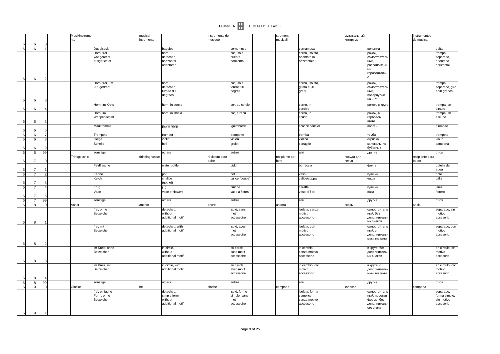|                            |    | Musikinstrume |                         | musical         |                                   | instruments de |                      | strumenti      |                 | музыкальный |                        | instrumentos    |                 |
|----------------------------|----|---------------|-------------------------|-----------------|-----------------------------------|----------------|----------------------|----------------|-----------------|-------------|------------------------|-----------------|-----------------|
|                            |    | nte           |                         | intruments      |                                   | musique        |                      | musicali       |                 | инструмент  |                        | de música       |                 |
| 6                          |    |               |                         |                 |                                   |                |                      |                |                 |             |                        |                 |                 |
| 6<br>6                     |    |               | <b>Dudelsack</b>        |                 | bagpipe                           |                | cornemuse            |                | cornamusa       |             | волынка                |                 | gaita           |
|                            |    |               | Horn, frei,             |                 | horn,                             |                | cor, isolé,          |                | corno, isolato, |             | рожок,                 |                 | trompa,         |
|                            |    |               | waagerecht              |                 | detached,                         |                | orienté              |                | orientato in    |             | самостоятель           |                 | separado,       |
|                            |    |               | ausgerichtet            |                 | horizontal                        |                | horizontal           |                | orizzontale     |             | ный,                   |                 | orientado       |
|                            |    |               |                         |                 | orientated                        |                |                      |                |                 |             | расположенн            |                 | horizontal      |
|                            |    |               |                         |                 |                                   |                |                      |                |                 |             | ый                     |                 |                 |
|                            |    |               |                         |                 |                                   |                |                      |                |                 |             | горизонтальн           |                 |                 |
|                            |    |               |                         |                 |                                   |                |                      |                |                 |             |                        |                 |                 |
| $6 \mid$<br>6              |    |               |                         |                 |                                   |                |                      |                |                 |             |                        |                 |                 |
|                            |    |               | Horn, frei, um          |                 | horn,                             |                | cor, isolé,          |                | corno, isolato, |             | рожок,                 |                 | trompa,         |
|                            |    |               | 90° gedreht             |                 | detached,                         |                | tourné 90            |                | girato a 90     |             | самостоятель           |                 | separado, giro  |
|                            |    |               |                         |                 | turned 90                         |                | degrés               |                | gradi           |             | ный,                   |                 | a 90 grados     |
|                            |    |               |                         |                 | degrees                           |                |                      |                |                 |             | повернутый             |                 |                 |
| 6<br>6                     |    |               |                         |                 |                                   |                |                      |                |                 |             | на 90°                 |                 |                 |
|                            |    |               | Horn, im Kreis          |                 | horn, in cercle                   |                | cor, au cercle       |                | corno, in       |             | рожок, в круге         |                 | trompa, en      |
| 6                          |    |               |                         |                 |                                   |                |                      |                | cerchio         |             |                        |                 | círculo         |
| 6                          |    |               |                         |                 |                                   |                |                      |                |                 |             |                        |                 |                 |
|                            |    |               | Horn, im                |                 | horn, in shield                   |                | cor, á l'écu         |                | corno, in       |             | рожок, в               |                 | trompa, en      |
|                            |    |               | Wappenschild            |                 |                                   |                |                      |                | scudo           |             | гербовом               |                 | escudo          |
| 6<br>6                     |    |               |                         |                 |                                   |                |                      |                |                 |             | щите                   |                 |                 |
|                            |    |               | Maultrommel             |                 | jaw's harp                        |                | guimbarde            |                | scacciapensier  |             | варган                 |                 | birimbao        |
| 6                          |    |               |                         |                 |                                   |                |                      |                |                 |             |                        |                 |                 |
| 6<br>6                     |    |               | Trompete                |                 | trumpet                           |                | trompette            |                | tromba          |             | труба                  |                 | trompeta        |
| 6<br>6                     |    |               | Geige                   |                 | violin                            |                | violon               |                | violino         |             | скрипка                |                 | violín          |
|                            |    |               | Schelle                 |                 | bell                              |                |                      |                |                 |             | колокольчик,           |                 |                 |
|                            |    |               |                         |                 |                                   |                | grelot               |                | sonaglio        |             | бубенчик               |                 | campana         |
| 6                          |    |               |                         |                 |                                   |                |                      |                |                 |             |                        |                 |                 |
| 6<br>6                     | 99 |               | sonstige                |                 | others                            |                | autres               |                | altri           |             | другие                 |                 | otros           |
|                            |    | Trinkgeschirr |                         | drinking vessel |                                   | récipient pour |                      | recipiente per |                 | посуда для  |                        | recipiente para |                 |
| 6<br>7                     |    |               |                         |                 |                                   | boire          |                      | bere           |                 | ПИТЬЯ       |                        | beber           |                 |
|                            |    |               | Feldflasche             |                 | water bottle                      |                | bidon                |                | borraccia       |             | фляга                  |                 | botella de      |
| 6<br>$\overline{7}$        |    |               |                         |                 |                                   |                |                      |                |                 |             |                        |                 | agua            |
| $\overline{7}$<br>6        |    |               | Kanne                   |                 | pot                               |                | pot                  |                | vaso            |             | кувшин                 |                 | bote            |
|                            |    |               | Kelch                   |                 | chalice                           |                | calice (coupe)       |                | calice/coppa    |             | чаша                   |                 | cáliz           |
| 6<br>7                     |    |               |                         |                 | (goblet)                          |                |                      |                |                 |             |                        |                 |                 |
| $\overline{7}$             |    |               | Krug                    |                 |                                   |                | cruche               |                | caraffa         |             |                        |                 | jarra           |
| $6 \mid$                   |    |               |                         |                 | jug                               |                |                      |                |                 |             | кувшин                 |                 |                 |
|                            |    |               | Vase                    |                 | vase of flowers                   |                | vase à fleurs        |                | vaso di fiori   |             | ваза                   |                 | florero         |
| 6<br>7                     |    |               |                         |                 |                                   |                |                      |                |                 |             |                        |                 |                 |
| $6 \mid$<br>$\overline{7}$ | 99 |               | sonstige                |                 | others                            |                | autres               |                | altri           |             | другие                 |                 | otros           |
| 8<br>6                     |    | Anker         |                         | anchor          |                                   | ancre          |                      | ancora         |                 | якорь       |                        | ancla           |                 |
|                            |    |               | frei, ohne              |                 | detached,                         |                | isolé, sans          |                | isolata, senza  |             | самостоятель           |                 | separado, sin   |
|                            |    |               | Beizeichen              |                 | without                           |                | motif                |                | motivo          |             | ный, без               |                 | motivo          |
|                            |    |               |                         |                 | additional moti                   |                | accessoire           |                | accessorio      |             | дополнителы            |                 | accesorio       |
| $6 \mid$<br>8              |    |               |                         |                 |                                   |                |                      |                |                 |             | ых знаков              |                 |                 |
|                            |    |               |                         |                 |                                   |                |                      |                |                 |             |                        |                 |                 |
|                            |    |               | frei, mit<br>Beizeichen |                 | detached, with<br>additional moti |                | isolé, avec<br>motif |                | isolata, con    |             | самостоятель<br>ный, с |                 | separado, con   |
|                            |    |               |                         |                 |                                   |                |                      |                | motivo          |             |                        |                 | motivo          |
|                            |    |               |                         |                 |                                   |                | accessoire           |                | accessorio      |             | дополнительн           |                 | accesorio       |
|                            |    |               |                         |                 |                                   |                |                      |                |                 |             | ыми знаками            |                 |                 |
| 6<br>8                     |    |               |                         |                 |                                   |                |                      |                |                 |             |                        |                 |                 |
|                            |    |               | im Kreis, ohne          |                 | in circle,                        |                | au cercle,           |                | in cerchio,     |             | в круге, без           |                 | en círculo, sin |
|                            |    |               | Beizeichen              |                 | without                           |                | sans motif           |                | senza motivo    |             | дополнительн           |                 | motivo          |
|                            |    |               |                         |                 | additional moti                   |                | accessoire           |                | accessorio      |             | ых знаков              |                 | accesorio       |
| 6<br>8                     |    |               |                         |                 |                                   |                |                      |                |                 |             |                        |                 |                 |
|                            |    |               | im Kreis, mit           |                 | in circle, with                   |                | au cercle,           |                | in cerchio, con |             | в круге, с             |                 | en círculo, con |
|                            |    |               | Beizeichen              |                 | additional motif                  |                | avec motif           |                | motivo          |             | дополнительн           |                 | motivo          |
|                            |    |               |                         |                 |                                   |                | accessoire           |                | accessorio      |             | ыми знаками            |                 | accesorio       |
|                            |    |               |                         |                 |                                   |                |                      |                |                 |             |                        |                 |                 |
| 6                          |    |               |                         |                 |                                   |                |                      |                |                 |             |                        |                 |                 |
| 6<br>8                     | 99 |               | sonstige                |                 | others                            |                | autres               |                | altri           |             | другие                 |                 | otros           |
| 6<br>9                     |    | Glocke        |                         | bell            |                                   | cloche         |                      | campana        |                 | колокол     |                        | campana         |                 |
|                            |    |               | frei, einfache          |                 | detached,                         |                | isolé, forme         |                | isolata, forma  |             | самостоятель           |                 | separado,       |
|                            |    |               | Form, ohne              |                 | simple form,                      |                | simple, sans         |                | semplice,       |             | ный, простая           |                 | forma simple    |
|                            |    |               | Beizeichen              |                 | without                           |                | motif                |                | senza motivo    |             | форма, без             |                 | sin motivo      |
|                            |    |               |                         |                 | additional moti                   |                | accessoire           |                | accessorio      |             | дополнителы            |                 | accesorio       |
|                            |    |               |                         |                 |                                   |                |                      |                |                 |             | ого знака              |                 |                 |
|                            |    |               |                         |                 |                                   |                |                      |                |                 |             |                        |                 |                 |
| 6<br> 9                    |    |               |                         |                 |                                   |                |                      |                |                 |             |                        |                 |                 |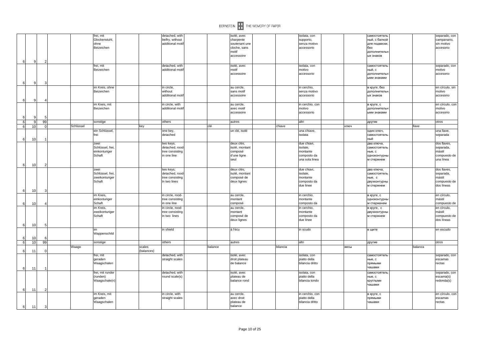

|                  |                 |    |           | frei, mit                    |            | detached, with                      |         | isolé, avec                 |          | isolata, con                    |      | самостоятель                  |         |
|------------------|-----------------|----|-----------|------------------------------|------------|-------------------------------------|---------|-----------------------------|----------|---------------------------------|------|-------------------------------|---------|
|                  |                 |    |           | Glockenstuhl,<br>ohne        |            | belfry, without<br>additional motil |         | charpente<br>soutenant une  |          | supporto,<br>senza motivo       |      | ный, с балкой<br>для подвески |         |
|                  |                 |    |           | Beizeichen                   |            |                                     |         | cloche, sans                |          | accessorio                      |      | без                           |         |
|                  |                 |    |           |                              |            |                                     |         | motif                       |          |                                 |      | дополнительн                  |         |
|                  |                 |    |           |                              |            |                                     |         | accessoire                  |          |                                 |      | ых знаков                     |         |
| 6                | 9               |    |           | frei, mit                    |            | detached, with                      |         | isolé, avec                 |          | isolata, con                    |      | самостоятель                  |         |
|                  |                 |    |           | Beizeichen                   |            | additional moti                     |         | motif                       |          | motivo                          |      | ный, с                        |         |
|                  |                 |    |           |                              |            |                                     |         | accessoire                  |          | accessorio                      |      | дополнительн                  |         |
|                  |                 |    |           |                              |            |                                     |         |                             |          |                                 |      | ыми знаками                   |         |
| 6                | 9               |    |           |                              |            |                                     |         |                             |          |                                 |      |                               |         |
|                  |                 |    |           | im Kreis, ohne<br>Beizeichen |            | in circle,<br>without               |         | au cercle,<br>sans motif    |          | in cerchio,<br>senza motivo     |      | в круге, без<br>дополнительн  |         |
|                  |                 |    |           |                              |            | additional motif                    |         | accessoire                  |          | accessorio                      |      | ых знаков                     |         |
| $6 \mid$         | -9              |    |           |                              |            |                                     |         |                             |          |                                 |      |                               |         |
|                  |                 |    |           | im Kreis, mit                |            | in circle, with<br>additional moti  |         | au cercle,                  |          | in cerchio, con                 |      | в круге, с                    |         |
|                  |                 |    |           | Beizeichen                   |            |                                     |         | avec motif<br>accessoire    |          | motivo<br>accessorio            |      | дополнительн<br>ыми знаками   |         |
| ĥ                | 9.              |    |           |                              |            |                                     |         |                             |          |                                 |      |                               |         |
| 6                | 9               | 99 |           | sonstige                     |            | others                              |         | autres                      |          | altri                           |      | другие                        |         |
| 6                | 10              |    | Schlüssel |                              | key        |                                     | clé     |                             | chiave   |                                 | ключ |                               |         |
|                  |                 |    |           | ein Schlüssel,<br>frei       |            | one key,<br>detached                |         | un clé, isolé               |          | una chiave,<br>isolata          |      | один ключ,<br>самостоятель    |         |
| $6 \mid$         | 10              |    |           |                              |            |                                     |         |                             |          |                                 |      | ный                           |         |
|                  |                 |    |           | zwei                         |            | two keys,                           |         | deux clés,                  |          | due chiavi,                     |      | два ключа,                    |         |
|                  |                 |    |           | Schlüssel, frei              |            | detached, rood                      |         | isolé, montant              |          | isolate,                        |      | самостоятель                  |         |
|                  |                 |    |           | einkonturiger<br>Schaft      |            | tree consisting<br>in one line      |         | composé<br>d'une ligne      |          | montante<br>composto da         |      | ные, с                        |         |
|                  |                 |    |           |                              |            |                                     |         | seul                        |          | una sola linea                  |      | одноконтурнь<br>м стержнем    |         |
| 6                | 10 <sup>1</sup> |    |           |                              |            |                                     |         |                             |          |                                 |      |                               |         |
|                  |                 |    |           | zwei                         |            | two keys,                           |         | deux clés,                  |          | due chiavi,                     |      | два ключа,                    |         |
|                  |                 |    |           | Schlüssel, frei,             |            | detached, rood                      |         | isolé, montant              |          | isolate,                        |      | самостоятель                  |         |
|                  |                 |    |           | zweikonturiger<br>Schaft     |            | tree consisting<br>in two lines     |         | composé de<br>deux lignes   |          | montante<br>composto da         |      | ные, с<br>двухконтурны        |         |
|                  |                 |    |           |                              |            |                                     |         |                             |          | due linee                       |      | м стержнем                    |         |
| $6 \mid$         | 10 <sub>l</sub> |    |           |                              |            |                                     |         |                             |          |                                 |      |                               |         |
|                  |                 |    |           | im Kreis,                    |            | in circle, rood-                    |         | au cercle,                  |          | in cerchio,                     |      | в круге, с                    |         |
|                  |                 |    |           | einkonturiger<br>Schaft      |            | tree consisting<br>in one line      |         | montant<br>composé          |          | montante<br>composto da         |      | одноконтурнь<br>м стерженем   |         |
| 6 <sup>1</sup>   | 10              |    |           | im Kreis,                    |            | in circle, rood                     |         | au cercle,                  |          | in cerchio,                     |      |                               |         |
|                  |                 |    |           | zweikonturiger               |            | tree consisting                     |         | montant                     |          | montante                        |      | в круге, с<br>двухконтурнь    |         |
|                  |                 |    |           | Schaft                       |            | in two lines                        |         | composé de                  |          | composto da                     |      | м стержнем                    |         |
|                  |                 |    |           |                              |            |                                     |         | deux lignes                 |          | due linee                       |      |                               |         |
| $6 \mid$         | 10 <sup>1</sup> |    |           | im                           |            | in shield                           |         | á l'écu                     |          | in scudo                        |      | в щите                        |         |
|                  |                 |    |           | Wappenschild                 |            |                                     |         |                             |          |                                 |      |                               |         |
| 6                | 10              |    |           |                              |            |                                     |         |                             |          |                                 |      |                               |         |
| - 6 I            | 10              | 99 | Waage     | sonstige                     | scales     | others                              | balance | autres                      | bilancia | altri                           | весы | другие                        | balanza |
| $6 \mid$         | 11              |    |           |                              | (balances) |                                     |         |                             |          |                                 |      |                               |         |
|                  |                 |    |           | frei, mit                    |            | detached, with                      |         | isolé, avec                 |          | isolata, con                    |      | самостоятель                  |         |
|                  |                 |    |           | geraden<br>Waagschalen       |            | straight scales                     |         | droit plateau<br>de balance |          | piatto della<br>bilancia dritto |      | ные, с<br>прямыми             |         |
| - 6 I            | 11              |    |           |                              |            |                                     |         |                             |          |                                 |      | чашами                        |         |
|                  |                 |    |           | frei, mit runder             |            | detached, with                      |         | isolé, avec                 |          | isolata, con                    |      | самостоятель                  |         |
|                  |                 |    |           | (runden)                     |            | round scale(s)                      |         | plateau de                  |          | piatto della                    |      | ные, с                        |         |
|                  |                 |    |           | Waagschale(n)                |            |                                     |         | balance rond                |          | bilancia tondo                  |      | круглыми                      |         |
|                  | 11              |    |           |                              |            |                                     |         |                             |          |                                 |      | чашами                        |         |
| $6 \overline{6}$ |                 |    |           | im Kreis, mit                |            | in circle, with                     |         | au cercle,                  |          | in cerchio, con                 |      | в круге, с                    |         |
|                  |                 |    |           | geraden                      |            | straight scales                     |         | avec droit                  |          | piatto della                    |      | прямыми                       |         |
|                  |                 |    |           | Waagschalen                  |            |                                     |         | plateau de                  |          | bilancia dritto                 |      | чашами                        |         |
| 6                | 11              |    |           |                              |            |                                     |         | balance                     |          |                                 |      |                               |         |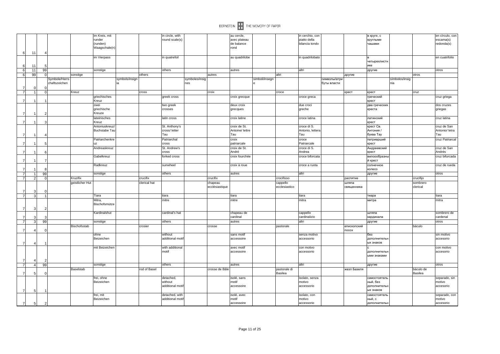|                                  |                     |                |                                |                             |                                    |                |                          |                                   |                       |                     |                                          | BERNSTEIN <b>THE MEMORY OF PAPER</b> |                        |                                                   |                             |                   |                                  |                       |                       |                                            |
|----------------------------------|---------------------|----------------|--------------------------------|-----------------------------|------------------------------------|----------------|--------------------------|-----------------------------------|-----------------------|---------------------|------------------------------------------|--------------------------------------|------------------------|---------------------------------------------------|-----------------------------|-------------------|----------------------------------|-----------------------|-----------------------|--------------------------------------------|
|                                  |                     |                |                                |                             | m Kreis, mit<br>runder<br>(runden) |                |                          | in circle, with<br>round scale(s) |                       |                     | au cercle,<br>avec plateau<br>de balance |                                      |                        | in cerchio, con<br>piatto della<br>bilancia tondo |                             |                   | в круге, с<br>круглыми<br>чашами |                       |                       | en círculo, con<br>escama(s)<br>redonda(s) |
| 6                                | 11                  |                |                                |                             | Waagschale(n)                      |                |                          |                                   |                       |                     | rond                                     |                                      |                        |                                                   |                             |                   |                                  |                       |                       |                                            |
|                                  |                     |                |                                |                             | im Vierpass                        |                |                          | in quatrefoil                     |                       |                     | au quadrilobe                            |                                      |                        | in quadrilobato                                   |                             |                   | четырехлистн                     |                       |                       | en cuatrifolio                             |
| 6                                | 11                  |                |                                |                             |                                    |                |                          |                                   |                       |                     |                                          |                                      |                        |                                                   |                             |                   | ике                              |                       |                       |                                            |
| $6\phantom{.}6$                  | 11                  | 99             |                                |                             | sonstige                           |                |                          | others                            |                       |                     | autres                                   |                                      |                        | altri                                             |                             |                   | другие                           |                       |                       | otros                                      |
| $6\phantom{.}6$                  | 99                  |                |                                | sonstige                    |                                    |                | others                   |                                   |                       | autres              |                                          |                                      | laltri                 |                                                   |                             | другие            |                                  |                       | otros                 |                                            |
|                                  |                     |                | Symbole/Herrs<br>chaftszeichen |                             |                                    | symbols/insign |                          |                                   | symboles/insig<br>nes |                     |                                          | simboli/insegn                       |                        |                                                   | символы/атри<br>буты власти |                   |                                  | símbolos/insig<br>nia |                       |                                            |
| $\overline{7}$                   | $\Omega$            |                |                                |                             |                                    |                |                          |                                   |                       |                     |                                          |                                      |                        |                                                   |                             |                   |                                  |                       |                       |                                            |
| $\overline{7}$                   | 1                   | $\Omega$       |                                | Kreuz                       | griechisches                       |                | cross                    | greek cross                       |                       | croix               | croix grecque                            |                                      | croce                  | croce greca                                       |                             | крест             | крест<br>греческий               |                       | cruz                  | cruz griega                                |
| $\overline{7}$                   | 1                   |                |                                |                             | Kreuz                              |                |                          |                                   |                       |                     |                                          |                                      |                        |                                                   |                             |                   | крест                            |                       |                       |                                            |
|                                  |                     |                |                                |                             | zwei<br>griechische                |                |                          | two greek<br>crosses              |                       |                     | deux croix<br>grecques                   |                                      |                        | due croci<br>greche                               |                             |                   | два греческих<br>креста          |                       |                       | dos cruzes<br>griegas                      |
| $\overline{7}$                   | 1                   | 2              |                                |                             | Kreuze<br>lateinisches             |                |                          | latin cross                       |                       |                     | croix latine                             |                                      |                        | croce latina                                      |                             |                   | латинский                        |                       |                       | cruz latina                                |
| $\overline{7}$                   | 1                   |                |                                |                             | Kreuz                              |                |                          |                                   |                       |                     |                                          |                                      |                        |                                                   |                             |                   | крест                            |                       |                       |                                            |
|                                  |                     |                |                                |                             | Antoniuskreuz                      |                |                          | St. Anthony's                     |                       |                     | croix de St.                             |                                      |                        | croce di S.                                       |                             |                   | крест Св.                        |                       |                       | cruz de San                                |
|                                  |                     |                |                                |                             | <b>Buchstabe Tau</b>               |                |                          | cross/letter<br>Tau               |                       |                     | Antoine/ lettre<br>Tau                   |                                      |                        | Antonio, lettera<br>Tau                           |                             |                   | Антония<br>буква Тау             |                       |                       | Antonio/ letra<br>Tau                      |
| $\overline{7}$                   | 1                   |                |                                |                             | Patriarchenkre                     |                |                          | Patriarchal                       |                       |                     | croix                                    |                                      |                        | croce                                             |                             |                   | патриарший                       |                       |                       | cruz Patriarcal                            |
| $\overline{7}$                   | 1                   | F              |                                |                             | uz                                 |                |                          | cross                             |                       |                     | patriarcale                              |                                      |                        | Patriarcale                                       |                             |                   | крест                            |                       |                       |                                            |
|                                  |                     |                |                                |                             | Andreaskreuz                       |                |                          | St. Andrew's                      |                       |                     | croix de St.                             |                                      |                        | croce di S.                                       |                             |                   | Андреевский                      |                       |                       | cruz de San                                |
| $\overline{7}$                   | $\mathbf{1}$        | 6              |                                |                             | Gabelkreuz                         |                |                          | cross<br>forked cross             |                       |                     | André<br>croix fourchée                  |                                      |                        | Andrea<br>croce biforcata                         |                             |                   | крест<br>вилоообразнь            |                       |                       | Andrés<br>cruz bifurcada                   |
| $\overline{7}$                   | 1                   | $\overline{ }$ |                                |                             | Radkreuz                           |                |                          | sunwheel                          |                       |                     | croix à roue                             |                                      |                        | croce a ruota                                     |                             |                   | й крест<br>солнечное             |                       |                       | cruz de rueda                              |
| $\overline{7}$                   | $\mathbf{1}$        | ۶              |                                |                             |                                    |                |                          |                                   |                       |                     |                                          |                                      |                        |                                                   |                             |                   | колесо                           |                       |                       |                                            |
| $\overline{7}$                   | 1                   | 99             |                                |                             | sonstige                           |                |                          | others                            |                       |                     | autres                                   |                                      |                        | altri                                             |                             |                   | другие                           |                       |                       | otros                                      |
| $\overline{7}$                   | $\overline{2}$      | $\epsilon$     |                                | Kruzifix<br>geistlicher Hut |                                    |                | crucifix<br>clerical hat |                                   |                       | crucifix<br>chapeau |                                          |                                      | crocifisso<br>cappello |                                                   |                             | распятие<br>шляпа |                                  |                       | crucifijo<br>sombrero |                                            |
|                                  |                     |                |                                |                             |                                    |                |                          |                                   |                       | ecclésiastique      |                                          |                                      | ecclesiastico          |                                                   |                             | священника        |                                  |                       | clerical              |                                            |
| 7<br>$\overline{7}$              | 3<br>3 <sup>1</sup> |                |                                |                             | Tiara                              |                |                          | tiara                             |                       |                     | tiara                                    |                                      |                        | tiara                                             |                             |                   | тиара                            |                       |                       | tiara                                      |
|                                  |                     |                |                                |                             | Mitra,                             |                |                          | mitre                             |                       |                     | mitre                                    |                                      |                        | mitra                                             |                             |                   | митра                            |                       |                       | mitra                                      |
| $\overline{7}$                   | $3 \mid$            | 2              |                                |                             | Bischofsmütze                      |                |                          |                                   |                       |                     |                                          |                                      |                        |                                                   |                             |                   |                                  |                       |                       |                                            |
|                                  |                     |                |                                |                             | Kardinalshut                       |                |                          | cardinal's hat                    |                       |                     | chapeau de<br>cardinal                   |                                      |                        | cappello<br>cardinalizio                          |                             |                   | шляпа                            |                       |                       | sombrero de<br>cardenal                    |
| $\overline{7}$<br>$\overline{7}$ | $\overline{3}$<br>3 | 99             |                                |                             | sonstige                           |                |                          | others                            |                       |                     | autres                                   |                                      |                        | altri                                             |                             |                   | кардинала<br>другие              |                       |                       | otros                                      |
|                                  |                     |                |                                | Bischofsstab                |                                    |                | crosier                  |                                   |                       | crosse              |                                          |                                      | pastorale              |                                                   |                             | епископский       |                                  |                       | báculo                |                                            |
| $\overline{7}$                   | 4                   |                |                                |                             |                                    |                |                          |                                   |                       |                     |                                          |                                      |                        |                                                   |                             | посох             |                                  |                       |                       |                                            |
|                                  |                     |                |                                |                             | ohne<br>Beizeichen                 |                |                          | without<br>additional motif       |                       |                     | sans motif<br>accessoire                 |                                      |                        | senza motivo<br>accessorio                        |                             |                   | без<br>дополнительн              |                       |                       | sin motivo<br>accesorio                    |
| $\overline{7}$                   | $\overline{4}$      |                |                                |                             |                                    |                |                          |                                   |                       |                     |                                          |                                      |                        |                                                   |                             |                   | ых знаков                        |                       |                       |                                            |
|                                  |                     |                |                                |                             | mit Beizeicher                     |                |                          | with additional                   |                       |                     | avec motif                               |                                      |                        | con motivo                                        |                             |                   |                                  |                       |                       | con motivo                                 |
|                                  |                     |                |                                |                             |                                    |                |                          | motif                             |                       |                     | accessoire                               |                                      |                        | accessorio                                        |                             |                   | дополнительн<br>ыми знаками      |                       |                       | accesorio                                  |
| $\overline{7}$<br>$\overline{7}$ | $\overline{a}$      | 99             |                                |                             |                                    |                |                          |                                   |                       |                     |                                          |                                      |                        |                                                   |                             |                   |                                  |                       |                       |                                            |
|                                  | $\overline{4}$      |                |                                | Baselstab                   | sonstige                           |                | rod of Basel             | others                            |                       | crosse de Bâle      | autres                                   |                                      | pastorale di           | altri                                             |                             | жезл Базеля       | другие                           |                       | báculo de             | otros                                      |
| $\overline{7}$                   | 5 <sup>1</sup>      | $\epsilon$     |                                |                             |                                    |                |                          |                                   |                       |                     |                                          |                                      | <b>Basilea</b>         |                                                   |                             |                   |                                  |                       | Basilea               |                                            |
|                                  |                     |                |                                |                             | frei, ohne                         |                |                          | detached,<br>without              |                       |                     | isolé, sans<br>motif                     |                                      |                        | isolato, senza                                    |                             |                   | самостоятель<br>ный, без         |                       |                       | separado, sin                              |
|                                  |                     |                |                                |                             | Beizeichen                         |                |                          | additional moti <sup>.</sup>      |                       |                     | accessoire                               |                                      |                        | motivo<br>accessorio                              |                             |                   | дополнительн                     |                       |                       | motivo<br>accesorio                        |
| $\overline{7}$                   | 5 <sub>l</sub>      |                |                                |                             |                                    |                |                          |                                   |                       |                     |                                          |                                      |                        |                                                   |                             |                   | ых знаков                        |                       |                       |                                            |
|                                  |                     |                |                                |                             | frei, mit                          |                |                          | detached, with                    |                       |                     | isolé, avec                              |                                      |                        | isolato, con                                      |                             |                   | самостоятель                     |                       |                       | separado, con                              |
| $\overline{7}$                   | 5 <sup>1</sup>      | $\overline{2}$ |                                |                             | Beizeichen                         |                |                          | additional motif                  |                       |                     | motif<br>accessoire                      |                                      |                        | motivo<br>accessorio                              |                             |                   | ный, с<br>дополнительн           |                       |                       | motivo<br>accesorio                        |
|                                  |                     |                |                                |                             |                                    |                |                          |                                   |                       |                     |                                          |                                      |                        |                                                   |                             |                   |                                  |                       |                       |                                            |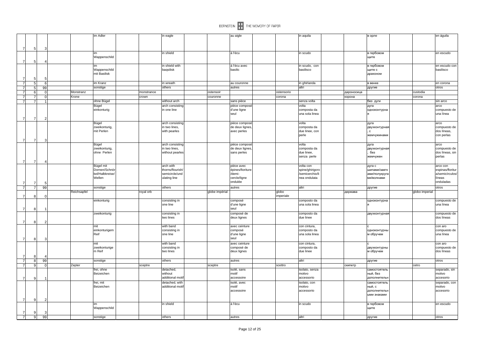|                |                |                |                |             | im Adler                        |            | in eagle                       |                | au aigle               |                    | in aquila                          |            | в орле                     |                | en águila                 |
|----------------|----------------|----------------|----------------|-------------|---------------------------------|------------|--------------------------------|----------------|------------------------|--------------------|------------------------------------|------------|----------------------------|----------------|---------------------------|
|                |                |                |                |             |                                 |            |                                |                |                        |                    |                                    |            |                            |                |                           |
|                |                |                |                |             |                                 |            |                                |                |                        |                    |                                    |            |                            |                |                           |
| $\overline{7}$ |                | 5              | 3              |             |                                 |            |                                |                |                        |                    |                                    |            |                            |                |                           |
|                |                |                |                |             | im<br>Wappenschild              |            | in shield                      |                | á l'écu                |                    | in scudo                           |            | в гербовом                 |                | en escudo                 |
| $\overline{7}$ |                | 5              |                |             |                                 |            |                                |                |                        |                    |                                    |            | щите                       |                |                           |
|                |                |                |                |             | im                              |            | in shield with                 |                | á l'écu avec           |                    | in scudo, con                      |            | в гербовом                 |                | en escudo con             |
|                |                |                |                |             | Wappenschild                    |            | baqsilisk                      |                | basilic                |                    | basilisco                          |            | щите с                     |                | basilisco                 |
|                |                |                |                |             | mit Basilisk                    |            |                                |                |                        |                    |                                    |            | драконом                   |                |                           |
| -7             |                | 5              | .5             |             |                                 |            |                                |                |                        |                    |                                    |            |                            |                |                           |
|                | $\overline{7}$ | 5 <sub>5</sub> | 6              |             | im Kranz                        |            | in wreath                      |                | au couronne            |                    | in ghirlanda                       |            | в венке                    |                | en corona                 |
| $\overline{7}$ |                | 5 <sub>5</sub> | 99             |             | sonstige                        |            | others                         |                | autres                 |                    | altri                              |            | другие                     |                | otros                     |
|                | $\overline{7}$ | 6              | $\Omega$       | Monstranz   |                                 | monstrance |                                | ostensoir      |                        | ostensorio         |                                    | дароносица |                            | custodia       |                           |
|                | $\overline{7}$ | $\overline{7}$ | $\cap$         | Krone       |                                 | crown      |                                | couronne       |                        | corona             |                                    | корона     |                            | corona         |                           |
| $\overline{7}$ |                | $\overline{7}$ | 1              |             | ohne Bügel                      |            | without arch                   |                | sans pièce             |                    | senza volta                        |            | без дуги                   |                | sin arco                  |
|                |                |                |                |             | Bügel                           |            | arch consisting                |                | pièce composé          |                    | volta                              |            | дуга                       |                | arco                      |
|                |                |                |                |             | einkonturig                     |            | in one line                    |                | d'une ligne            |                    | composta da                        |            | одноконтурна               |                | compuesto de              |
|                |                |                |                |             |                                 |            |                                |                | seul                   |                    | una sola linea                     |            |                            |                | una línea                 |
| $\overline{7}$ |                | $\overline{7}$ |                |             |                                 |            |                                |                |                        |                    |                                    |            |                            |                |                           |
|                |                |                |                |             | Bügel                           |            | arch consisting                |                | pièce composé          |                    | volta                              |            | дуга                       |                | arco                      |
|                |                |                |                |             | zweikonturig,                   |            | in two lines,                  |                | de deux lignes,        |                    | composta da                        |            | двухконтурная              |                | compuesto de              |
|                |                |                |                |             | mit Perlen                      |            | with pearles                   |                | avec perles            |                    | due linee, con                     |            | $\mathbf{C}$               |                | dos líneas,               |
|                |                |                |                |             |                                 |            |                                |                |                        |                    | perle                              |            | жемчужинами                |                | con perlas                |
| $\overline{7}$ |                | 7              | з              |             |                                 |            |                                |                |                        |                    |                                    |            |                            |                |                           |
|                |                |                |                |             | Bügel                           |            | arch consisting                |                | pièce composé          |                    | volta                              |            | дуга                       |                | arco                      |
|                |                |                |                |             | zweikonturig,                   |            | in two lines,                  |                | de deux lignes.        |                    | composta da                        |            | двухконтурная              |                | compuesto de              |
|                |                |                |                |             | ohne Perlen                     |            | without pearles                |                | sans perles            |                    | due linee,                         |            | без                        |                | dos líneas, sin           |
|                |                |                |                |             |                                 |            |                                |                |                        |                    | senza perle                        |            | жемчужен                   |                | perlas                    |
| 7              |                | $\overline{7}$ |                |             |                                 |            |                                |                |                        |                    |                                    |            |                            |                |                           |
|                |                |                |                |             | Bügel mit                       |            | arch with                      |                | pièce avec             |                    | volta con                          |            | дуга с                     |                | arco con                  |
|                |                |                |                |             | Dornen/Schnö<br>kel/Halbkreise/ |            | thorns/flourish/               |                | épines/fioriture       |                    | spine/ghirigord<br>/semicerchio/li |            | шипами/завти               |                | espinas/floritur          |
|                |                |                |                |             | Wellen                          |            | semicircle/und<br>ulating line |                | /demi-<br>cercle/ligne |                    | nea ondulata                       |            | ами/полукруг<br>ми/волнами |                | a/semicírculos/<br>líneas |
|                |                |                |                |             |                                 |            |                                |                | ondulée                |                    |                                    |            |                            |                | onduladas                 |
| 7              |                | $\overline{7}$ |                |             |                                 |            |                                |                | autres                 |                    | altri                              |            |                            |                |                           |
|                | $\overline{7}$ | $\overline{7}$ | 99             |             | sonstige                        |            | others                         |                |                        |                    |                                    |            | другие                     |                | otros                     |
| $\overline{7}$ |                | 8              |                | Reichsapfel |                                 | royal orb  |                                | globe impérial |                        | globo<br>imperiale |                                    | держава    |                            | globo imperial |                           |
|                |                |                |                |             | einkonturig                     |            | consisting in                  |                | composé                |                    | composto da                        |            | одноконтурна               |                | compuesto de              |
|                |                |                |                |             |                                 |            | one line                       |                | d'une ligne            |                    | una sola linea                     |            |                            |                | una línea                 |
| $\overline{7}$ |                | 8              |                |             |                                 |            |                                |                | seul                   |                    |                                    |            |                            |                |                           |
|                |                |                |                |             | zweikonturig                    |            | consisting in                  |                | composé de             |                    | composto da                        |            | двухконтурная              |                | compuesto de              |
|                |                |                |                |             |                                 |            | two lines                      |                | deux lignes            |                    | due linee                          |            |                            |                | dos líneas                |
| 7              |                | 8              | $\mathcal{P}$  |             |                                 |            |                                |                |                        |                    |                                    |            |                            |                |                           |
|                |                |                |                |             | mit                             |            | with band                      |                | avec ceinture          |                    | con cintura,                       |            |                            |                | con aro                   |
|                |                |                |                |             | einkonturigem                   |            | consisting in                  |                | composé                |                    | composto da                        |            | одноконтурнь               |                | compuesto de              |
|                |                |                |                |             | Reif                            |            | one line                       |                | d'une ligne            |                    | una sola linea                     |            | м обручем                  |                | una línea                 |
| $\overline{7}$ |                | 8              |                |             |                                 |            |                                |                | seul                   |                    |                                    |            |                            |                |                           |
|                |                |                |                |             | mit                             |            | with band                      |                | avec ceinture          |                    | con cintura,                       |            |                            |                | con aro                   |
|                |                |                |                |             | zweikonturige                   |            | consisting in                  |                | composé de             |                    | composto da                        |            | двухконтурнь               |                | compuesto de              |
|                |                |                |                |             | m Reif                          |            | two lines                      |                | deux lignes            |                    | due linee                          |            | м обручем                  |                | dos líneas                |
| 7              |                | 8              |                |             |                                 |            |                                |                |                        |                    |                                    |            |                            |                |                           |
|                | $\overline{7}$ | 8              | 99             |             | sonstige                        |            | others                         |                | autres                 |                    | altri                              |            | другие                     |                | otros                     |
|                | $\overline{7}$ | 9              |                | Zepter      |                                 | sceptre    |                                | sceptre        |                        | scettro            |                                    | скипетр    |                            | cetro          |                           |
|                |                |                |                |             | frei, ohne                      |            | detached,                      |                | isolé, sans            |                    | isolato, senza                     |            | самостоятель               |                | separado, sin             |
|                |                |                |                |             | Beizeichen                      |            | without                        |                | motif                  |                    | motivo                             |            | ный, без                   |                | motivo                    |
| $\overline{7}$ |                | 9              |                |             |                                 |            | additional motif               |                | accessoire             |                    | accessorio                         |            | дополнительн               |                | accesorio                 |
|                |                |                |                |             | frei, mit                       |            | detached, with                 |                | isolé, avec            |                    | isolato, con                       |            | самостоятель               |                | separado, con             |
|                |                |                |                |             | Beizeichen                      |            | additional motif               |                | motif                  |                    | motivo                             |            | ный, с                     |                | motivo                    |
|                |                |                |                |             |                                 |            |                                |                | accessoire             |                    | accessorio                         |            | дополнителы                |                | accesorio                 |
|                |                |                |                |             |                                 |            |                                |                |                        |                    |                                    |            | ыми знаками                |                |                           |
| $\overline{7}$ |                | 9              | $\overline{2}$ |             |                                 |            |                                |                |                        |                    |                                    |            |                            |                |                           |
|                |                |                |                |             | im                              |            | in shield                      |                | á l'écu                |                    | in scudo                           |            | в гербовом                 |                | en escudo                 |
|                |                |                |                |             | Wappenschild                    |            |                                |                |                        |                    |                                    |            | щите                       |                |                           |
|                | $\overline{7}$ | 9              | 3              |             |                                 |            |                                |                |                        |                    |                                    |            |                            |                |                           |
|                | $\overline{7}$ | 9              | 99             |             | sonstige                        |            | others                         |                | autres                 |                    | laltri                             |            | другие                     |                | otros                     |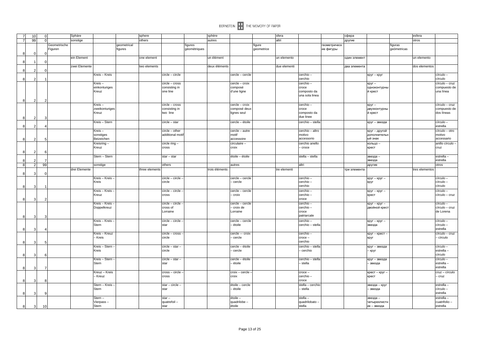|                | 10             |    | Sphäre                  |                 |                        | sphere         |                  |                         | sphère         |                 |                      | sfera        |                     |                           | сфера          | esfera                 |                           |
|----------------|----------------|----|-------------------------|-----------------|------------------------|----------------|------------------|-------------------------|----------------|-----------------|----------------------|--------------|---------------------|---------------------------|----------------|------------------------|---------------------------|
| $\overline{7}$ | 99             |    | sonstige                |                 |                        | others         |                  |                         | autres         |                 |                      | altri        |                     |                           | другие         | otros                  |                           |
|                |                |    | Geometrische<br>Figuren |                 | qeometrical<br>figures |                |                  | figures<br>géométriques |                |                 | figure<br>geometrice |              |                     | геометрическ<br>ие фигуры |                | figuras<br>geómetricas |                           |
| 8<br>8         | $\mathbf 0$    |    | ein Element             |                 |                        | one element    |                  |                         | un élément     |                 |                      | un elemento  |                     |                           | один элемент   | un elemento            |                           |
|                |                |    | zwei Elemente           |                 |                        | two elements   |                  |                         | deux éléments  |                 |                      | due elementi |                     |                           | два элемента   | dos elementos          |                           |
| 8              | $\overline{2}$ |    |                         | Kreis - Kreis   |                        |                | circle - circle  |                         |                | cercle - cercle |                      |              | cerchio-            |                           | круг - круг    |                        | círculo-                  |
| $\mathsf{R}$   |                |    |                         | Kreis-          |                        |                | circle - cross   |                         |                | cercle - croix  |                      |              | cerchio<br>cerchio- |                           | круг -         |                        | círculo<br>círculo - cruz |
|                |                |    |                         | einkonturiges   |                        |                | consisting in    |                         |                | composé         |                      |              | croce               |                           | одноконтурнь   |                        | compuesto de              |
|                |                |    |                         | Kreuz           |                        |                | one line         |                         |                | d'une ligne     |                      |              | composto da         |                           | й крест        |                        | una línea                 |
|                |                |    |                         |                 |                        |                |                  |                         |                |                 |                      |              | una sola linea      |                           |                |                        |                           |
| 8              | $\overline{2}$ |    |                         |                 |                        |                |                  |                         |                |                 |                      |              |                     |                           |                |                        |                           |
|                |                |    |                         | Kreis-          |                        |                | circle - cross   |                         |                | cercle - croix  |                      |              | cerchio-            |                           | круг -         |                        | círculo - cruz            |
|                |                |    |                         | zweikonturiges  |                        |                | consisting in    |                         |                | composé deux    |                      |              | croce               |                           | двухконтурны   |                        | compuesto de              |
|                |                |    |                         | Kreuz           |                        |                | two line         |                         |                | lignes seul     |                      |              | composto da         |                           | й крест        |                        | dos líneas                |
| 8              | 2              |    |                         |                 |                        |                |                  |                         |                |                 |                      |              | due linee           |                           |                |                        |                           |
|                |                |    |                         | Kreis - Stern   |                        |                | circle - star    |                         |                | cercle - étoile |                      |              | cerchio - stella    |                           | круг – звезда  |                        | círculo -                 |
| 8              | $\mathcal{P}$  |    |                         |                 |                        |                |                  |                         |                |                 |                      |              |                     |                           |                |                        | estrella                  |
|                |                |    |                         | Kreis-          |                        |                | circle - other   |                         |                | cercle - autre  |                      |              | cerchio - altro     |                           | круг - другой  |                        | círculo - otro            |
|                |                |    |                         | sonstiges       |                        |                | additional motif |                         |                | motif           |                      |              | motivo              |                           | дополнительн   |                        | motivo                    |
| 8              | $\overline{2}$ |    |                         | Beizeichen      |                        |                |                  |                         |                | accessoire      |                      |              | accessorio          |                           | ый знак        |                        | accessario                |
|                |                |    |                         | Kreisring-      |                        |                | circle ring -    |                         |                | circulaire -    |                      |              | cerchio anello      |                           | кольцо -       |                        | anillo círculo -          |
|                |                |    |                         | Kreuz           |                        |                | cross            |                         |                | croix           |                      |              | - croce             |                           | крест          |                        | cruz                      |
| 8              | $\mathcal{P}$  |    |                         |                 |                        |                |                  |                         |                |                 |                      |              |                     |                           |                |                        |                           |
|                |                |    |                         | Stern - Stern   |                        |                | $star - star$    |                         |                | étoile - étoile |                      |              | stella - stella     |                           | звезда –       |                        | estrella                  |
|                | 2              |    |                         |                 |                        |                |                  |                         |                |                 |                      |              |                     |                           | звезда         |                        | estrella                  |
| 8              | $\overline{2}$ | 99 |                         | sonstige        |                        |                | others           |                         |                | autres          |                      |              | altri               |                           | другие         |                        | otros                     |
|                |                |    |                         |                 |                        |                |                  |                         |                |                 |                      |              |                     |                           |                |                        |                           |
|                |                |    | drei Elemente           |                 |                        | three elements |                  |                         | trois éléments |                 |                      | tre elementi |                     |                           | три элемента   | tres elementos         |                           |
| 8              | 3              |    |                         |                 |                        |                |                  |                         |                |                 |                      |              |                     |                           |                |                        |                           |
|                |                |    |                         | Kreis - Kreis   |                        |                | circle - circle  |                         |                | cercle - cercle |                      |              | cerchio-            |                           | круг - круг -  |                        | círculo-                  |
|                |                |    |                         | Kreis           |                        |                | circle           |                         |                | cercle          |                      |              | cerchio-<br>cerchio |                           | круг           |                        | círculo -<br>círculo      |
| 8              | 3              |    |                         |                 |                        |                |                  |                         |                |                 |                      |              |                     |                           |                |                        |                           |
|                |                |    |                         | Kreis - Kreis   |                        |                | circle - circle  |                         |                | cercle - cercle |                      |              | cerchio-            |                           | круг - круг -  |                        | círculo -                 |
|                |                |    |                         | Kreuz           |                        |                | cross            |                         |                | - croix         |                      |              | cerchio-            |                           | крест          |                        | círculo - cruz            |
| 8              | 3              |    |                         |                 |                        |                |                  |                         |                |                 |                      |              | croce               |                           |                |                        |                           |
|                |                |    |                         | Kreis - Kreis   |                        |                | circle - circle  |                         |                | cercle - cercle |                      |              | cerchio-            |                           | круг - круг -  |                        | círculo -                 |
|                |                |    |                         | Doppelkreuz     |                        |                | cross of         |                         |                | - croix de      |                      |              | cerchio-            |                           | двойной крес   |                        | círculo - cruz            |
|                |                |    |                         |                 |                        |                | Lorraine         |                         |                | Lorraine        |                      |              | croce               |                           |                |                        | de Lorena                 |
| $\mathsf{R}$   | 3              |    |                         |                 |                        |                |                  |                         |                |                 |                      |              | patriarcale         |                           |                |                        |                           |
|                |                |    |                         | Kreis - Kreis - |                        |                | circle - circle  |                         |                | cercle - cercle |                      |              | cerchio-            |                           | круг - круг -  |                        | círculo -                 |
|                |                |    |                         | Stern           |                        |                | star             |                         |                | étoile          |                      |              | cerchio - stella    |                           | звезда         |                        | círculo-                  |
| 8              | 3              |    |                         |                 |                        |                |                  |                         |                |                 |                      |              |                     |                           |                |                        | estrella                  |
|                |                |    |                         | Kreis - Kreuz   |                        |                | circle - cross   |                         |                | cercle - croix  |                      |              | cerchio-            |                           | круг – крест - |                        | círculo - cruz            |
|                |                |    |                         | - Kreis         |                        |                | circle           |                         |                | - cercle        |                      |              | $\csc -$            |                           | круг           |                        | - círculo                 |
| 8              | 3              |    |                         |                 |                        |                |                  |                         |                |                 |                      |              | cerchio             |                           |                |                        |                           |
|                |                |    |                         | Kreis - Stern - |                        |                | circle - star -  |                         |                | cercle - étoile |                      |              | cerchio - stella    |                           | круг - звезда  |                        | círculo-                  |
|                |                |    |                         | Kreis           |                        |                | circle           |                         |                | - cercle        |                      |              | - cerchio           |                           | - круг         |                        | estrella -                |
| 8              | 3              |    |                         |                 |                        |                |                  |                         |                |                 |                      |              |                     |                           |                |                        | círculo                   |
|                |                |    |                         | Kreis - Stern - |                        |                | circle - star -  |                         |                | cercle - étoile |                      |              | cerchio - stella    |                           | круг - звезда  |                        | círculo -                 |
|                |                |    |                         | Stern           |                        |                | star             |                         |                | - étoile        |                      |              | - stella            |                           | - звезда       |                        | estrella-                 |
| $\mathsf{R}$   | 3              |    |                         |                 |                        |                |                  |                         |                |                 |                      |              |                     |                           |                |                        | estrella                  |
|                |                |    |                         | Kreuz - Kreis   |                        |                | cross - circle   |                         |                | croix - cercle  |                      |              | $\csc -$            |                           | крест - круг - |                        | cruz - círculo            |
|                |                |    |                         | - Kreuz         |                        |                | cross            |                         |                | croix           |                      |              | cerchio-            |                           | крест          |                        | - cruz                    |
| 8              | 3              |    |                         |                 |                        |                |                  |                         |                |                 |                      |              | croce               |                           |                |                        |                           |
|                |                |    |                         | Stern - Kreis - |                        |                | star - circle -  |                         |                | étoile - cercle |                      |              | stella - cerchio    |                           | звезда – круг  |                        | estrella                  |
|                |                |    |                         | Stern           |                        |                | star             |                         |                | - étoile        |                      |              | - stella            |                           | звезда         |                        | círculo-                  |
| 8              | 3              |    |                         |                 |                        |                |                  |                         |                |                 |                      |              |                     |                           |                |                        | estrella                  |
|                |                |    |                         | Stern-          |                        |                | $star -$         |                         |                | étoile -        |                      |              | stella -            |                           | звезда –       |                        | estrella                  |
|                |                |    |                         | Vierpass-       |                        |                | quatrefoil -     |                         |                | quadrilobe      |                      |              | quadrilobato -      |                           | четырехлисть   |                        | cuatrifolio -             |
| 8              | 3 <sup>l</sup> | 10 |                         | Stern           |                        |                | star             |                         |                | étoile          |                      |              | stella              |                           | ик - звезда    |                        | estrella                  |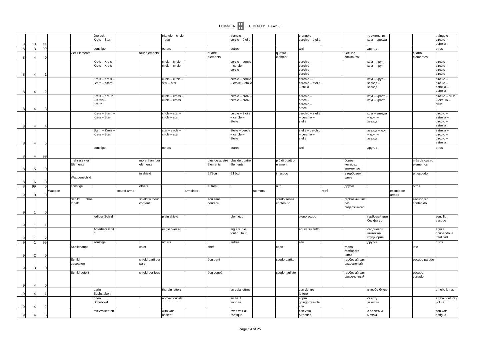|              |                         |          |        |                | Dreieck -       |              |                  | triangle - circle    |           | triangle -                       |        |                | triangolo-             |      |              | треугольник ·      |           |                | triángulo -         |
|--------------|-------------------------|----------|--------|----------------|-----------------|--------------|------------------|----------------------|-----------|----------------------------------|--------|----------------|------------------------|------|--------------|--------------------|-----------|----------------|---------------------|
|              |                         |          |        |                | Kreis - Stern   |              |                  | - star               |           | cercle - étoile                  |        |                | cerchio - stella       |      |              | круг - звезда      |           |                | círculo-            |
|              | 3                       | 11       |        |                |                 |              |                  |                      |           |                                  |        |                |                        |      |              |                    |           |                | estrella            |
| 8            | $\mathbf{3}$            | 99       |        |                | sonstige        |              |                  | others               |           | autres                           |        |                | altri                  |      |              | другие             |           |                | otros               |
|              |                         |          |        | vier Elemente  |                 |              | four elements    |                      |           | quatre                           |        | quattro        |                        |      | четыре       |                    |           | cuatro         |                     |
| 8            | $\overline{4}$          |          |        |                |                 |              |                  |                      |           | éléments                         |        | elementi       |                        |      | элемента     |                    |           | elementos      |                     |
|              |                         |          |        |                | Kreis - Kreis - |              |                  | circle - circle -    |           | cercle - cercle                  |        |                | cerchio-               |      |              | круг - круг -      |           |                | círculo -           |
|              |                         |          |        |                | Kreis - Kreis   |              |                  | circle - circle      |           | - cercle -                       |        |                | cerchio-               |      |              | круг – круг        |           |                | círculo-            |
|              |                         |          |        |                |                 |              |                  |                      |           | cercle                           |        |                | cerchio-               |      |              |                    |           |                | círculo-            |
|              |                         |          |        |                |                 |              |                  |                      |           |                                  |        |                | cerchio                |      |              |                    |           |                | círculo             |
|              |                         |          |        |                | Kreis - Kreis - |              |                  | circle - circle      |           | cercle - cercle                  |        |                | cerchio-               |      |              | круг - круг -      |           |                | círculo -           |
|              |                         |          |        |                | Stern - Stern   |              |                  | $star - star$        |           | - étoile - étoile                |        |                | cerchio - stella       |      |              | звезда -           |           |                | círculo-            |
|              |                         |          |        |                |                 |              |                  |                      |           |                                  |        |                | - stella               |      |              | звезда             |           |                | estrella-           |
| ۶            | $\overline{4}$          |          |        |                |                 |              |                  |                      |           |                                  |        |                |                        |      |              |                    |           |                | estrella            |
|              |                         |          |        |                | Kreis - Kreuz   |              |                  | circle - cross       |           | cercle - croix                   |        |                | cerchio-               |      |              | круг - крест ·     |           |                | círculo - cruz      |
|              |                         |          |        |                | - Kreis -       |              |                  | circle - cross       |           | cercle - croix                   |        |                | $\csc -$               |      |              | круг - крест       |           |                | - círculo –         |
|              |                         |          |        |                | Kreuz           |              |                  |                      |           |                                  |        |                | cerchio-               |      |              |                    |           |                | cruz                |
| £            | $\overline{4}$          |          |        |                |                 |              |                  |                      |           |                                  |        |                | croce                  |      |              |                    |           |                |                     |
|              |                         |          |        |                | Kreis - Stern - |              |                  | circle - star -      |           | cercle - étoile                  |        |                | cerchio - stella       |      |              | круг - звезда      |           |                | círculo-            |
|              |                         |          |        |                | Kreis - Stern   |              |                  | circle - star        |           | - cercle -                       |        |                | - cerchio -            |      |              | - круг –           |           |                | estrella-           |
|              |                         |          |        |                |                 |              |                  |                      |           | étoile                           |        |                | stella                 |      |              | звезда             |           |                | círculo -           |
| 8            | $\overline{4}$          |          |        |                |                 |              |                  |                      |           |                                  |        |                |                        |      |              |                    |           |                | estrella            |
|              |                         |          |        |                | Stern - Kreis - |              |                  | star - circle -      |           | étoile - cercle                  |        |                | stella - cerchic       |      |              | звезда – круг      |           |                | estrella -          |
|              |                         |          |        |                | Kreis - Stern   |              |                  | circle - star        |           | - cercle -                       |        |                | - cerchio -            |      |              | круг-              |           |                | círculo -           |
|              |                         |          |        |                |                 |              |                  |                      |           | étoile                           |        |                | stella                 |      |              | звезда             |           |                | círculo-            |
|              |                         |          |        |                |                 |              |                  |                      |           |                                  |        |                |                        |      |              |                    |           |                | estrella            |
|              | $\overline{4}$          |          |        |                |                 |              |                  |                      |           |                                  |        |                |                        |      |              |                    |           |                |                     |
|              |                         |          |        |                | sonstige        |              |                  | others               |           | autres                           |        |                | altri                  |      |              | другие             |           |                | otros               |
| 8            | $\overline{\mathbf{4}}$ | 99       |        |                |                 |              |                  |                      |           |                                  |        |                |                        |      |              |                    |           |                |                     |
|              |                         |          |        |                |                 |              |                  |                      |           |                                  |        |                |                        |      |              |                    |           |                |                     |
|              |                         |          |        | mehr als vier  |                 |              | more than four   |                      |           | plus de quatre<br>plus de quatre |        | più di quattro |                        |      | более        |                    |           | más de cuatro  |                     |
|              |                         |          |        | Elemente       |                 |              | elements         |                      |           | éléments<br>éléments             |        | elementi       |                        |      | четырех      |                    |           | elementos      |                     |
| 8            | 5                       |          |        |                |                 |              |                  |                      |           |                                  |        |                |                        |      | элементов    |                    |           |                |                     |
|              |                         |          |        | im             |                 |              | in shield        |                      |           | á l'écu<br>á l'écu               |        | in scudo       |                        |      | в гербовом   |                    |           | en escudo      |                     |
|              |                         |          |        | Wappenschild   |                 |              |                  |                      |           |                                  |        |                |                        |      | щите         |                    |           |                |                     |
|              | 6                       |          |        |                |                 |              |                  |                      |           |                                  |        |                |                        |      |              |                    |           |                |                     |
| 8            | 99                      | $\Omega$ |        | sonstige       |                 |              | others           |                      |           | autres                           |        | altri          |                        |      | другие       |                    |           | otros          |                     |
|              |                         |          | Wappen |                |                 |              |                  |                      | armoiries |                                  | stemma |                |                        | герб |              |                    |           |                |                     |
| -9           | $\mathbf 0$             |          |        |                |                 | coat of arms |                  |                      |           |                                  |        |                |                        |      |              |                    | escudo de |                |                     |
|              |                         |          |        |                |                 |              |                  |                      |           |                                  |        |                |                        |      |              |                    | armas     |                |                     |
|              |                         |          |        | Schild<br>ohne |                 |              | shield without   |                      |           | écu sans                         |        | scudo senza    |                        |      | гербовый щит |                    |           | escudo sin     |                     |
|              |                         |          |        | Inhalt         |                 |              | content          |                      |           | contenu                          |        | contenuto      |                        |      | без          |                    |           | contenido      |                     |
|              |                         |          |        |                |                 |              |                  |                      |           |                                  |        |                |                        |      | содержимого  |                    |           |                |                     |
|              |                         |          |        |                |                 |              |                  |                      |           |                                  |        |                |                        |      |              |                    |           |                |                     |
|              |                         |          |        |                | lediger Schild  |              |                  | plain shield         |           | plein écu                        |        |                | pieno scudo            |      |              | гербовый щит       |           |                | sencillo            |
|              |                         |          |        |                |                 |              |                  |                      |           |                                  |        |                |                        |      |              | без фигур          |           |                | escudo              |
| ç            |                         |          |        |                |                 |              |                  |                      |           |                                  |        |                |                        |      |              |                    |           |                |                     |
|              |                         |          |        |                | Adlerherzschil  |              |                  | eagle over all       |           | aigle sur le                     |        |                | aquila sul tutto       |      |              | сердцевой          |           |                | águila              |
|              |                         |          |        |                |                 |              |                  |                      |           | tout du tout                     |        |                |                        |      |              | щиток на           |           |                | ocupando la         |
|              |                         |          |        |                |                 |              |                  |                      |           |                                  |        |                |                        |      |              | груди орла         |           |                | totalidad           |
| $\mathbf{q}$ | $\overline{1}$          | 99       |        |                | sonstige        |              |                  | others               |           | autres                           |        |                | altri                  |      |              | другие             |           |                | otros               |
|              |                         |          |        | Schildhaupt    |                 |              | chief            |                      |           | chef                             |        | capo           |                        |      | глава        |                    |           | jefe           |                     |
|              |                         |          |        |                |                 |              |                  |                      |           |                                  |        |                |                        |      | гербового    |                    |           |                |                     |
| 9            |                         |          |        |                |                 |              |                  |                      |           |                                  |        |                |                        |      | щита         |                    |           |                |                     |
|              |                         |          |        | Schild         |                 |              | shield parti per |                      |           | écu parti                        |        | scudo partito  |                        |      | гербовый щит |                    |           | escudo partido |                     |
|              |                         |          |        | gespalten      |                 |              | pale             |                      |           |                                  |        |                |                        |      | разделеный   |                    |           |                |                     |
| -9           |                         |          |        |                |                 |              |                  |                      |           |                                  |        |                |                        |      |              |                    |           |                |                     |
|              | 3                       |          |        |                |                 |              |                  |                      |           |                                  |        |                |                        |      | гербовый щит |                    |           | escudo         |                     |
|              |                         |          |        | Schild geteilt |                 |              | shield per fess  |                      |           | écu coupé                        |        | scudo tagliato |                        |      | рассеченный  |                    |           | cortado        |                     |
|              |                         |          |        |                |                 |              |                  |                      |           |                                  |        |                |                        |      |              |                    |           |                |                     |
| -9           |                         |          |        |                |                 |              |                  |                      |           |                                  |        |                |                        |      |              |                    |           |                |                     |
|              |                         |          |        |                | darin           |              |                  | therein letters      |           | en cela lettres                  |        |                | con dentro             |      |              |                    |           |                | en ello letras      |
| q            |                         |          |        |                | Buchstaben      |              |                  |                      |           |                                  |        |                | lettere                |      |              | в гербе буква      |           |                |                     |
|              |                         |          |        |                |                 |              |                  |                      |           |                                  |        |                |                        |      |              |                    |           |                |                     |
|              |                         |          |        |                | oben            |              |                  | above flourish       |           | en haut                          |        |                | sopra                  |      |              | сверху             |           |                | arriba floritura /  |
| -9           |                         | 2        |        |                | Schnörkel       |              |                  |                      |           | fioriture                        |        |                | ghirigoro/svola        |      |              | завитки            |           |                | voluta              |
|              |                         |          |        |                |                 |              |                  |                      |           |                                  |        |                | zzo                    |      |              |                    |           |                |                     |
| 9            | $\overline{4}$          |          |        |                | mit Wolkenfeh   |              |                  | with vair<br>ancient |           | avec vair à<br>l'antique         |        |                | con vaio<br>all'antica |      |              | с беличим<br>мехом |           |                | con vair<br>antigua |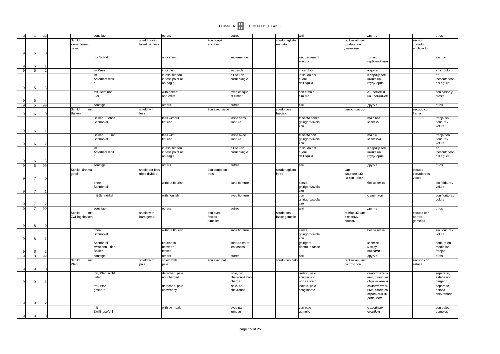| $\mathbf{Q}$   | $\overline{4}$ | 99 |                 | sonstige          |                 | others           |                | autres          |                | altri           |              | другие        |              | otros           |
|----------------|----------------|----|-----------------|-------------------|-----------------|------------------|----------------|-----------------|----------------|-----------------|--------------|---------------|--------------|-----------------|
|                |                |    | Schild          |                   | shield dove-    |                  | écu coupé      |                 | scudo tagliato |                 | гербовый щит |               | escudo       |                 |
|                |                |    | zinnenförmig    |                   | tailed per fess |                  | enclavé        |                 | merlato        |                 | с зубчатым   |               | cortado      |                 |
|                |                |    | geteilt         |                   |                 |                  |                |                 |                |                 | делением     |               | enclavado    |                 |
| 9              | 5              |    |                 |                   |                 |                  |                |                 |                |                 |              |               |              |                 |
|                |                |    |                 | nur Schild        |                 | only shield      |                | seulement écu   |                | esclusivament   |              | только        |              | escudo          |
|                |                |    |                 |                   |                 |                  |                |                 |                | e scudo         |              | гербовый щит  |              |                 |
| 9              | 5              |    |                 |                   |                 |                  |                |                 |                |                 |              |               |              |                 |
| 9 <sup>1</sup> | 5              |    |                 | im Kreis          |                 | in circle        |                | au cercle       |                | in cerchio      |              | в круге       |              | en círculo      |
|                |                |    |                 | im                |                 | in escutcheon    |                | á l'écu en      |                | in scudo nel    |              | в сердцевом   |              | en              |
|                |                |    |                 | Adlerherzschil    |                 | in fess point of |                | cœur d'aigle    |                | cuore           |              | щитке на      |              | inescutcheon    |
|                |                |    |                 |                   |                 | an eagle         |                |                 |                | dell'aquila     |              | груди орла    |              | del águila      |
| 9              | 5              |    |                 |                   |                 |                  |                |                 |                |                 |              |               |              |                 |
|                |                |    |                 | mit Helm und      |                 | with helmet      |                | avec casque     |                | con elmo e      |              | с шлемом и    |              | con casco y     |
|                |                |    |                 | Zier              |                 | and crest        |                | et cimier       |                | cimiero         |              | нашлемником   |              | cresta          |
|                | -5             |    |                 |                   |                 |                  |                |                 |                |                 |              |               |              |                 |
| $\overline{9}$ | 5              | 99 |                 | sonstige          |                 | others           |                | autres          |                | altri           |              | другие        |              | otros           |
|                |                |    | Schild<br>mit   |                   | shield with     |                  | écu avec fasce |                 | scudo con      |                 | щит с поясом |               | escudo con   |                 |
| 9              | 6              |    | Balken          |                   | fess            |                  |                |                 | fasciato       |                 |              |               | franja       |                 |
|                |                |    |                 | Balken ohne       |                 | fess without     |                | fasce sans      |                | fasciato senza  |              | пояс без      |              | franja sin      |
|                |                |    |                 | Schnörkel         |                 | flourish         |                | fioriture       |                | ghirigoro/svola |              | завитка       |              | floritura /     |
|                |                |    |                 |                   |                 |                  |                |                 |                | zzo             |              |               |              | voluta          |
| 9              | -6             |    |                 |                   |                 |                  |                |                 |                |                 |              |               |              |                 |
|                |                |    |                 | Balken<br>mit     |                 | fess with        |                | fasce avec      |                | fasciato con    |              | пояс с        |              | franja con      |
|                |                |    |                 | Schnörkel         |                 | flourish         |                | fioriture       |                | ghirigoro/svola |              | завитком      |              | floritura /     |
| 9              | 6              |    |                 |                   |                 |                  |                |                 |                | zzo             |              |               |              | voluta          |
|                |                |    |                 | im                |                 | in escutcheon    |                | á l'écu en      |                | in scudo nel    |              | в сердцевом   |              | en              |
|                |                |    |                 | Adlerherzschil    |                 | in fess point of |                | cœur d'aigle    |                | cuore           |              | щитке на      |              | inescutcheon    |
|                |                |    |                 |                   |                 | an eagle         |                |                 |                | dell'aquila     |              | груди орла    |              | del águila      |
| 9              | 6              |    |                 |                   |                 |                  |                |                 |                |                 |              |               |              |                 |
| 9              | $6 \mid$       | 99 |                 | sonstige          |                 | others           |                | autres          |                | altri           |              | другие        |              | otros           |
|                |                |    | Schild dreimal  |                   | shield per fess |                  | écu coupé en   |                 | scudo tagliato |                 | щит,         |               | escudo       |                 |
|                |                |    | geteilt         |                   | triple divided  |                  | trois          |                 | in tre         |                 | разделеный   |               | cortado tres |                 |
| 9              |                |    |                 |                   |                 |                  |                |                 |                |                 | на три части |               | veces        |                 |
|                |                |    |                 | ohne              |                 | without flourish |                | sans fioriture  |                | senza           |              | без завитка   |              | sin floritura / |
|                |                |    |                 | Schnörkel         |                 |                  |                |                 |                | ghirigoro/svola |              |               |              | voluta          |
| 9              | $\overline{7}$ |    |                 |                   |                 |                  |                |                 |                | zzo             |              |               |              |                 |
|                |                |    |                 | mit Schnörkel     |                 | with flourish    |                | avec fioriture  |                | con             |              | с завитком    |              | con floritura / |
|                |                |    |                 |                   |                 |                  |                |                 |                | ghirigoro/svola |              |               |              | voluta          |
| <sub>9</sub>   | $\overline{7}$ |    |                 |                   |                 |                  |                |                 |                | <b>ZZO</b>      |              |               |              |                 |
| 9              | $\overline{7}$ | 99 |                 | sonstige          |                 | others           |                | autres          |                | altri           |              | другие        |              | otros           |
|                |                |    | Schild<br>mit   |                   | shield with     |                  | écu avec       |                 | scudo con      |                 | гербовый щит |               | escudo con   |                 |
|                |                |    | Zwillingsbalken |                   | bars gemel      |                  | fasces         |                 | fasce gemelle  |                 | с парным     |               | barras       |                 |
|                |                |    |                 |                   |                 |                  | jumelles       |                 |                |                 | поясом       |               | gemelas      |                 |
| 9              | 8              |    |                 |                   |                 |                  |                |                 |                |                 |              |               |              |                 |
|                |                |    |                 | ohne              |                 | without flourish |                | sans fioriture  |                | senza           |              | без завитка   |              | sin floritura / |
|                |                |    |                 | Schnörkel         |                 |                  |                |                 |                | ghirigoro/svola |              |               |              | voluta          |
| 9              | 8              |    |                 |                   |                 |                  |                |                 |                | zzo             |              |               |              |                 |
|                |                |    |                 | Schnörkel         |                 | flourish in      |                | fioriture entre |                | ghirigoro       |              | завиток       |              | floritura en    |
|                |                |    |                 | zwischen den      |                 | between          |                | les fasces      |                | dentro le fasce |              | между         |              | medio las       |
| 9              | 8              |    |                 | Balken            |                 | fesses           |                |                 |                |                 |              | поясами       |              | franjas         |
| $\overline{9}$ | 8              | 99 |                 | sonstige          |                 | others           |                | autres          |                | altri           |              | другие        |              | otros           |
|                |                |    | Schild<br>mit   |                   | shield with     | shield with      | écu avec pal   |                 | scudo con palo |                 | гербовый щит |               | escudo con   |                 |
|                |                |    | Pfahl           |                   | pale            | pale             |                |                 |                |                 | со столбом   |               | estaca       |                 |
| $\mathbf{Q}$   | 9              |    |                 |                   |                 |                  |                |                 |                |                 |              |               |              |                 |
|                |                |    |                 | frei, Pfahl nicht |                 | detached, pale   |                | isolé, pal      |                | isolato, palo   |              | самостоятель  |              | separado,       |
|                |                |    |                 | belegt            |                 | not charged      |                | chevronné non   |                | scaglionato     |              | ный, столб не |              | estaca non      |
| 9              |                |    |                 |                   |                 |                  |                | chargé          |                | non caricato    |              | обремененнь   |              | cargado         |
|                |                |    |                 | frei, Pfahl       |                 | detached, pale   |                | isolé, pal      |                | isolato, palo   |              | самостоятель  |              | separado,       |
|                |                |    |                 | gesparrt          |                 | chevronny        |                | chevronné       |                | scaglionato     |              | ный, столб со |              | estaca          |
|                |                |    |                 |                   |                 |                  |                |                 |                |                 |              | стропильным   |              | chevronada      |
|                |                |    |                 |                   |                 |                  |                |                 |                |                 |              | делением      |              |                 |
| $\mathbf{Q}$   | 9              |    |                 |                   |                 |                  |                |                 |                |                 |              |               |              |                 |
|                |                |    |                 | mit               |                 | with twin-pale   |                | avec pal        |                | con palo        |              | с двойным     |              | con palos       |
|                |                |    |                 | Zwillingspfahl    |                 |                  |                | jumeau          |                | gemello         |              | столбом       |              | gemelos         |
| 9 <sup>1</sup> | 9              |    |                 |                   |                 |                  |                |                 |                |                 |              |               |              |                 |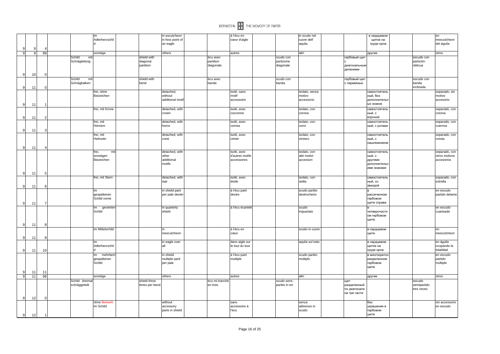

|                |    |                |                | im                    |                | in escutcheon                |                | á l'écu en              |                | in scudo nel            | в сердцевом                  |             | en                         |
|----------------|----|----------------|----------------|-----------------------|----------------|------------------------------|----------------|-------------------------|----------------|-------------------------|------------------------------|-------------|----------------------------|
|                |    |                |                | Adlerherzschil        |                | in fess point of<br>an eagle |                | cœur d'aigle            |                | cuore dell'<br>aquila   | щитке на<br>груди орла       |             | inescutcheon<br>del águila |
|                | ç  |                |                |                       |                |                              |                |                         |                |                         |                              |             |                            |
| -9             | 9  | 99             |                | sonstige              |                | others                       |                | autres                  |                | altri                   | другие                       |             | otros                      |
|                |    |                | Schild<br>mit  |                       | shield with    |                              | écu avec       |                         | scudo con      |                         | гербовый щит                 | escudo con  |                            |
|                |    |                | Schrägteilung  |                       | diagonal       |                              | partition      |                         | partizione     |                         |                              | partición   |                            |
|                |    |                |                |                       | partition      |                              | diagonale      |                         | diagonale      |                         | диагональным<br>делением     | oblicua     |                            |
| 9              |    | $\Omega$       |                |                       |                |                              |                |                         |                |                         |                              |             |                            |
|                | 10 |                | Schild<br>mit  |                       | shield with    |                              | écu avec       |                         | scudo con      |                         | гербовый щит                 | escudo con  |                            |
|                |    |                | Schrägbalken   |                       | bend           |                              | bande          |                         | banda          |                         | с перевязью                  | banda       |                            |
| 9              | 11 | c              |                |                       |                |                              |                |                         |                |                         |                              | inclinada   |                            |
|                |    |                |                | frei, ohne            |                | detached,                    |                | isolé, sans             |                | isolato, senza          | самостоятель                 |             | separado, sin              |
|                |    |                |                | Beizeichen            |                | without                      |                | motif                   |                | motivo                  | ный, без                     |             | motivo                     |
|                |    |                |                |                       |                | additional moti              |                | accessoire              |                | accessorio              | дополнительн<br>ых знаков    |             | accesorio                  |
| -9             | 11 |                |                |                       |                |                              |                |                         |                |                         |                              |             |                            |
|                |    |                |                | frei, mit Krone       |                | detached, with<br>crown      |                | isolé, avec<br>couronne |                | isolato, con<br>corona  | самостоятель<br>ный, с       |             | separado, con<br>corona    |
| 9              | 11 |                |                |                       |                |                              |                |                         |                |                         | короной                      |             |                            |
|                |    |                |                | frei, mit             |                | detached, with               |                | isolé, avec             |                | isolato, con            | самостоятель                 |             | separado, con              |
|                |    |                |                | Hörnern               |                | horns                        |                | cornes                  |                | corni                   | ный, с рогами                |             | cuernos                    |
| 9              | 11 |                |                |                       |                |                              |                |                         |                |                         |                              |             |                            |
|                |    |                |                | frei, mit<br>Helmzier |                | detached, with<br>crest      |                | isolé, avec<br>cimier   |                | isolato, con<br>cimiero | самостоятель<br>ный, с       |             | separado, con<br>cresta    |
|                |    |                |                |                       |                |                              |                |                         |                |                         | нашлемником                  |             |                            |
| 9              | 11 |                |                |                       |                |                              |                |                         |                |                         |                              |             |                            |
|                |    |                |                | frei,<br>mit          |                | detached, with               |                | isolé, avec             |                | isolato, con            | самостоятель                 |             | separado, con              |
|                |    |                |                | sonstigen             |                | other                        |                | d'autres motifs         |                | altri motivi            | ный, с                       |             | otros motivos              |
|                |    |                |                | Beizeichen            |                | additional                   |                | accessoires             |                | accessori               | другими                      |             | accesorios                 |
|                |    |                |                |                       |                | motifs                       |                |                         |                |                         | дополнительн<br>ими знаками  |             |                            |
|                |    |                |                |                       |                |                              |                |                         |                |                         |                              |             |                            |
|                | 11 | 5              |                | frei, mit Stern       |                | detached, with               |                | isolé, avec             |                | isolato, con            | самостоятель                 |             | separado, con              |
|                |    |                |                |                       |                | star                         |                | étoile                  |                | stella                  | ный, со                      |             | estrella                   |
| -9             | 11 |                |                |                       |                |                              |                |                         |                |                         | звездой                      |             |                            |
|                |    |                |                | im                    |                | in shield parti              |                | á l'écu parti           |                | scudo partito           |                              |             | en escudo                  |
|                |    |                |                | gespaltenen           |                | per pale dexter              |                | dextre                  |                | destrocherio            | рассеченном                  |             | partido delante            |
| -9             |    |                |                | Schild vorne          |                |                              |                |                         |                |                         | гербовом<br>щите справа      |             |                            |
|                | 11 |                |                | gevierter<br>im       |                | in quarterly                 |                | á l'écu écartelé        |                | scudo                   |                              |             | en escudo                  |
|                |    |                |                | Schild                |                | shield                       |                |                         |                | inquartato              | четверочастн                 |             | cuarteado                  |
|                |    |                |                |                       |                |                              |                |                         |                |                         | ом гербовом                  |             |                            |
|                |    |                |                |                       |                |                              |                |                         |                |                         | щите                         |             |                            |
| 9              | 11 | Я              |                |                       |                |                              |                |                         |                |                         |                              |             |                            |
|                |    |                |                | im Mittelschild       |                | inescutcheon                 |                | á l'écu en<br>cœur      |                | scudo in cuore          | в сердцевом<br>щите          |             | en<br>inescutcheon         |
| -9             | 11 | c              |                |                       |                |                              |                |                         |                |                         |                              |             |                            |
|                |    |                |                | im                    |                | in eagle over                |                | dans aigle sur          |                | aquila sul tutto        | в сердцевом                  |             | en águila                  |
|                |    |                |                | Adlerherzschil        |                |                              |                | le tout du tout         |                |                         | щитке на                     |             | ocupando la                |
| 9              | 11 | 10             |                | $\mathsf{d}$          |                |                              |                |                         |                |                         | груди орла                   |             | totalidad                  |
|                |    |                |                | im<br>mehrfach        |                | in shield                    |                | á l'écu parti           |                | scudo partito           | в многократн                 |             | en escudo                  |
|                |    |                |                | gespaltenen<br>Schild |                | multiple parti<br>per pale   |                | multiple                |                | multiplo                | разделенном<br>гербовом      |             | partido<br>múltiple        |
|                |    |                |                |                       |                |                              |                |                         |                |                         | щите                         |             |                            |
| 9              | 11 | 11             |                |                       |                |                              |                |                         |                |                         |                              |             |                            |
| 9              | 11 | 99             |                | sonstige              |                | others                       |                | autres                  |                | altri                   | другие                       |             | otros                      |
|                |    |                | Schild dreimal |                       | shield three   |                              | écu mi-tranché |                         | scudo semi-    |                         | ЩИТ                          | escudo      |                            |
|                |    |                | schräggeteilt  |                       | times per bend |                              | en trois       |                         | partito in tre |                         | разделенный                  | semipartido |                            |
|                |    |                |                |                       |                |                              |                |                         |                |                         | по диагонали<br>на три части | tres veces  |                            |
| 9              | 12 | $\Omega$       |                |                       |                |                              |                |                         |                |                         |                              |             |                            |
|                |    |                |                | ohne Beiwerk          |                | without                      |                | sans                    |                | senza                   | без                          |             | sin accessorio             |
|                |    |                |                | im Schild             |                | accessory                    |                | accessoire á            |                | attinenze in            | украшения в                  |             | en escudo                  |
|                |    |                |                |                       |                | parts in shield              |                | l'écu                   |                | scudo                   | гербовом                     |             |                            |
| 9 <sup>1</sup> | 12 | $\overline{1}$ |                |                       |                |                              |                |                         |                |                         | шите                         |             |                            |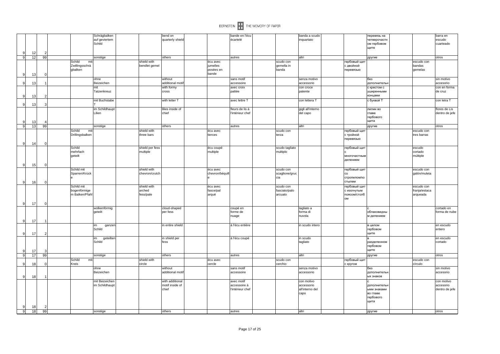

| -9             | 12 | 2        |                                              | Schrägbalken<br>auf geviertem<br>Schild |                                    | bend on<br>quarterly shield                 |                                            | bande en l'écu<br>écartelé                     | banda a scudo<br>inquartato                         | перевязь на<br>четверочастн<br>ом гербовом<br>щите          |                                         | barra en<br>escudo<br>cuarteado           |
|----------------|----|----------|----------------------------------------------|-----------------------------------------|------------------------------------|---------------------------------------------|--------------------------------------------|------------------------------------------------|-----------------------------------------------------|-------------------------------------------------------------|-----------------------------------------|-------------------------------------------|
| $\overline{9}$ | 12 | 99       |                                              | sonstige                                |                                    | others                                      |                                            | autres                                         | altri                                               | другие                                                      |                                         | otros                                     |
| ŗ              | 13 |          | Schild<br>mit<br>Zwillingsschrä<br>gbalken   |                                         | shield with<br>bendlet gemel       |                                             | écu avec<br>jumelles<br>posées en<br>bande |                                                | scudo con<br>gemella in<br>banda                    | гербовый щит<br>с двойной<br>перевязью                      | escudo con<br>bandas<br>gemelas         |                                           |
|                |    |          |                                              | ohne                                    |                                    | without                                     |                                            | sans motif                                     | senza motivo                                        | без                                                         |                                         | sin motivo                                |
| -9             | 13 |          |                                              | Beizeichen                              |                                    | additional moti                             |                                            | accessoire                                     | accessorio                                          | дополнительн                                                |                                         | accesorio                                 |
|                |    |          |                                              | mit<br>Tatzenkreuz                      |                                    | with formy<br>cross                         |                                            | avec croix<br>pattée                           | con croce<br>patente                                | с крестом с<br>уширенными                                   |                                         | con en forma<br>de cruz                   |
| ç              | 13 |          |                                              |                                         |                                    |                                             |                                            |                                                |                                                     | концами                                                     |                                         |                                           |
|                |    |          |                                              | mit Buchstabe                           |                                    | with letter T                               |                                            | avec lettre T                                  | con lettera T                                       | с буквой Т                                                  |                                         | con letra T                               |
| <sub>9</sub>   | 13 |          |                                              |                                         |                                    |                                             |                                            |                                                |                                                     |                                                             |                                         |                                           |
| -9             | 13 |          |                                              | im Schildhaupt<br>Lilien                |                                    | lilies inside of<br>chief                   |                                            | fleurs de lis á<br>l'intérieur chef            | gigli all'interno<br>del capo                       | лилии во<br>главе<br>гербового<br>щита                      |                                         | flores de Lis<br>dentro de jefe           |
| $\mathbf{Q}$   | 13 | 99       |                                              | sonstige                                |                                    | others                                      |                                            | autres                                         | altri                                               | другие                                                      |                                         | otros                                     |
|                |    |          | Schild<br>mit<br>Drillingsbalken             |                                         | shield with<br>three bars          |                                             | écu avec<br>tierces                        |                                                | scudo con<br>terza                                  | гербовый щит<br>с тройной<br>перевязью                      | escudo con<br>tres barras               |                                           |
| -9             | 14 | n        |                                              |                                         |                                    |                                             |                                            |                                                |                                                     |                                                             |                                         |                                           |
| -9             | 15 |          | Schild<br>mehrfach<br>geteilt                |                                         | shield per fess<br>multiple        |                                             | écu coupé<br>multiple                      |                                                | scudo tagliato<br>multiplo                          | гербовый щит<br>многочастным<br>делением                    | escudo<br>cortado<br>múltiple           |                                           |
|                |    |          | Schild mit                                   |                                         | shield with                        |                                             | écu avec                                   |                                                | scudo con                                           | гербовый щит                                                | escudo con                              |                                           |
| 9              | 16 | C        | Sparren/Krück                                |                                         | chevron/crutch                     |                                             | chevron/béquill                            |                                                | scaglione/gruc<br>cia                               | co<br>стропилом/ко<br>стылем                                | galón/muleta                            |                                           |
|                |    |          | Schild mit<br>bogenförmige<br>m Balken/Pfahl |                                         | shield with<br>arched<br>fess/pale |                                             | écu avec<br>fasce/pal<br>arqué             |                                                | scudo con<br>fasciato/palo<br>arcuato               | гербовый щит<br>с изогнутым<br>поясом/столб<br>OM           | escudo con<br>franja/estaca<br>arqueada |                                           |
| -9             | 17 | $\Omega$ |                                              |                                         |                                    |                                             |                                            |                                                |                                                     |                                                             |                                         |                                           |
| <sub>9</sub>   | 17 |          |                                              | wolkenförmig<br>geteilt                 |                                    | cloud-shaped<br>per fess                    |                                            | coupé en<br>forme de<br>nuage                  | tagliato a<br>forma di<br>nuvola                    | облаковидны<br>м делением                                   |                                         | cortado en<br>forma de nube               |
| 9              | 17 |          |                                              | im<br>ganzen<br>Schild                  |                                    | in entire shield                            |                                            | á l'écu entière                                | in scudo intero                                     | в целом<br>гербовом<br>щите                                 |                                         | en escudo<br>entero                       |
|                | 17 |          |                                              | geteilter<br>im<br>Schild               |                                    | in shield per<br>fess                       |                                            | á l'écu coupé                                  | in scudo<br>tagliato                                | разделенном<br>гербовом<br>щите                             |                                         | en escudo<br>cortado                      |
| 9              | 17 | 99       |                                              | sonstige                                |                                    | others                                      |                                            | autres                                         | altri                                               | другие                                                      |                                         | otros                                     |
|                |    |          | Schild<br>mit                                |                                         | shield with                        |                                             | écu avec                                   |                                                | scudo con                                           | гербовый щит                                                | escudo con                              |                                           |
| -9             | 18 |          | Kreis                                        |                                         | circle                             |                                             | cercle                                     |                                                | cerchio                                             | с кругом                                                    | círculo                                 |                                           |
| <b>C</b>       | 18 |          |                                              | ohne<br>Beizeichen                      |                                    | without<br>additional moti                  |                                            | sans motif<br>accessoire                       | senza motivo<br>accessorio                          | без<br>дополнительн<br>ых знаков                            |                                         | sin motivo<br>accesorio                   |
|                | 18 |          |                                              | mit Beizeichen<br>im Schildhaupt        |                                    | with additional<br>motif inside of<br>chief |                                            | avec motif<br>accessoire á<br>l'intérieur chef | con motivo<br>accessorio<br>all'interno del<br>capo | дополнителы<br>ыми знаками<br>во главе<br>гербового<br>щита |                                         | con motivo<br>accesorio<br>dentro de jefe |
| 9              | 18 | 99       |                                              | sonstige                                |                                    | others                                      |                                            | autres                                         | altri                                               | другие                                                      |                                         | otros                                     |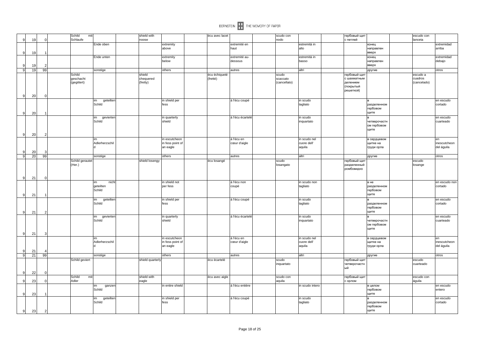| 9              | 19 |                | Schild | mit<br>Schlaufe |                           | shield with<br>noose |                       | écu avec lacet |                  | scudo con<br>nodo |                      | гербовый щит<br>с петлей    | escudo con<br>lanceta |                      |
|----------------|----|----------------|--------|-----------------|---------------------------|----------------------|-----------------------|----------------|------------------|-------------------|----------------------|-----------------------------|-----------------------|----------------------|
|                |    |                |        |                 | Ende oben                 |                      | extremity             |                | extremité en     |                   | estremità in         | конец                       |                       | extremidad           |
| 9              | 19 |                |        |                 |                           |                      | above                 |                | haut             |                   | alto                 | направлен<br>вверх          |                       | arriba               |
|                |    |                |        |                 | Ende unten                |                      | extremity             |                | extremité au-    |                   | estremità in         | конец                       |                       | extremidad           |
|                |    |                |        |                 |                           |                      | below                 |                | dessous          |                   | basso                | направлен                   |                       | debajo               |
| 9<br> 9        | 19 | 99             |        |                 |                           |                      | others                |                |                  |                   | altri                | вверх                       |                       |                      |
|                | 19 |                | Schild |                 | sonstige                  | shield               |                       | écu échiqueté  | autres           | scudo             |                      | другие<br>гербовый щит      | escudo a              | otros                |
|                |    |                |        | geschacht       |                           | chequered            |                       | (fretté)       |                  | scaccato          |                      | с шахматным                 | cuadros               |                      |
|                |    |                |        | (gegittert)     |                           | (fretty)             |                       |                |                  | (cancellato)      |                      | делением                    | (cancelado)           |                      |
|                |    |                |        |                 |                           |                      |                       |                |                  |                   |                      | (покрытый<br>решеткой)      |                       |                      |
| 9              | 20 |                |        |                 |                           |                      |                       |                |                  |                   |                      |                             |                       |                      |
|                |    |                |        |                 | geteilten<br>im           |                      | in shield per         |                | á l'écu coupé    |                   | in scudo             |                             |                       | en escudo            |
|                |    |                |        |                 | Schild                    |                      | fess                  |                |                  |                   | tagliato             | разделенном<br>гербовом     |                       | cortado              |
| 9              | 20 |                |        |                 |                           |                      |                       |                |                  |                   |                      | щите                        |                       |                      |
|                |    |                |        |                 | im<br>gevierten           |                      | in quarterly          |                | á l'écu écartelé |                   | in scudo             |                             |                       | en escudo            |
|                |    |                |        |                 | Schild                    |                      | shield                |                |                  |                   | inquartato           | четверочастн                |                       | cuarteado            |
|                |    |                |        |                 |                           |                      |                       |                |                  |                   |                      | ом гербовом                 |                       |                      |
|                |    |                |        |                 |                           |                      |                       |                |                  |                   |                      | щите                        |                       |                      |
| 9              | 20 |                |        |                 | im                        |                      | in escutcheon         |                | á l'écu en       |                   | in scudo nel         | в сердцевом                 |                       | en                   |
|                |    |                |        |                 | Adlerherzschil            |                      | in fess point of      |                | cœur d'aigle     |                   | cuore dell'          | щитке на                    |                       | inescutcheon         |
|                |    |                |        |                 | ld                        |                      | an eagle              |                |                  |                   | aquila               | груди орла                  |                       | del águila           |
| 9              | 20 |                |        |                 |                           |                      |                       |                |                  |                   |                      |                             |                       |                      |
| $\overline{9}$ | 20 | 99             |        | Schild gerautet | sonstige                  | shield losengy       | others                | écu losangé    | autres           | scudo             | altri                | другие<br>гербовый щит      | escudo                | otros                |
|                |    |                | (Her.) |                 |                           |                      |                       |                |                  | losangato         |                      | разделенный                 | losange               |                      |
|                |    |                |        |                 |                           |                      |                       |                |                  |                   |                      | ромбовидно                  |                       |                      |
|                |    |                |        |                 |                           |                      |                       |                |                  |                   |                      |                             |                       |                      |
| 9              | 21 |                |        |                 | im<br>nicht               |                      | in shield not         |                | á l'écu non      |                   | in scudo non         | в не                        |                       | en escudo non        |
|                |    |                |        |                 | geteilten                 |                      | per fess              |                | coupé            |                   | tagliato             | разделенном                 |                       | cortado              |
|                |    |                |        |                 | Schild                    |                      |                       |                |                  |                   |                      | гербовом                    |                       |                      |
| 9              | 21 |                |        |                 |                           |                      |                       |                |                  |                   |                      | щите                        |                       |                      |
|                |    |                |        |                 | geteilten<br>im<br>Schild |                      | in shield per<br>fess |                | á l'écu coupé    |                   | in scudo<br>tagliato | разделенном                 |                       | en escudo<br>cortado |
|                |    |                |        |                 |                           |                      |                       |                |                  |                   |                      | гербовом                    |                       |                      |
| 9              | 21 |                |        |                 |                           |                      |                       |                |                  |                   |                      | щите                        |                       |                      |
|                |    |                |        |                 | im<br>gevierten           |                      | in quarterly          |                | á l'écu écartelé |                   | in scudo             |                             |                       | en escudo            |
|                |    |                |        |                 | Schild                    |                      | shield                |                |                  |                   | inquartato           | четверочастн<br>ом гербовом |                       | cuarteado            |
|                |    |                |        |                 |                           |                      |                       |                |                  |                   |                      | щите                        |                       |                      |
| 9              | 21 |                |        |                 |                           |                      |                       |                |                  |                   |                      |                             |                       |                      |
|                |    |                |        |                 | im                        |                      | in escutcheon         |                | á l'écu en       |                   | in scudo nel         | в сердцевом                 |                       | en                   |
|                |    |                |        |                 | Adlerherzschil<br>ld      |                      | in fess point of      |                | cœur d'aigle     |                   | cuore dell'          | щитке на                    |                       | inescutcheon         |
| 9              | 21 |                |        |                 |                           |                      | an eagle              |                |                  |                   | aquila               | груди орла                  |                       | del águila           |
| 9              | 21 | 99             |        |                 | sonstige                  |                      | others                |                | autres           |                   | altri                | другие                      |                       | otros                |
|                |    |                |        | Schild geviert  |                           | shield quarterly     |                       | écu écartelé   |                  | scudo             |                      | гербовый щит                | escudo                |                      |
|                |    |                |        |                 |                           |                      |                       |                |                  | inquartato        |                      | четверочастн                | cuarteado             |                      |
| 9              | 22 |                |        |                 |                           |                      |                       |                |                  |                   |                      | ый                          |                       |                      |
|                |    |                | Schild | mit             |                           | shield with          |                       | écu avec aigle |                  | scudo con         |                      | гербовый щит                | escudo con            |                      |
| 9              | 23 |                | Adler  |                 |                           | eagle                |                       |                |                  | aquila            |                      | с орлом                     | águila                |                      |
|                |    |                |        |                 | ganzer<br>im              |                      | in entire shield      |                | á l'écu entière  |                   | in scudo intero      | в целом                     |                       | en escudo            |
| 9              | 23 |                |        |                 | Schild                    |                      |                       |                |                  |                   |                      | гербовом<br>щите            |                       | entero               |
|                |    |                |        |                 | geteilten<br>im           |                      | in shield per         |                | á l'écu coupé    |                   | in scudo             |                             |                       | en escudo            |
|                |    |                |        |                 | Schild                    |                      | fess                  |                |                  |                   | tagliato             | разделенном                 |                       | cortado              |
|                |    |                |        |                 |                           |                      |                       |                |                  |                   |                      | гербовом                    |                       |                      |
| 9              | 23 | $\overline{2}$ |        |                 |                           |                      |                       |                |                  |                   |                      | щите                        |                       |                      |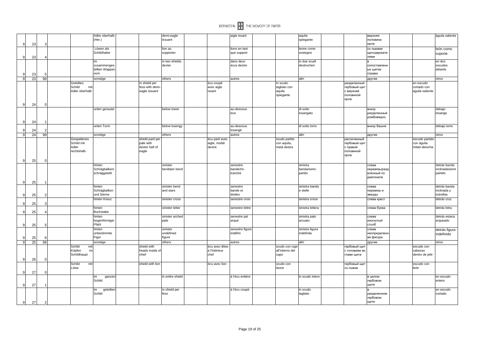|    |    |              | Adler oberhalb | demi-eagle       |                | aigle issant    |                 | aquila           |               | верхняя       |      |                 | águila saliente |
|----|----|--------------|----------------|------------------|----------------|-----------------|-----------------|------------------|---------------|---------------|------|-----------------|-----------------|
|    |    |              | (Her.)         | issuant          |                |                 |                 | spiegante        |               | половина      |      |                 |                 |
| 9  | 23 |              |                |                  |                |                 |                 |                  |               | орла          |      |                 |                 |
|    |    |              | Löwen als      | lion as          |                | lions en tant   |                 | leone come       |               | со львами     |      |                 | león como       |
|    |    |              | Schildhalter   | supporter        |                | que support     |                 | sostegno         |               | щитодержате   |      |                 | soporte         |
| 9  | 23 |              |                |                  |                |                 |                 |                  |               | ЛЯМИ          |      |                 |                 |
|    |    |              | im             | in two shields   |                | dans deux       |                 | in due scudi     |               |               |      |                 | en dos          |
|    |    |              | zusammenges    | dexter           |                | écus dextre     |                 | destrocheri      |               | сопоставленн  |      |                 | escudos         |
|    |    |              | tellten Wapper |                  |                |                 |                 |                  |               | ых щитах      |      |                 | delante         |
| 9  | 23 |              | vorn           |                  |                |                 |                 |                  |               | справа        |      |                 |                 |
| 9  | 23 | 99           | sonstige       | others           |                | autres          |                 | altri            |               | другие        |      |                 | otros           |
|    |    |              | Geteiltes      | in shield per    | écu coupé      |                 | in scudo        |                  | разделенный   |               |      | en escudo       |                 |
|    |    |              | Schild<br>mit  | fess with demi-  | avec aigle     |                 | tagliato con    |                  | гербовый щит  |               |      | cortado con     |                 |
|    |    |              | Adler oberhalb | eagle issuant    | issant         |                 | aquila          |                  | с верхней     |               |      | águila saliente |                 |
|    |    |              |                |                  |                |                 | spiegante       |                  | половиной     |               |      |                 |                 |
|    |    |              |                |                  |                |                 |                 |                  | орла          |               |      |                 |                 |
| 9  | 24 | $\Omega$     |                |                  |                |                 |                 |                  |               |               |      |                 |                 |
|    |    |              | unten gerautet | below tower      |                | au-dessous      |                 | di sotto         |               | внизу         |      |                 | debajo          |
|    |    |              |                |                  |                | tour            |                 | losangato        |               | разделенный   |      |                 | losange         |
|    |    |              |                |                  |                |                 |                 |                  |               | ромбовидно    |      |                 |                 |
| 9  | 24 |              |                |                  |                |                 |                 |                  |               |               |      |                 |                 |
|    |    |              | unten Turm     | below losengy    |                | au-dessous      |                 | di sotto torre   |               | внизу башня   |      |                 | debajo torre    |
|    | 24 |              |                |                  |                | losangé         |                 |                  |               |               |      |                 |                 |
| 9  | 24 | 99           | sonstige       | others           |                | autres          |                 | altri            |               | другие        |      |                 | otros           |
|    |    |              | Gespaltenes    | shield parti per | écu parti avec |                 | scudo partito   |                  | рассеченный   |               |      | escudo partido  |                 |
|    |    |              | Schild mit     | pale with        | aigle, moitié  |                 | con aquila,     |                  | гербовый щит  |               |      | con águila      |                 |
|    |    |              | Adler          | dexter half of   | dextre         |                 | metà destra     |                  | с правой      |               |      | mitad derecha   |                 |
|    |    |              | rechtshalb     | eagle            |                |                 |                 |                  | половиной     |               |      |                 |                 |
|    |    |              |                |                  |                |                 |                 |                  | орла          |               |      |                 |                 |
| 9  | 25 | $\mathbf 0$  |                |                  |                |                 |                 |                  |               |               |      |                 |                 |
|    |    |              | hinten         | sinister         |                | senestre        |                 | sinistra         |               | слева         |      |                 | detrás banda    |
|    |    |              | Schrägbalken/  | bend/per bend    |                | bande/mi-       |                 | banda/semi-      |               | перевязь/разд |      |                 | inclinada/semi  |
|    |    |              | schräggeteilt  |                  |                | tranché         |                 | partito          |               | еленный по    |      |                 | partido         |
|    |    |              |                |                  |                |                 |                 |                  |               | диагонали     |      |                 |                 |
| 9  | 25 | $\mathbf{1}$ |                |                  |                |                 |                 |                  |               |               |      |                 |                 |
|    |    |              | hinten         | sinister bend    |                | senestre        |                 | sinistra banda   |               | слева         |      |                 | detrás banda    |
|    |    |              | Schrägbalken   | and stars        |                | bande et        |                 | e stelle         |               | перевязь и    |      |                 | inclinada y     |
| 9  | 25 |              | und Sterne     |                  |                | étoiles         |                 |                  |               | звезды        |      |                 | estrellas       |
|    |    |              | hinten Kreuz   | sinister cross   |                | senestre croix  |                 | sinistra croce   |               | слева крест   |      |                 | detrás cruz     |
| 9  | 25 |              |                |                  |                |                 |                 |                  |               |               |      |                 |                 |
|    |    |              | hinten         | sinister letter  |                | senestre lettre |                 | sinistra lettera |               | слева буква   |      |                 | detrás letra    |
| 9  | 25 |              | Buchstabe      |                  |                |                 |                 |                  |               |               |      |                 |                 |
|    |    |              | hinten         | sinister arched  |                | senestre pal    |                 | sinistra palo    |               | слева         |      |                 | detrás estaca   |
|    |    |              | bogenförmiger  | pale             |                | arqué           |                 | arcuato          |               | изогнутый     |      |                 | arqueado        |
| 9  | 25 | 5            | Pfahl          |                  |                |                 |                 |                  |               | столб         |      |                 |                 |
|    |    |              | hinten         | sinister         |                | senestre figure |                 | sinistra figura  |               | слева         |      |                 | detrás figura   |
|    |    |              | unbestimmte    | undefined        |                | indéfini        |                 | indefinita       |               | неопределенн  |      |                 | indefinido      |
| 9  | 25 | 6            | Figur          | figure           |                |                 |                 |                  |               | ая фигура     |      |                 |                 |
| G) | 25 | 99           | sonstige       | others           |                | autres          |                 | altri            |               | другие        |      |                 | otros           |
|    |    |              | Schild<br>mit  | shield with      | écu avec têtes |                 | scudo con capi  |                  | гербовый щит  |               |      | escudo con      |                 |
|    |    |              | Köpfen<br>im   | heads inside of  | à l'intérieur  |                 | all'interno del |                  | с головами во |               |      | cabezas         |                 |
|    |    |              | Schildhaupt    | chief            | chef           |                 | capo            |                  | главе щита    |               |      | dentro de jefe  |                 |
| 9  | 26 |              |                |                  |                |                 |                 |                  |               |               |      |                 |                 |
|    |    |              | Schild<br>mit  | shield with lion | écu avec lion  |                 | scudo con       |                  | гербовый щит  |               |      | escudo con      |                 |
|    |    |              | Löwe           |                  |                |                 | leone           |                  | со львом      |               | león |                 |                 |
| 9  | 27 |              |                |                  |                |                 |                 |                  |               |               |      |                 |                 |
|    |    |              | im<br>ganzer   | in entire shield |                | á l'écu entière |                 | in scudo intero  |               | в целом       |      |                 | en escudo       |
|    |    |              | Schild         |                  |                |                 |                 |                  |               | гербовом      |      |                 | entero          |
| 9  | 27 |              |                |                  |                |                 |                 |                  |               | щите          |      |                 |                 |
|    |    |              | geteilte<br>im | in shield per    |                | á l'écu coupé   |                 | in scudo         |               |               |      |                 | en escudo       |
|    |    |              | Schild         | fess             |                |                 |                 | tagliato         |               | разделенном   |      |                 | cortado         |
|    |    |              |                |                  |                |                 |                 |                  |               | гербовом      |      |                 |                 |
| 9  | 27 | 2            |                |                  |                |                 |                 |                  |               | щите          |      |                 |                 |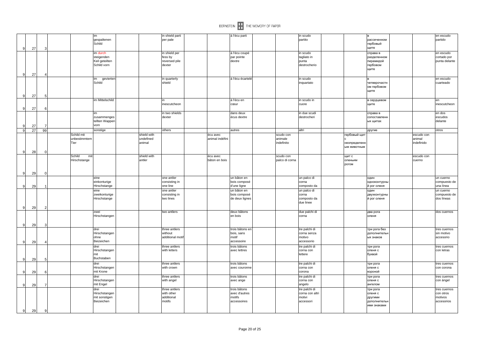

|                                                                                          | 3                                                                                            |               | im<br>gespaltenen<br>Schild                          |                                                                                | in shield parti<br>per pale                         |                                                       | á l'écu parti                                          |                                                                                             |                             | in scudo<br>partito                                     |                                                                                                   |                                    |                                           |                                                                                                                                                                                                                                                                                                                                                                                                                                                           | en escudo<br>partido                               |
|------------------------------------------------------------------------------------------|----------------------------------------------------------------------------------------------|---------------|------------------------------------------------------|--------------------------------------------------------------------------------|-----------------------------------------------------|-------------------------------------------------------|--------------------------------------------------------|---------------------------------------------------------------------------------------------|-----------------------------|---------------------------------------------------------|---------------------------------------------------------------------------------------------------|------------------------------------|-------------------------------------------|-----------------------------------------------------------------------------------------------------------------------------------------------------------------------------------------------------------------------------------------------------------------------------------------------------------------------------------------------------------------------------------------------------------------------------------------------------------|----------------------------------------------------|
|                                                                                          |                                                                                              |               | steigenden<br>Keil geteilten<br>Schild vorn          |                                                                                | fess by<br>reversed pile<br>dexter                  |                                                       | par pointe<br>dextre                                   |                                                                                             |                             | tagliato in<br>punta<br>destrocherio                    |                                                                                                   |                                    |                                           |                                                                                                                                                                                                                                                                                                                                                                                                                                                           | en escudo<br>cortado por<br>punta delante          |
|                                                                                          |                                                                                              |               | im<br>gevierten<br>Schild                            |                                                                                | in quarterly<br>shield                              |                                                       | á l'écu écartelé                                       |                                                                                             |                             | in scudo<br>inquartato                                  |                                                                                                   |                                    | четверочастн                              |                                                                                                                                                                                                                                                                                                                                                                                                                                                           | en escudo<br>cuarteado                             |
|                                                                                          | -5                                                                                           |               |                                                      |                                                                                |                                                     |                                                       |                                                        |                                                                                             |                             |                                                         |                                                                                                   |                                    |                                           |                                                                                                                                                                                                                                                                                                                                                                                                                                                           |                                                    |
|                                                                                          |                                                                                              |               |                                                      |                                                                                | inescutcheon                                        |                                                       | cœur                                                   |                                                                                             |                             | cuore                                                   |                                                                                                   |                                    |                                           |                                                                                                                                                                                                                                                                                                                                                                                                                                                           | en<br>inescutcheon                                 |
|                                                                                          |                                                                                              |               | im<br>zusammenges<br>tellten Wappen<br>vorn          |                                                                                | in two shields<br>dexter                            |                                                       | dans deux<br>écus dextre                               |                                                                                             |                             | in due scudi<br>destrocheri                             |                                                                                                   |                                    | справа в                                  |                                                                                                                                                                                                                                                                                                                                                                                                                                                           | en dos<br>escudos<br>delante                       |
|                                                                                          | 99                                                                                           |               | sonstige                                             |                                                                                | others                                              |                                                       | autres                                                 |                                                                                             |                             | laltri                                                  |                                                                                                   |                                    |                                           |                                                                                                                                                                                                                                                                                                                                                                                                                                                           | otros                                              |
|                                                                                          |                                                                                              |               | unbestimmtem<br>Tier                                 | undefined<br>animal                                                            |                                                     | animal indéfini                                       |                                                        |                                                                                             | animale<br>indefinito       |                                                         |                                                                                                   | неопределенн<br><b>ЫМ ЖИВОТНЫМ</b> |                                           | animal<br>indefinido                                                                                                                                                                                                                                                                                                                                                                                                                                      |                                                    |
|                                                                                          |                                                                                              |               | Schild<br>mit<br>Hirschstange                        | shield with<br>antler                                                          |                                                     | écu avec<br>bâton en bois                             |                                                        |                                                                                             | scudo con<br>palco di corna |                                                         |                                                                                                   |                                    |                                           | escudo con<br>cuerno                                                                                                                                                                                                                                                                                                                                                                                                                                      |                                                    |
|                                                                                          | $\Omega$                                                                                     |               |                                                      |                                                                                |                                                     |                                                       |                                                        |                                                                                             |                             |                                                         |                                                                                                   |                                    |                                           |                                                                                                                                                                                                                                                                                                                                                                                                                                                           |                                                    |
|                                                                                          |                                                                                              |               | eine<br>einkonturige<br>Hirschstange                 |                                                                                | one antler<br>consisting in<br>one line             |                                                       | un bâton en<br>bois composé<br>d'une ligne             |                                                                                             |                             | un palco di<br>corna<br>composto da                     |                                                                                                   |                                    |                                           |                                                                                                                                                                                                                                                                                                                                                                                                                                                           | un cuerno<br>compuesto de<br>una línea             |
|                                                                                          |                                                                                              |               | eine<br>zweikonturige<br>Hirschstange                |                                                                                | one antler<br>consisting in<br>two lines            |                                                       | bois composé<br>de deux lignes                         |                                                                                             |                             | corna<br>composto da<br>due linee                       |                                                                                                   |                                    | один                                      |                                                                                                                                                                                                                                                                                                                                                                                                                                                           | un cuerno<br>compuesto de<br>dos líneas            |
|                                                                                          |                                                                                              |               | zwei<br>Hirschstangen                                |                                                                                | two antlers                                         |                                                       | deux bâtons<br>en bois                                 |                                                                                             |                             | due palchi di<br>corna                                  |                                                                                                   |                                    |                                           |                                                                                                                                                                                                                                                                                                                                                                                                                                                           | dos cuernos                                        |
|                                                                                          | 3                                                                                            |               |                                                      |                                                                                |                                                     |                                                       |                                                        |                                                                                             |                             |                                                         |                                                                                                   |                                    |                                           |                                                                                                                                                                                                                                                                                                                                                                                                                                                           |                                                    |
|                                                                                          |                                                                                              |               | Hirschstangen<br>ohne                                |                                                                                | without                                             |                                                       | bois, sans<br>motif                                    |                                                                                             |                             | corna senza<br>motivo                                   |                                                                                                   |                                    |                                           |                                                                                                                                                                                                                                                                                                                                                                                                                                                           | tres cuernos<br>sin motivo<br>accesorio            |
|                                                                                          |                                                                                              |               | drei<br>Hirschstangen                                |                                                                                | three antlers<br>with letters                       |                                                       | trois bâtons<br>avec lettres                           |                                                                                             |                             | tre palchi di<br>corna con                              |                                                                                                   |                                    | три рога                                  |                                                                                                                                                                                                                                                                                                                                                                                                                                                           | tres cuernos<br>con letras                         |
|                                                                                          |                                                                                              |               | Buchstaben                                           |                                                                                |                                                     |                                                       |                                                        |                                                                                             |                             |                                                         |                                                                                                   |                                    |                                           |                                                                                                                                                                                                                                                                                                                                                                                                                                                           |                                                    |
|                                                                                          |                                                                                              |               | Hirschstangen<br>mit Krone                           |                                                                                | with crown                                          |                                                       | avec couronne                                          |                                                                                             |                             | corna con<br>corona                                     |                                                                                                   |                                    |                                           |                                                                                                                                                                                                                                                                                                                                                                                                                                                           | tres cuernos<br>con corona                         |
|                                                                                          | $\overline{7}$                                                                               |               | drei<br>Hirschstangen<br>mit Engel                   |                                                                                | three antlers<br>with angel                         |                                                       | trois bâtons<br>avec ange                              |                                                                                             |                             | tre palchi di<br>corna con<br>angelo                    |                                                                                                   |                                    | три рога<br>ангелом                       |                                                                                                                                                                                                                                                                                                                                                                                                                                                           | tres cuernos<br>con ángel                          |
|                                                                                          |                                                                                              |               | drei<br>Hirschstangen<br>mit sonstigen<br>Beizeichen |                                                                                | three antlers<br>with other<br>additional<br>motifs |                                                       | trois bâtons<br>avec d'autres<br>motifs<br>accessoires |                                                                                             |                             | tre palchi di<br>corna con altri<br>motivi<br>accessori |                                                                                                   |                                    |                                           |                                                                                                                                                                                                                                                                                                                                                                                                                                                           | tres cuernos<br>con otros<br>motivos<br>accesorios |
| 9<br>$\mathbf{Q}$<br>9<br>9<br>9<br>9<br>9<br>9<br>9<br>9<br>9<br>9<br>9<br>9<br>-9<br>9 | 27<br>27<br>27<br>27<br>27<br>27<br>28<br>29<br>29<br>29<br>29<br>29<br>29<br>29<br>29<br>29 | $\Omega$<br>9 |                                                      | im durch<br>im Mittelschild<br>Schild mit<br>drei<br>Beizeichen<br>mit<br>drei | shield with                                         | in shield per<br>in<br>three antlers<br>three antlers | écu avec<br>additional motif                           | á l'écu coupé<br>á l'écu en<br>un bâton en<br>trois bâtons en<br>accessoire<br>trois bâtons |                             | scudo con                                               | in scudo<br>in scudo in<br>un palco di<br>tre palchi di<br>accessorio<br>lettere<br>tre palchi di |                                    | гербовый щит<br>щит с<br>оленьим<br>рогом | рассеченном<br>гербовый<br>щите<br>справа в<br>разделенном<br>пирамидой<br>гербовом<br>щите<br>ом гербовом<br>щите<br>в сердцевом<br>щите<br>сопоставленн<br>ых щитах<br>другие<br>один<br>одноконтурнь<br>й рог оленя<br>двухконтурнь<br>й рог оленя<br>два рога<br>оленя<br>три рога без<br>дополнителы<br>ых знаков<br>оленя с<br>буквой<br>три рога<br>оленя с<br>короной<br>оленя с<br>три рога<br>оленя с<br>другими<br>дополнительн<br>ими знаками | escudo con                                         |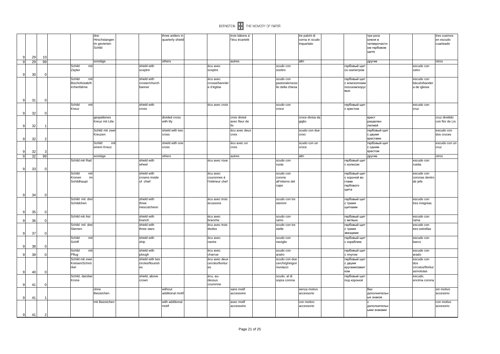

|              |    |    |                 | drei            |                  | three antlers in |                  | trois bâtons á |                  | tre palchi di   |               | три рога     |                   | tres cuernos    |
|--------------|----|----|-----------------|-----------------|------------------|------------------|------------------|----------------|------------------|-----------------|---------------|--------------|-------------------|-----------------|
|              |    |    |                 | Hirschstangen   |                  | quarterly shield |                  | l'écu écartelé |                  | corna in scudo  |               | оленя в      |                   | en escudo       |
|              |    |    |                 | im gevierten    |                  |                  |                  |                |                  | inquartato      |               | четверочастн |                   | cuarteado       |
|              |    |    |                 | Schild          |                  |                  |                  |                |                  |                 |               | ом гербовом  |                   |                 |
|              |    |    |                 |                 |                  |                  |                  |                |                  |                 |               | щите         |                   |                 |
| -9           | 29 | 10 |                 |                 |                  |                  |                  |                |                  |                 |               |              |                   |                 |
| 9            | 29 | 99 |                 | sonstige        |                  | others           |                  | autres         |                  | altri           |               | другие       |                   | otros           |
|              |    |    | Schild<br>mit   |                 | shield with      |                  | écu avec         |                | scudo con        |                 | гербовый щит  |              | escudo con        |                 |
|              |    |    | Zepter          |                 | sceptre          |                  | sceptre          |                | scettro          |                 | со скипетром  |              | cetro             |                 |
| 9            | 30 |    |                 |                 |                  |                  |                  |                |                  |                 |               |              |                   |                 |
|              |    |    | Schild<br>mit   |                 | shield with      |                  | écu avec         |                | scudo con        |                 | гербовый щит  |              | escudo con        |                 |
|              |    |    | Bischofsstab/K  |                 | crosier/church   |                  | crosse/bannièr   |                | pastorale/vessi  |                 | с епископским |              | báculo/bander     |                 |
|              |    |    | irchenfahne     |                 | banner           |                  | e d'église       |                | llo della chiesa |                 | посохом/хоруг |              | a de iglesia      |                 |
|              |    |    |                 |                 |                  |                  |                  |                |                  |                 | ВЬЮ           |              |                   |                 |
|              |    |    |                 |                 |                  |                  |                  |                |                  |                 |               |              |                   |                 |
| 9            | 31 |    |                 |                 |                  |                  |                  |                |                  |                 |               |              |                   |                 |
|              |    |    | Schild<br>mit   |                 | shield with      |                  | écu avec croix   |                | scudo con        |                 | гербовый щит  |              | escudo con        |                 |
|              |    |    | Kreuz           |                 | cross            |                  |                  |                | croce            |                 | с крестом     |              | cruz              |                 |
| $\mathbf c$  | 32 |    |                 |                 |                  |                  |                  |                |                  |                 |               |              |                   |                 |
|              |    |    |                 | gespaltenes     |                  | divided cross    |                  | croix divisé   |                  | croce divisa da |               | крест        |                   | cruz dividido   |
|              |    |    |                 | Kreuz mit Lilie |                  | with lily        |                  | avec fleur de  |                  | giglio          |               | разделен     |                   | con flor de Lis |
| 9            | 32 |    |                 |                 |                  |                  |                  | lis            |                  |                 |               | лилией       |                   |                 |
|              |    |    |                 | Schild mit zwei |                  | shield with two  |                  | écu avec deux  |                  | scudo con due   |               | гербовый щит |                   | escudo con      |
|              |    |    |                 | Kreuzen         |                  | cross            |                  | croix          |                  | croci           |               | с двумя      |                   | dos cruces      |
| -9           | 32 |    |                 |                 |                  |                  |                  |                |                  |                 |               | крестами     |                   |                 |
|              |    |    |                 | Schild<br>mit   |                  | shield with one  |                  | écu avec un    |                  | scudo con un    |               | гербовый щит |                   | escudo con un   |
|              |    |    |                 | einem Kreuz     |                  | cross            |                  | croix          |                  | croce           |               | с одним      |                   | cruz            |
| -9           | 32 |    |                 |                 |                  |                  |                  |                |                  |                 |               | крестом      |                   |                 |
| 9            | 32 | 99 |                 | sonstige        |                  | others           |                  | autres         |                  | altri           |               | другие       |                   | otros           |
|              |    |    | Schild mit Rad  |                 | shield with      |                  | écu avec roue    |                | scudo con        |                 | гербовый щит  |              | escudo con        |                 |
|              |    |    |                 |                 | wheel            |                  |                  |                | ruota            |                 | с колесом     |              | rueda             |                 |
| 9            | 33 |    |                 |                 |                  |                  |                  |                |                  |                 |               |              |                   |                 |
|              |    |    | Schild<br>mit   |                 | shield with      |                  | écu avec         |                | scudo con        |                 | гербовый щит  |              | escudo con        |                 |
|              |    |    | im<br>Kronen    |                 | crowns inside    |                  | couronnes à      |                | corone           |                 | с короной во  |              | coronas dentro    |                 |
|              |    |    | Schildhaupt     |                 | of chief         |                  | l'intérieur chef |                | all'interno del  |                 | главе         |              | de jefe           |                 |
|              |    |    |                 |                 |                  |                  |                  |                | capo             |                 | гербового     |              |                   |                 |
|              |    |    |                 |                 |                  |                  |                  |                |                  |                 | щита          |              |                   |                 |
| $\mathbf{Q}$ | 34 |    |                 |                 |                  |                  |                  |                |                  |                 |               |              |                   |                 |
|              |    |    | Schild mit drei |                 | shield with      |                  | écu avec trois   |                | scudo con tre    |                 | гербовый щит  |              | escudo con        |                 |
|              |    |    | Schildchen      |                 | three            |                  | écussons         |                | stemmi           |                 | с тремя       |              | tres insignias    |                 |
|              |    |    |                 |                 | inescutcheon     |                  |                  |                |                  |                 | щитками       |              |                   |                 |
| 9            | 35 |    |                 |                 |                  |                  |                  |                |                  |                 |               |              |                   |                 |
|              |    |    | Schild mit Ast  |                 | shield with      |                  | écu avec         |                | scudo con        |                 | гербовый щит  |              | escudo con        |                 |
| 9            | 36 |    |                 |                 | branch           |                  | branche          |                | ramo             |                 | с ветвью      |              | rama              |                 |
|              |    |    | Schild mit drei |                 | shield with      |                  | écu avec trois   |                | scudo con tre    |                 | гербовый щит  |              | escudo con        |                 |
|              |    |    | Sternen         |                 | three stars      |                  | étoiles          |                | stelle           |                 | с тремя       |              | tres estrellas    |                 |
| -9           | 37 |    |                 |                 |                  |                  |                  |                |                  |                 | звездами      |              |                   |                 |
|              |    |    | Schild<br>mit   |                 | shield with      |                  | écu avec         |                | scudo con        |                 | гербовый щит  |              | escudo con        |                 |
|              |    |    | Schiff          |                 | ship             |                  | navire           |                | naviglio         |                 | с кораблем    |              | barco             |                 |
| 9            |    |    |                 |                 |                  |                  |                  |                |                  |                 |               |              |                   |                 |
|              | 38 |    |                 |                 |                  |                  |                  |                |                  |                 |               |              |                   |                 |
| -9           |    |    | Schild<br>mit   |                 | shield with      |                  | écu avec         |                | scudo con        |                 | гербовый щит  |              | escudo con        |                 |
|              | 39 |    | Pflug           |                 | plough           |                  | charrue          |                | aratro           |                 | с плугом      |              | arado             |                 |
|              |    |    | Schild mit zwei |                 | shield with two  |                  | écu avec deux    |                | scudo con due    |                 | гербовый щит  |              | escudo con        |                 |
|              |    |    | Kreisen/Schnö   |                 | circles/flourish |                  | cercles/fioritur |                | cerchi/ghirigori |                 | с двумя       |              | dos               |                 |
|              |    |    | rkel            |                 | es               |                  | les              |                | /svolazzi        |                 | кругами/завит |              | círculos/floritur |                 |
| -9           | 40 |    |                 |                 |                  |                  |                  |                |                  |                 | KOM           |              | as/volutas        |                 |
|              |    |    | Schild, darüber |                 | shield, above    |                  | écu, au-         |                | scudo, al di     |                 | гербовый щит  |              | escudo,           |                 |
|              |    |    | Krone           |                 | crown            |                  | dessus           |                | sopra corona     |                 | под короной   |              | encima corona     |                 |
| $\mathbf{q}$ | 41 |    |                 |                 |                  |                  | couronne         |                |                  |                 |               |              |                   |                 |
|              |    |    |                 | ohne            |                  | without          |                  | sans motif     |                  | senza motivo    |               | без          |                   | sin motivo      |
|              |    |    |                 | Beizeichen      |                  | additional motif |                  | accessoire     |                  | accessorio      |               | дополнительн |                   | accesorio       |
| -9           | 41 |    |                 |                 |                  |                  |                  |                |                  |                 |               | ых знаков    |                   |                 |
|              |    |    |                 | mit Beizeichen  |                  | with additional  |                  | avec motif     |                  | con motivo      |               |              |                   | con motivo      |
|              |    |    |                 |                 |                  | motif            |                  | accessoire     |                  | accessorio      |               | дополнительн |                   | accesorio       |
| 9            | 41 | 2  |                 |                 |                  |                  |                  |                |                  |                 |               | ыми знаками  |                   |                 |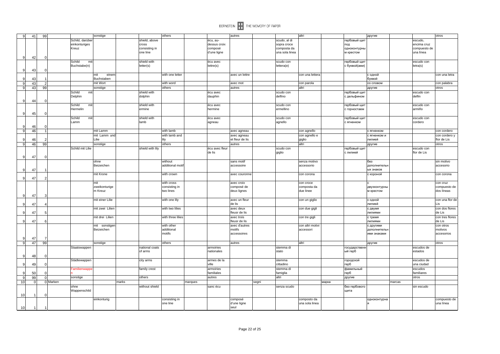

| 9              | 41             | 99             |                  | sonstige                    |       |                  | others                   |         |                     | autres                         |       |                        | altri                         |       | другие                       |        |                      | otros                |
|----------------|----------------|----------------|------------------|-----------------------------|-------|------------------|--------------------------|---------|---------------------|--------------------------------|-------|------------------------|-------------------------------|-------|------------------------------|--------|----------------------|----------------------|
|                |                |                | Schild, darüber  |                             |       | shield, above    |                          |         | écu, au-            |                                |       | scudo, al di           |                               |       | гербовый щит                 |        | escudo,              |                      |
|                |                |                | einkonturiges    |                             |       | cross            |                          |         | dessus croix        |                                |       | sopra croce            |                               |       | под                          |        | encima cruz          |                      |
|                |                |                | Kreuz            |                             |       | consisting in    |                          |         | composé             |                                |       | composta da            |                               |       | одноконтурны                 |        | compuesto de         |                      |
|                |                |                |                  |                             |       | one line         |                          |         | d'une ligne         |                                |       | una sola linea         |                               |       | м крестом                    |        | una línea            |                      |
| $\mathbf{Q}$   | 42             | C              |                  |                             |       |                  |                          |         |                     |                                |       |                        |                               |       |                              |        |                      |                      |
|                |                |                | Schild<br>mit    |                             |       | shield with      |                          |         | écu avec            |                                |       | scudo con              |                               |       | гербовый щит                 |        | escudo con           |                      |
|                |                |                | Buchstabe(n)     |                             |       | letter(s)        |                          |         | lettre(s)           |                                |       | lettera(e)             |                               |       | с буквой(ами)                |        | letra(s)             |                      |
|                | 43             |                |                  |                             |       |                  |                          |         |                     |                                |       |                        |                               |       |                              |        |                      |                      |
|                |                |                |                  | einen<br>mit                |       |                  | with one letter          |         |                     | avec un lettre                 |       |                        | con una lettera               |       | с одной                      |        |                      | con una letra        |
| 9              | 43             |                |                  | Buchstaben                  |       |                  |                          |         |                     |                                |       |                        |                               |       | буквой                       |        |                      |                      |
| $\overline{9}$ | 43             | $\overline{2}$ |                  | mit Wort                    |       |                  | with word                |         |                     | avec mot                       |       |                        | con parola                    |       | со словом                    |        |                      | con palabra          |
| 9              | 43             | 99             |                  | sonstige                    |       |                  | others                   |         |                     | autres                         |       |                        | altri                         |       | другие                       |        |                      | otros                |
|                |                |                | Schild<br>mit    |                             |       | shield with      |                          |         | écu avec            |                                |       | scudo con              |                               |       | гербовый щит                 |        | escudo con           |                      |
|                |                |                | Delphin          |                             |       | dolphin          |                          |         | dauphin             |                                |       | delfino                |                               |       | с дельфином                  |        | delfin               |                      |
| 9              | 44             |                | Schild           |                             |       | shield with      |                          |         |                     |                                |       |                        |                               |       |                              |        |                      |                      |
|                |                |                | mit<br>Hermelin  |                             |       | ermine           |                          |         | écu avec<br>hermine |                                |       | scudo con<br>ermellino |                               |       | гербовый щит<br>с горностаем |        | escudo con<br>armiño |                      |
| 9              | 45             |                |                  |                             |       |                  |                          |         |                     |                                |       |                        |                               |       |                              |        |                      |                      |
|                |                |                | Schild<br>mit    |                             |       | shield with      |                          |         | écu avec            |                                |       | scudo con              |                               |       | гербовый щит                 |        | escudo con           |                      |
|                |                |                | Lamm             |                             |       | lamb             |                          |         | agneau              |                                |       | lagnello               |                               |       | с ягненком                   |        | cordero              |                      |
| 9              | 46             |                |                  |                             |       |                  |                          |         |                     |                                |       |                        |                               |       |                              |        |                      |                      |
| 9              | 46             | $\overline{1}$ |                  | mit Lamm                    |       |                  | with lamb                |         |                     | avec agneau                    |       |                        | con agnello                   |       | с ягненком                   |        |                      | con cordero          |
|                |                |                |                  | mit Lamm und                |       |                  | with lamb and            |         |                     | avec agneau                    |       |                        | con agnello e                 |       | с ягненком и                 |        |                      | con cordero y        |
| 9              | 46             |                |                  | Lilie                       |       |                  | lily                     |         |                     | et fleur de lis                |       |                        | giglio                        |       | лилией                       |        |                      | flor de Lis          |
| 9 <sup>1</sup> | 46             | 99             |                  | sonstige                    |       |                  | others                   |         |                     | autres                         |       |                        | altri                         |       | другие                       |        |                      | otros                |
|                |                |                | Schild mit Lilie |                             |       | shield with lily |                          |         | écu avec fleur      |                                |       | scudo con              |                               |       | гербовый щит                 |        | escudo con           |                      |
|                |                |                |                  |                             |       |                  |                          |         | de lis              |                                |       | giglio                 |                               |       | с лилией                     |        | flor de Lis          |                      |
| 9              | 47             |                |                  |                             |       |                  |                          |         |                     |                                |       |                        |                               |       |                              |        |                      |                      |
|                |                |                |                  | ohne                        |       |                  | without                  |         |                     | sans motif                     |       |                        | senza motivo                  |       | без                          |        |                      | sin motivo           |
|                |                |                |                  | Beizeichen                  |       |                  | additional motif         |         |                     | accessoire                     |       |                        | accessorio                    |       | дополнителы                  |        |                      | accesorio            |
| <b>q</b>       | 47             |                |                  |                             |       |                  |                          |         |                     |                                |       |                        |                               |       | ых знаков                    |        |                      |                      |
|                |                |                |                  | mit Krone                   |       |                  | with crown               |         |                     | avec couronne                  |       |                        | con corona                    |       | с короной                    |        |                      | con corona           |
| 9              | 47             |                |                  |                             |       |                  |                          |         |                     |                                |       |                        |                               |       |                              |        |                      |                      |
|                |                |                |                  | mit                         |       |                  | with cross               |         |                     | avec croix                     |       |                        | con croce                     |       |                              |        |                      | con cruz             |
|                |                |                |                  | zweikonturige               |       |                  | consisting in            |         |                     | composé de                     |       |                        | composta da                   |       | двухконтурнь                 |        |                      | compuesto de         |
|                |                |                |                  | m Kreuz                     |       |                  | two lines                |         |                     | deux lignes                    |       |                        | due linee                     |       | м крестом                    |        |                      | dos líneas           |
| 9              | 47             |                |                  |                             |       |                  |                          |         |                     |                                |       |                        |                               |       |                              |        |                      |                      |
|                |                |                |                  | mit einer Lilie             |       |                  | with one lily            |         |                     | avec un fleur                  |       |                        | con un giglio                 |       | с одной                      |        |                      | con una flor de      |
| 9              | 47             |                |                  |                             |       |                  |                          |         |                     | de lis                         |       |                        |                               |       | лилией                       |        |                      | Lis                  |
|                |                |                |                  | mit zwei Lilien             |       |                  | with two lilies          |         |                     | avec deux                      |       |                        | con due gigli                 |       | с двумя                      |        |                      | con dos flores       |
| 9              | 47             | F              |                  |                             |       |                  |                          |         |                     | fleusr de lis                  |       |                        |                               |       | ЛИЛИЯМИ                      |        |                      | de Lis               |
|                |                |                |                  | mit drei Lilien             |       |                  | with three lilies        |         |                     | avec trois                     |       |                        | con tre gigli                 |       | с тремя                      |        |                      | con tres flores      |
| $\mathbf{Q}$   | 47             |                |                  |                             |       |                  |                          |         |                     | fleusr de lis<br>avec d'autres |       |                        |                               |       | ЛИЛИЯМИ                      |        |                      | de Lis               |
|                |                |                |                  | mit sonstiger<br>Beizeichen |       |                  | with other<br>additional |         |                     | motifs                         |       |                        | con altri motivi<br>accessori |       | с другими<br>дополнителы     |        |                      | con otros<br>motivos |
|                |                |                |                  |                             |       |                  | motifs                   |         |                     | accessoires                    |       |                        |                               |       | ими знаками                  |        |                      | accesorios           |
| 9              | 47             | 7              |                  |                             |       |                  |                          |         |                     |                                |       |                        |                               |       |                              |        |                      |                      |
| 9              | 47             | 99             |                  | sonstige                    |       |                  | others                   |         |                     | autres                         |       |                        | altri                         |       | другие                       |        |                      | otros                |
|                |                |                | Staatswappen     |                             |       | national coats   |                          |         | armoiries           |                                |       | stemma di              |                               |       | государственн                |        | escudos de           |                      |
|                |                |                |                  |                             |       | of arms          |                          |         | nationales          |                                |       | stato                  |                               |       | ый герб                      |        | estados              |                      |
| 9              | 48             |                |                  |                             |       |                  |                          |         |                     |                                |       |                        |                               |       |                              |        |                      |                      |
|                |                |                | Städtewappen     |                             |       | city arms        |                          |         | armes de la         |                                |       | stemma                 |                               |       | городской                    |        | escudos de           |                      |
| 9              | 49             |                |                  |                             |       |                  |                          |         | ville               |                                |       | cittadino              |                               |       | герб                         |        | una ciudad           |                      |
|                |                |                | Familienwappe    |                             |       | family crest     |                          |         | armoiries           |                                |       | stemma di              |                               |       | фамильный                    |        | escudos              |                      |
| $\mathbf{Q}$   | 50             |                |                  |                             |       |                  |                          |         | familiales          |                                |       | famiglia               |                               |       | герб                         |        | familiares           |                      |
| 9              | 99             | $\Omega$       | sonstige         |                             |       | others           |                          |         | autres              |                                |       | altri                  |                               |       | другие                       |        | otros                |                      |
| 10             | $\overline{0}$ |                | 0 Marken         |                             | marks |                  |                          | marques |                     |                                | segni |                        |                               | марка |                              | marcas |                      |                      |
|                |                |                | ohne             |                             |       | without shield   |                          |         | sanc écu            |                                |       | senza scudo            |                               |       | без гербового                |        | sin escudo           |                      |
|                |                |                | Wappenschild     |                             |       |                  |                          |         |                     |                                |       |                        |                               |       | щита                         |        |                      |                      |
| 10             |                |                |                  |                             |       |                  |                          |         |                     |                                |       |                        |                               |       |                              |        |                      |                      |
|                |                |                |                  | einkonturig                 |       |                  | consisting in            |         |                     | composé                        |       |                        | composto da                   |       | одноконтурна                 |        |                      | compuesto de         |
|                |                |                |                  |                             |       |                  | one line                 |         |                     | d'une ligne                    |       |                        | una sola linea                |       |                              |        |                      | una línea            |
| 10             |                |                |                  |                             |       |                  |                          |         |                     | seul                           |       |                        |                               |       |                              |        |                      |                      |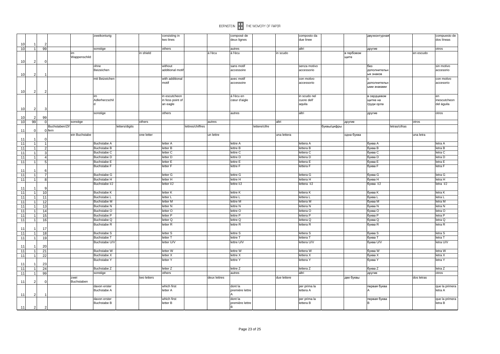|                |                |    |                |               | zweikonturig                       |                |             | consisting in           |                  |              | composé de           |              |             | composto da               |             | двухконтурная |               |            | compuesto de              |
|----------------|----------------|----|----------------|---------------|------------------------------------|----------------|-------------|-------------------------|------------------|--------------|----------------------|--------------|-------------|---------------------------|-------------|---------------|---------------|------------|---------------------------|
|                |                |    |                |               |                                    |                |             | two lines               |                  |              | deux lignes          |              |             | due linee                 |             |               |               |            | dos líneas                |
| 1 <sup>1</sup> |                |    |                |               |                                    |                |             |                         |                  |              |                      |              |             |                           |             |               |               |            |                           |
| 10             | $\overline{1}$ | 99 |                |               | sonstige                           |                |             | others                  |                  |              | autres               |              |             | altri                     |             | другие        |               |            | otros                     |
|                |                |    |                | im            |                                    |                | in shield   |                         |                  | á l'écu      | á l'écu              |              | in scudo    |                           | в гербовом  |               |               | en escudo  |                           |
|                |                |    |                | Wappenschild  |                                    |                |             |                         |                  |              |                      |              |             |                           | щите        |               |               |            |                           |
| 10             | 2              |    |                |               |                                    |                |             |                         |                  |              |                      |              |             |                           |             |               |               |            |                           |
|                |                |    |                |               | ohne                               |                |             | without                 |                  |              | sans motif           |              |             | senza motivo              |             | без           |               |            | sin motivo                |
|                |                |    |                |               | Beizeichen                         |                |             | additional motif        |                  |              | accessoire           |              |             | accessorio                |             | дополнительн  |               |            | accesorio                 |
| 10             |                |    |                |               |                                    |                |             |                         |                  |              |                      |              |             |                           |             | ых знаков     |               |            |                           |
|                |                |    |                |               | mit Beizeicher                     |                |             | with additional         |                  |              | avec motif           |              |             | con motivo                |             |               |               |            | con motivo                |
|                |                |    |                |               |                                    |                |             | motif                   |                  |              | accessoire           |              |             | accessorio                |             | дополнительн  |               |            | accesorio                 |
|                |                |    |                |               |                                    |                |             |                         |                  |              |                      |              |             |                           |             | ыми знаками   |               |            |                           |
| 10             |                |    |                |               |                                    |                |             |                         |                  |              |                      |              |             |                           |             |               |               |            |                           |
|                |                |    |                |               | im                                 |                |             | in escutcheon           |                  |              | á l'écu en           |              |             | in scudo nel              |             | в сердцевом   |               |            | en                        |
|                |                |    |                |               | Adlerherzschil                     |                |             | in fess point of        |                  |              | cœur d'aigle         |              |             | cuore dell'               |             | щитке на      |               |            | inescutcheon              |
|                |                |    |                |               |                                    |                |             | an eagle                |                  |              |                      |              |             | aquila                    |             | груди орла    |               |            | del águila                |
| 10             | -2             |    |                |               |                                    |                |             |                         |                  |              |                      |              |             |                           |             |               |               |            |                           |
|                |                |    |                |               | sonstige                           |                |             | others                  |                  |              | autres               |              |             | altri                     |             | другие        |               |            | otros                     |
| 10             | $\mathcal{P}$  | 99 |                |               |                                    |                |             |                         |                  |              |                      |              |             |                           |             |               |               |            |                           |
| 10             | 99             |    |                | sonstige      |                                    |                | others      |                         |                  | autres       |                      |              | altri       |                           | другие      |               |               | otros      |                           |
|                |                |    | Buchstaben/Zif |               |                                    | letters/digits |             |                         | lettres/chiffres |              |                      | ettere/cifre |             |                           | буквы/цифры |               | letras/cifras |            |                           |
| 11             | $\Omega$       |    | 0 fern         |               |                                    |                |             |                         |                  |              |                      |              |             |                           |             |               |               |            |                           |
|                |                |    |                | ein Buchstabe |                                    |                | one letter  |                         |                  | un lettre    |                      |              | una lettera |                           | одна буква  |               |               | una letra  |                           |
| 11             |                |    |                |               |                                    |                |             |                         |                  |              |                      |              |             |                           |             |               |               |            |                           |
| 11             |                |    |                |               | <b>Buchstabe A</b>                 |                |             | letter A                |                  |              | lettre A             |              |             | lettera A                 |             | буква А       |               |            | letra A                   |
| 11             |                |    |                |               | Buchstabe B                        |                |             | letter B                |                  |              | lettre B             |              |             | lettera B                 |             | буква В       |               |            | letra B                   |
| 11             | $\mathbf{1}$   |    |                |               | Buchstabe C                        |                |             | letter C                |                  |              | lettre C             |              |             | lettera C                 |             | буква С       |               |            | letra C                   |
|                |                |    |                |               |                                    |                |             | letter D                |                  |              | lettre D             |              |             | lettera D                 |             |               |               |            |                           |
| 11             |                |    |                |               | Buchstabe D                        |                |             |                         |                  |              |                      |              |             |                           |             | буква D       |               |            | letra D                   |
| 11             | $\overline{1}$ | 5  |                |               | Buchstabe E                        |                |             | letter E                |                  |              | lettre E             |              |             | lettera E                 |             | буква Е       |               |            | letra E                   |
|                |                |    |                |               | Buchstabe F                        |                |             | letter F                |                  |              | lettre F             |              |             | lettera F                 |             | буква F       |               |            | letra F                   |
| 11             |                |    |                |               |                                    |                |             |                         |                  |              |                      |              |             |                           |             |               |               |            |                           |
| 11             |                |    |                |               | Buchstabe G                        |                |             | letter G                |                  |              | lettre G             |              |             | lettera G                 |             | буква G       |               |            | letra G                   |
| 11             | 1              |    |                |               | Buchstabe H                        |                |             | letter H                |                  |              | lettre H             |              |             | lettera H                 |             | буква Н       |               |            | letra H                   |
|                |                |    |                |               | Buchstabe I/J                      |                |             | letter I/J              |                  |              | lettre I/J           |              |             | lettera I/J               |             | буква I/J     |               |            | letra I/J                 |
| 11             |                |    |                |               |                                    |                |             |                         |                  |              |                      |              |             |                           |             |               |               |            |                           |
| 11             | 1 <sup>1</sup> | 10 |                |               | Buchstabe K                        |                |             | letter K                |                  |              | lettre K             |              |             | lettera K                 |             | буква К       |               |            | letra K                   |
| 11             | $\overline{1}$ | 11 |                |               | Buchstabe L                        |                |             | letter L                |                  |              | lettre L             |              |             | lettera L                 |             | буква L       |               |            | letra L                   |
| 11             |                | 12 |                |               | Buchstabe M                        |                |             | letter M                |                  |              | lettre M             |              |             | lettera M                 |             | буква М       |               |            | letra M                   |
| 11             |                | 13 |                |               | <b>Buchstabe N</b>                 |                |             | letter N                |                  |              | lettre N             |              |             | lettera N                 |             | буква N       |               |            | letra N                   |
| 11             |                | 14 |                |               | Buchstabe O                        |                |             | letter O                |                  |              | lettre O             |              |             | lettera O                 |             | буква О       |               |            | letra O                   |
| 11             |                | 15 |                |               | <b>Buchstabe P</b>                 |                |             | letter P                |                  |              | lettre P             |              |             | lettera P                 |             | буква Р       |               |            | letra P                   |
| 11             |                | 16 |                |               | Buchstabe Q                        |                |             | letter Q                |                  |              | lettre Q             |              |             | lettera Q                 |             | буква Q       |               |            | letra Q                   |
|                |                |    |                |               | <b>Buchstabe R</b>                 |                |             | letter <sub>R</sub>     |                  |              | lettre R             |              |             | lettera R                 |             | буква R       |               |            | letra R                   |
| 11             |                | 17 |                |               |                                    |                |             |                         |                  |              |                      |              |             |                           |             |               |               |            |                           |
| 11             |                | 18 |                |               | Buchstabe S                        |                |             | letter S                |                  |              | lettre S             |              |             | lettera S                 |             | буква S       |               |            | letra S                   |
| 11             | $\overline{1}$ | 19 |                |               | Buchstabe T                        |                |             | letter T                |                  |              | lettre T             |              |             | lettera T                 |             | буква Т       |               |            | letra T                   |
|                |                |    |                |               | Buchstabe U/V                      |                |             | letter U/V              |                  |              | lettre U/V           |              |             | lettera U/V               |             | буква U/V     |               |            | letra U/V                 |
| 11             |                | 20 |                |               |                                    |                |             |                         |                  |              |                      |              |             |                           |             |               |               |            |                           |
| 11             |                | 21 |                |               | Buchstabe W                        |                |             | letter W                |                  |              | lettre W             |              |             | lettera W                 |             | буква W       |               |            | letra W                   |
| 11             |                | 22 |                |               | <b>Buchstabe X</b>                 |                |             | letter X                |                  |              | lettre X             |              |             | lettera X                 |             | буква Х       |               |            | letra X                   |
|                |                |    |                |               | <b>Buchstabe Y</b>                 |                |             | letter Y                |                  |              | lettre Y             |              |             | lettera Y                 |             | буква Ү       |               |            | letra Y                   |
| 11             |                | 23 |                |               |                                    |                |             |                         |                  |              |                      |              |             |                           |             |               |               |            |                           |
| 11             | $\overline{1}$ | 24 |                |               | Buchstabe Z                        |                |             | letter <sub>Z</sub>     |                  |              | lettre Z             |              |             | lettera Z                 |             | буква Z       |               |            | letra Z                   |
|                | $\overline{1}$ |    |                |               |                                    |                |             |                         |                  |              |                      |              |             | altri                     |             |               |               |            |                           |
| 11             |                | 99 |                |               | sonstige                           |                |             | others                  |                  |              | autres               |              |             |                           |             | другие        |               |            | otros                     |
|                |                |    |                | zwei          |                                    |                | two letters |                         |                  | deux lettres |                      |              | due lettere |                           | две буквы   |               |               | dos letras |                           |
| 11             | $\mathcal{P}$  | n  |                | Buchstaben    |                                    |                |             |                         |                  |              |                      |              |             |                           |             |               |               |            |                           |
|                |                |    |                |               | davon erster<br><b>Buchstabe A</b> |                |             | which first<br>letter A |                  |              | dont la              |              |             | per prima la<br>lettera A |             | первая буква  |               |            | que la primera<br>letra A |
|                |                |    |                |               |                                    |                |             |                         |                  |              | première lettre      |              |             |                           |             |               |               |            |                           |
| 11             | 2              |    |                |               |                                    |                |             |                         |                  |              |                      |              |             |                           |             |               |               |            |                           |
|                |                |    |                |               | davon erster<br><b>Buchstabe B</b> |                |             | which first<br>letter B |                  |              | dont la              |              |             | per prima la<br>lettera B |             | первая буква  |               |            | que la primera<br>letra B |
|                |                |    |                |               |                                    |                |             |                         |                  |              | première lettre<br>B |              |             |                           |             |               |               |            |                           |
| 11             | $\overline{2}$ |    |                |               |                                    |                |             |                         |                  |              |                      |              |             |                           |             |               |               |            |                           |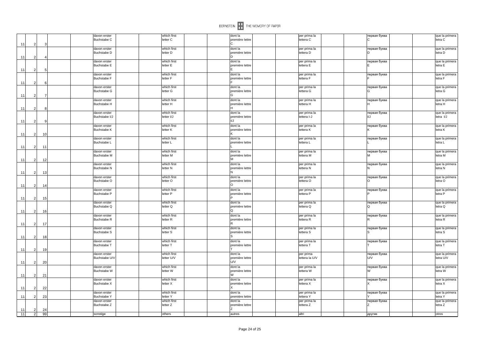|          |                                  |          |                                                    |                                        | BERNSTEIN <b>THE MEMORY OF PAPER</b>     |                                           |                              |                                             |
|----------|----------------------------------|----------|----------------------------------------------------|----------------------------------------|------------------------------------------|-------------------------------------------|------------------------------|---------------------------------------------|
|          |                                  |          | davon erster<br>Buchstabe C                        | which first<br>letter C                | dont la<br>première lettre<br>IC.        | per prima la<br>lettera C                 | первая буква<br>lc           | que la primera<br>letra C                   |
| 11       |                                  |          | davon erster<br>Buchstabe D                        | which first<br>letter D                | dont la<br>première lettre<br>In         | per prima la<br>lettera D                 | первая буква<br>lD.          | que la primera<br>letra D                   |
| 11       |                                  |          | davon erster<br><b>Buchstabe E</b>                 | which first<br>letter E                | dont la<br>première lettre<br>ΙE         | per prima la<br>lettera E                 | первая буква<br>F            | que la primera<br>letra E                   |
| 11       |                                  |          | davon erster<br><b>Buchstabe F</b>                 | which first<br>letter F                | dont la<br>première lettre               | per prima la<br>lettera F                 | первая буква                 | que la primera<br>letra F                   |
| 11       |                                  |          | davon erster<br><b>Buchstabe G</b>                 | which first<br>letter G                | dont la<br>première lettre<br>lG         | per prima la<br>lettera G                 | первая буква<br>lG           | que la primera<br>letra G                   |
| 11       | $\overline{2}$                   |          | davon erster<br>Buchstabe H                        | which first<br>letter H                | dont la<br>première lettre<br>H          | per prima la<br>lettera H                 | первая буква<br>$\mathsf{H}$ | que la primera<br>letra H                   |
| 11       | $\mathcal{P}$                    | c        | davon erster<br>Buchstabe I/J                      | which first<br>letter I/J              | dont la<br>première lettre<br>I/J        | per prima la<br>lettera I-J               | первая буква<br>I/J          | que la primera<br>letra I/J                 |
| 11<br>11 | 2                                | 10       | davon erster<br><b>Buchstabe K</b>                 | which first<br>letter K                | dont la<br>première lettre<br>$\ltimes$  | per prima la<br>lettera K                 | первая буква<br>ΙK           | que la primera<br>letra K                   |
| 11       | $\mathcal{P}$                    | 11       | davon erster<br>Buchstabe L                        | which first<br>letter L                | dont la<br>première lettre               | per prima la<br>lettera L                 | первая буква                 | que la primera<br>letra L                   |
|          | $\overline{2}$                   | 12       | davon erster<br><b>Buchstabe M</b>                 | which first<br>letter M                | dont la<br>première lettre<br>Iм.        | per prima la<br>lettera M                 | первая буква<br>İм           | que la primera<br>letra M                   |
| 11<br>11 | $\mathcal{P}$                    | 13       | davon erster<br><b>Buchstabe N</b>                 | which first<br>letter N                | dont la<br>première lettre<br>IN.        | per prima la<br>lettera N                 | первая буква<br>N            | que la primera<br>letra N                   |
| 11       | 2                                | 14       | davon erster<br>Buchstabe O                        | which first<br>letter O                | dont la<br>première lettre<br>lo         | per prima la<br>lettera O                 | первая буква<br>lo           | que la primera<br>letra O                   |
| 11       | $\overline{2}$                   | 15       | davon erster<br>Buchstabe P                        | which first<br>letter P                | dont la<br>première lettre               | per prima la<br>lettera P                 | первая буква                 | que la primera<br>letra P                   |
| 11       |                                  | 16       | davon erster<br>Buchstabe Q                        | which first<br>letter Q                | dont la<br>première lettre<br>lQ         | per prima la<br>lettera Q                 | первая буква<br>lQ           | que la primera<br>letra Q                   |
| 11       | $\mathcal{P}$                    | 17       | davon erster<br><b>Buchstabe R</b>                 | which first<br>letter R                | dont la<br>première lettre<br>IR.        | per prima la<br>lettera R                 | первая буква<br>lR           | que la primera<br>letra R                   |
| 11       | $\overline{2}$                   | 18       | davon erster<br><b>Buchstabe S</b>                 | which first<br>letter S                | dont la<br>première lettre<br>Is         | per prima la<br>lettera S                 | первая буква<br>ls           | que la primera<br>letra S                   |
| 11       | -2                               | 19       | davon erster<br><b>Buchstabe T</b>                 | which first<br>letter T                | dont la<br>première lettre               | per prima la<br>lettera T                 | первая буква                 | que la primera<br>letra T                   |
| 11       | 2                                | 20       | davon erster<br>Buchstabe U/                       | which first<br>letter U/V              | dont la<br>première lettre<br><b>U/V</b> | per prima<br>lettera la U/V               | первая буква<br><b>U/V</b>   | que la primera<br>letra U/V                 |
| 11       | 2                                | 21       | davon erster<br><b>Buchstabe W</b>                 | which first<br>letter W                | dont la<br>première lettre<br>W          | per prima la<br>lettera W                 | первая буква<br>W            | que la primera<br>letra W                   |
| 11       | 2                                | 22       | davon erster<br><b>Buchstabe X</b>                 | which first<br>letter X                | dont la<br>première lettre               | per prima la<br>lettera X                 | первая буква                 | que la primera<br>letra X                   |
| 11       |                                  | 23       | davon erster<br><b>Buchstabe Y</b><br>davon erster | which first<br>letter Y<br>which first | dont la<br>première lettre<br>dont la    | per prima la<br>lettera Y<br>per prima la | первая буква<br>первая буква | que la primera<br>letra Y<br>que la primera |
| 11<br>11 | $\overline{2}$<br>$\overline{2}$ | 24<br>99 | Buchstabe Z<br>sonstige                            | letter Z<br>others                     | première lettre<br>Ιz<br>autres          | lettera Z<br>altri                        | lz<br>другие                 | letra Z<br>otros                            |